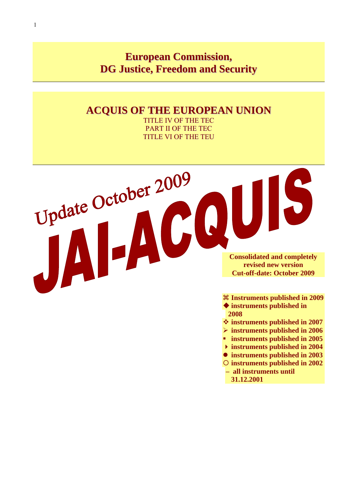# **European Commission, DG Justice, Freedom and Security**

# **ACQUIS OF THE EUROPEAN UNION**

TITLE IV OF THE TEC PART II OF THE TEC TITLE VI OF THE TEU



a **Instruments published in 2009** 

- **instruments published in 2008**
- **instruments published in 2007**
- ¾ **instruments published in 2006**
- **instruments published in 2005**
- **instruments published in 2004**
- $\bullet$  instruments published in 2003
- { **instruments published in 2002 – all instruments until** 
	- **31.12.2001**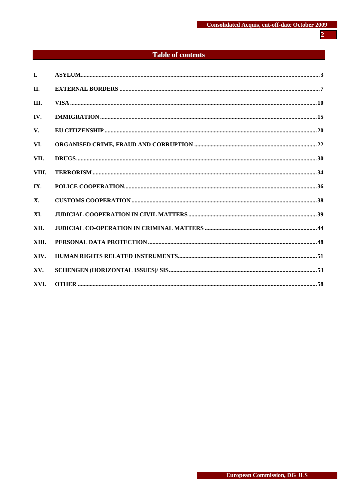# **Table of contents**

| I.    |  |
|-------|--|
| II.   |  |
| III.  |  |
| IV.   |  |
| V.    |  |
| VI.   |  |
| VII.  |  |
| VIII. |  |
| IX.   |  |
| X.    |  |
| XI.   |  |
| XII.  |  |
| XIII. |  |
| XIV.  |  |
| XV.   |  |
| XVI.  |  |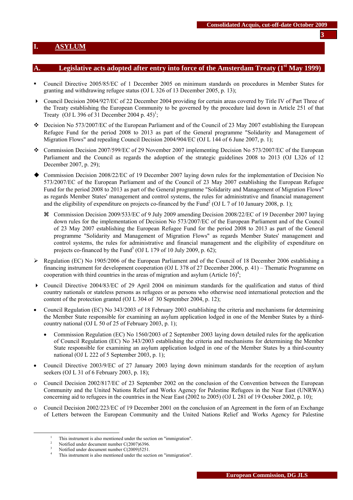## <span id="page-2-0"></span>Legislative acts adopted after entry into force of the Amsterdam Treaty (1<sup>st</sup> May 1999)

- Council Directive 2005/85/EC of 1 December 2005 on minimum standards on procedures in Member States for granting and withdrawing refugee status (OJ L 326 of 13 December 2005, p. 13);
- ▶ Council Decision 2004/927/EC of 22 December 2004 providing for certain areas covered by Title IV of Part Three of the Treaty establishing the European Community to be governed by the procedure laid down in Article 251 of that Treaty (OJ L 396 of 31 December 2004 p. 45)<sup>1</sup>;
- $\div$  Decision No 573/2007/EC of the European Parliament and of the Council of 23 May 2007 establishing the European Refugee Fund for the period 2008 to 2013 as part of the General programme "Solidarity and Management of Migration Flows" and repealing Council Decision 2004/904/EC (OJ L 144 of 6 June 2007, p. 1);
- Commission Decision 2007/599/EC of 29 November 2007 implementing Decision No 573/2007/EC of the European Parliament and the Council as regards the adoption of the strategic guidelines 2008 to 2013 (OJ L326 of 12 December 2007, p. 29);
- Commission Decision 2008/22/EC of 19 December 2007 laying down rules for the implementation of Decision No 573/2007/EC of the European Parliament and of the Council of 23 May 2007 establishing the European Refugee Fund for the period 2008 to 2013 as part of the General programme "Solidarity and Management of Migration Flows" as regards Member States' management and control systems, the rules for administrative and financial management and the eligibility of expenditure on projects co-financed by the Fund<sup>2</sup> (OJ L 7 of 10 January 2008, p. 1);
	- a Commission Decision 2009/533/EC of 9 July 2009 amending Decision 2008/22/EC of 19 December 2007 laying down rules for the implementation of Decision No 573/2007/EC of the European Parliament and of the Council of 23 May 2007 establishing the European Refugee Fund for the period 2008 to 2013 as part of the General programme "Solidarity and Management of Migration Flows" as regards Member States' management and control systems, the rules for administrative and financial management and the eligibility of expenditure on projects co-financed by the Fund<sup>3</sup> (OJ L 179 of 10 July 2009, p. 62);
- $\triangleright$  Regulation (EC) No 1905/2006 of the European Parliament and of the Council of 18 December 2006 establishing a financing instrument for development cooperation (OJ L 378 of 27 December 2006, p. 41) – Thematic Programme on cooperation with third countries in the areas of migration and asylum (Article  $16$ <sup>4</sup>;
- $\triangleright$  Council Directive 2004/83/EC of 29 April 2004 on minimum standards for the qualification and status of third country nationals or stateless persons as refugees or as persons who otherwise need international protection and the content of the protection granted (OJ L 304 of 30 September 2004, p. 12);
- Council Regulation (EC) No 343/2003 of 18 February 2003 establishing the criteria and mechanisms for determining the Member State responsible for examining an asylum application lodged in one of the Member States by a thirdcountry national (OJ L 50 of 25 of February 2003, p. 1);
	- Commission Regulation (EC) No 1560/2003 of 2 September 2003 laying down detailed rules for the application of Council Regulation (EC) No 343/2003 establishing the criteria and mechanisms for determining the Member State responsible for examining an asylum application lodged in one of the Member States by a third-country national (OJ L 222 of 5 September 2003, p. 1);
- Council Directive 2003/9/EC of 27 January 2003 laying down minimum standards for the reception of asylum seekers (OJ L 31 of 6 February 2003, p. 18);
- ο Council Decision 2002/817/EC of 23 September 2002 on the conclusion of the Convention between the European Community and the United Nations Relief and Works Agency for Palestine Refugees in the Near East (UNRWA) concerning aid to refugees in the countries in the Near East (2002 to 2005) (OJ L 281 of 19 October 2002, p. 10);
- ο Council Decision 2002/223/EC of 19 December 2001 on the conclusion of an Agreement in the form of an Exchange of Letters between the European Community and the United Nations Relief and Works Agency for Palestine

 $\frac{1}{1}$ This instrument is also mentioned under the section on "immigration".<br>  $\frac{2}{3}$  Netified under desument number  $C(2007)6206$ 

Notified under document number C(2007)6396.

<sup>3</sup> Notified under document number C(2009)5251. 4

This instrument is also mentioned under the section on "immigration".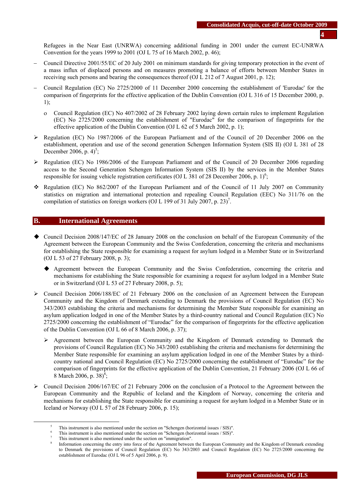Refugees in the Near East (UNRWA) concerning additional funding in 2001 under the current EC-UNRWA Convention for the years 1999 to 2001 (OJ L 75 of 16 March 2002, p. 46);

- − Council Directive 2001/55/EC of 20 July 2001 on minimum standards for giving temporary protection in the event of a mass influx of displaced persons and on measures promoting a balance of efforts between Member States in receiving such persons and bearing the consequences thereof (OJ L 212 of 7 August 2001, p. 12);
- − Council Regulation (EC) No 2725/2000 of 11 December 2000 concerning the establishment of 'Eurodac' for the comparison of fingerprints for the effective application of the Dublin Convention (OJ L 316 of 15 December 2000, p. 1);
	- ο Council Regulation (EC) No 407/2002 of 28 February 2002 laying down certain rules to implement Regulation (EC) No 2725/2000 concerning the establishment of "Eurodac" for the comparison of fingerprints for the effective application of the Dublin Convention (OJ L 62 of 5 March 2002, p. 1);
- ¾ Regulation (EC) No 1987/2006 of the European Parliament and of the Council of 20 December 2006 on the establishment, operation and use of the second generation Schengen Information System (SIS II) (OJ L 381 of 28 December 2006, p.  $4$ <sup>5</sup>;
- ¾ Regulation (EC) No 1986/2006 of the European Parliament and of the Council of 20 December 2006 regarding access to the Second Generation Schengen Information System (SIS II) by the services in the Member States responsible for issuing vehicle registration certificates (OJ L 381 of 28 December 2006, p. 1)<sup>6</sup>;
- Regulation (EC) No 862/2007 of the European Parliament and of the Council of 11 July 2007 on Community statistics on migration and international protection and repealing Council Regulation (EEC) No 311/76 on the compilation of statistics on foreign workers (OJ L 199 of 31 July 2007, p. 23)<sup>7</sup>.

#### **B. International Agreements**

- Council Decision 2008/147/EC of 28 January 2008 on the conclusion on behalf of the European Community of the Agreement between the European Community and the Swiss Confederation, concerning the criteria and mechanisms for establishing the State responsible for examining a request for asylum lodged in a Member State or in Switzerland (OJ L 53 of 27 February 2008, p. 3);
	- Agreement between the European Community and the Swiss Confederation, concerning the criteria and mechanisms for establishing the State responsible for examining a request for asylum lodged in a Member State or in Switzerland (OJ L 53 of 27 February 2008, p. 5);
- $\geq$  Council Decision 2006/188/EC of 21 February 2006 on the conclusion of an Agreement between the European Community and the Kingdom of Denmark extending to Denmark the provisions of Council Regulation (EC) No 343/2003 establishing the criteria and mechanisms for determining the Member State responsible for examining an asylum application lodged in one of the Member States by a third-country national and Council Regulation (EC) No 2725/2000 concerning the establishment of "Eurodac" for the comparison of fingerprints for the effective application of the Dublin Convention (OJ L 66 of 8 March 2006, p. 37);
	- $\triangleright$  Agreement between the European Community and the Kingdom of Denmark extending to Denmark the provisions of Council Regulation (EC) No 343/2003 establishing the criteria and mechanisms for determining the Member State responsible for examining an asylum application lodged in one of the Member States by a thirdcountry national and Council Regulation (EC) No 2725/2000 concerning the establishment of "Eurodac" for the comparison of fingerprints for the effective application of the Dublin Convention, 21 February 2006 (OJ L 66 of 8 March 2006, p.  $38\frac{1}{3}$ ;
- $\triangleright$  Council Decision 2006/167/EC of 21 February 2006 on the conclusion of a Protocol to the Agreement between the European Community and the Republic of Iceland and the Kingdom of Norway, concerning the criteria and mechanisms for establishing the State responsible for examining a request for asylum lodged in a Member State or in Iceland or Norway (OJ L 57 of 28 February 2006, p. 15);

 $rac{1}{5}$ This instrument is also mentioned under the section on "Schengen (horizontal issues / SIS)".

This instrument is also mentioned under the section on "Schengen (horizontal issues / SIS)".

This instrument is also mentioned under the section on "immigration".

Information concerning the entry into force of the Agreement between the European Community and the Kingdom of Denmark extending to Denmark the provisions of Council Regulation (EC) No 343/2003 and Council Regulation (EC) No 2725/2000 concerning the establishment of Eurodac (OJ L 96 of 5 April 2006, p. 9).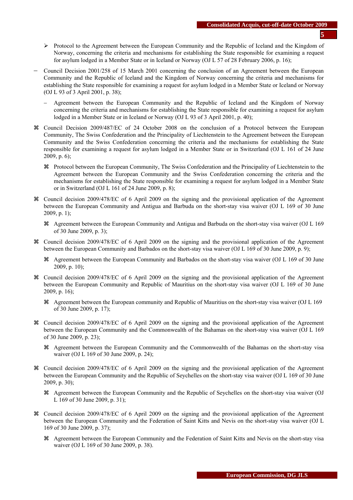- ¾ Protocol to the Agreement between the European Community and the Republic of Iceland and the Kingdom of Norway, concerning the criteria and mechanisms for establishing the State responsible for examining a request for asylum lodged in a Member State or in Iceland or Norway (OJ L 57 of 28 February 2006, p. 16);
- − Council Decision 2001/258 of 15 March 2001 concerning the conclusion of an Agreement between the European Community and the Republic of Iceland and the Kingdom of Norway concerning the criteria and mechanisms for establishing the State responsible for examining a request for asylum lodged in a Member State or Iceland or Norway (OJ L 93 of 3 April 2001, p. 38);
	- − Agreement between the European Community and the Republic of Iceland and the Kingdom of Norway concerning the criteria and mechanisms for establishing the State responsible for examining a request for asylum lodged in a Member State or in Iceland or Norway (OJ L 93 of 3 April 2001, p. 40);
- a Council Decision 2009/487/EC of 24 October 2008 on the conclusion of a Protocol between the European Community, The Swiss Confederation and the Principality of Liechtenstein to the Agreement between the European Community and the Swiss Confederation concerning the criteria and the mechanisms for establishing the State responsible for examining a request for asylum lodged in a Member State or in Switzerland (OJ L 161 of 24 June 2009, p. 6);
	- a Protocol between the European Community, The Swiss Confederation and the Principality of Liechtenstein to the Agreement between the European Community and the Swiss Confederation concerning the criteria and the mechanisms for establishing the State responsible for examining a request for asylum lodged in a Member State or in Switzerland (OJ L 161 of 24 June 2009, p. 8);
- a Council decision 2009/478/EC of 6 April 2009 on the signing and the provisional application of the Agreement between the European Community and Antigua and Barbuda on the short-stay visa waiver (OJ L 169 of 30 June  $2009$ , p. 1);
	- a Agreement between the European Community and Antigua and Barbuda on the short-stay visa waiver (OJ L 169 of 30 June 2009, p. 3);
- a Council decision 2009/478/EC of 6 April 2009 on the signing and the provisional application of the Agreement between the European Community and Barbados on the short-stay visa waiver (OJ L 169 of 30 June 2009, p. 9);
	- a Agreement between the European Community and Barbados on the short-stay visa waiver (OJ L 169 of 30 June 2009, p. 10);
- a Council decision 2009/478/EC of 6 April 2009 on the signing and the provisional application of the Agreement between the European Community and Republic of Mauritius on the short-stay visa waiver (OJ L 169 of 30 June 2009, p. 16);
	- a Agreement between the European community and Republic of Mauritius on the short-stay visa waiver (OJ L 169 of 30 June 2009, p. 17);
- a Council decision 2009/478/EC of 6 April 2009 on the signing and the provisional application of the Agreement between the European Community and the Commonwealth of the Bahamas on the short-stay visa waiver (OJ L 169 of 30 June 2009, p. 23);
	- a Agreement between the European Community and the Commonwealth of the Bahamas on the short-stay visa waiver (OJ L 169 of 30 June 2009, p. 24);
- a Council decision 2009/478/EC of 6 April 2009 on the signing and the provisional application of the Agreement between the European Community and the Republic of Seychelles on the short-stay visa waiver (OJ L 169 of 30 June 2009, p. 30);
	- a Agreement between the European Community and the Republic of Seychelles on the short-stay visa waiver (OJ L 169 of 30 June 2009, p. 31);
- a Council decision 2009/478/EC of 6 April 2009 on the signing and the provisional application of the Agreement between the European Community and the Federation of Saint Kitts and Nevis on the short-stay visa waiver (OJ L 169 of 30 June 2009, p. 37);
	- a Agreement between the European Community and the Federation of Saint Kitts and Nevis on the short-stay visa waiver (OJ L 169 of 30 June 2009, p. 38).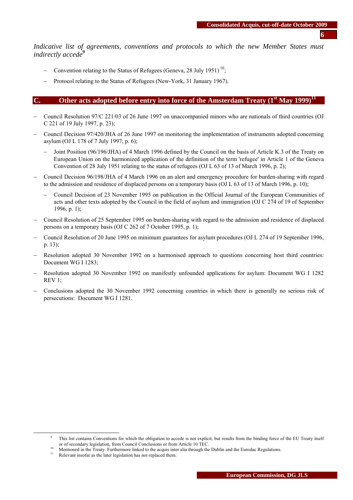*Indicative list of agreements, conventions and protocols to which the new Member States must indirectly accede*<sup>9</sup>

- − Convention relating to the Status of Refugees (Geneva, 28 July 1951)<sup>10</sup>;
- Protocol relating to the Status of Refugees (New-York, 31 January 1967).

#### **C.** Other acts adopted before entry into force of the Amsterdam Treaty  $(1<sup>st</sup>$  May 1999)<sup>11</sup>

- − Council Resolution 97/C 221/03 of 26 June 1997 on unaccompanied minors who are nationals of third countries (OJ C 221 of 19 July 1997, p. 23);
- − Council Decision 97/420/JHA of 26 June 1997 on monitoring the implementation of instruments adopted concerning asylum (OJ L 178 of 7 July 1997, p. 6);
	- Joint Position (96/196/JHA) of 4 March 1996 defined by the Council on the basis of Article K.3 of the Treaty on European Union on the harmonized application of the definition of the term 'refugee' in Article 1 of the Geneva Convention of 28 July 1951 relating to the status of refugees (OJ L 63 of 13 of March 1996, p. 2);
- − Council Decision 96/198/JHA of 4 March 1996 on an alert and emergency procedure for burden-sharing with regard to the admission and residence of displaced persons on a temporary basis (OJ L 63 of 13 of March 1996, p. 10);
	- − Council Decision of 23 November 1995 on publication in the Official Journal of the European Communities of acts and other texts adopted by the Council in the field of asylum and immigration (OJ C 274 of 19 of September 1996, p. 1);
- − Council Resolution of 25 September 1995 on burden-sharing with regard to the admission and residence of displaced persons on a temporary basis (OJ C 262 of 7 October 1995, p. 1);
- − Council Resolution of 20 June 1995 on minimum guarantees for asylum procedures (OJ L 274 of 19 September 1996, p. 13);
- Resolution adopted 30 November 1992 on a harmonised approach to questions concerning host third countries: Document WG I 1283;
- − Resolution adopted 30 November 1992 on manifestly unfounded applications for asylum: Document WG I 1282 REV 1;
- − Conclusions adopted the 30 November 1992 concerning countries in which there is generally no serious risk of persecutions: Document WG I 1281.

 $\frac{1}{9}$ <sup>9</sup> This list contains Conventions for which the obligation to accede is not explicit, but results from the binding force of the EU Treaty itself or of secondary legislation, from Council Conclusions or from Article 10 TEC.<br><sup>10</sup> Mentioned in the Treaty. Furthermore linked to the acquis inter alia through the Dublin and the Eurodac Regulations.<br><sup>11</sup> Relevant insofar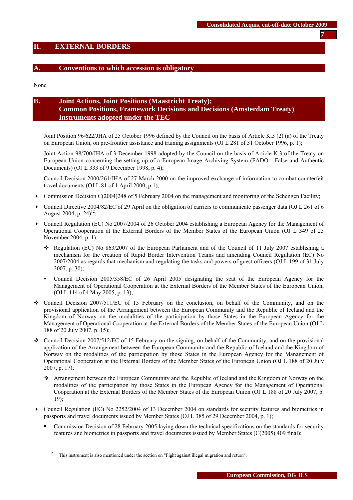## <span id="page-6-0"></span>**II. EXTERNAL BORDERS**

#### **A. Conventions to which accession is obligatory**

None

# **B. Joint Actions, Joint Positions (Maastricht Treaty); Common Positions, Framework Decisions and Decisions (Amsterdam Treaty) Instruments adopted under the TEC**

- − Joint Position 96/622/JHA of 25 October 1996 defined by the Council on the basis of Article K.3 (2) (a) of the Treaty on European Union, on pre-frontier assistance and training assignments (OJ L 281 of 31 October 1996, p. 1);
- Joint Action 98/700/JHA of 3 December 1998 adopted by the Council on the basis of Article K.3 of the Treaty on European Union concerning the setting up of a European Image Archiving System (FADO - False and Authentic Documents) (OJ L 333 of 9 December 1998, p. 4);
- − Council Decision 2000/261/JHA of 27 March 2000 on the improved exchange of information to combat counterfeit travel documents (OJ L 81 of 1 April 2000, p.1);
- $\triangleright$  Commission Decision C(2004)248 of 5 February 2004 on the management and monitoring of the Schengen Facility;
- Council Directive 2004/82/EC of 29 April on the obligation of carriers to communicate passenger data (OJ L 261 of 6 August 2004, p.  $24$ <sup>12</sup>;
- Council Regulation (EC) No 2007/2004 of 26 October 2004 establishing a European Agency for the Management of Operational Cooperation at the External Borders of the Member States of the European Union (OJ L 349 of 25 November 2004, p. 1);
	- Regulation (EC) No  $863/2007$  of the European Parliament and of the Council of 11 July 2007 establishing a mechanism for the creation of Rapid Border Intervention Teams and amending Council Regulation (EC) No 2007/2004 as regards that mechanism and regulating the tasks and powers of guest officers (OJ L 199 of 31 July 2007, p. 30);
	- Council Decision 2005/358/EC of 26 April 2005 designating the seat of the European Agency for the Management of Operational Cooperation at the External Borders of the Member States of the European Union, (OJ L 114 of 4 May 2005, p. 13);
- Council Decision 2007/511/EC of 15 February on the conclusion, on behalf of the Community, and on the provisional application of the Arrangement between the European Community and the Republic of Iceland and the Kingdom of Norway on the modalities of the participation by those States in the European Agency for the Management of Operational Cooperation at the External Borders of the Member States of the European Union (OJ L 188 of 20 July 2007, p. 15);
- Council Decision 2007/512/EC of 15 February on the signing, on behalf of the Community, and on the provisional application of the Arrangement between the European Community and the Republic of Iceland and the Kingdom of Norway on the modalities of the participation by those States in the European Agency for the Management of Operational Cooperation at the External Borders of the Member States of the European Union (OJ L 188 of 20 July 2007, p. 17);
	- Arrangement between the European Community and the Republic of Iceland and the Kingdom of Norway on the modalities of the participation by those States in the European Agency for the Management of Operational Cooperation at the External Borders of the Member States of the European Union (OJ L 188 of 20 July 2007, p. 19);
- Council Regulation (EC) No 2252/2004 of 13 December 2004 on standards for security features and biometrics in passports and travel documents issued by Member States (OJ L 385 of 29 December 2004, p. 1);
	- Commission Decision of 28 February 2005 laying down the technical specifications on the standards for security features and biometrics in passports and travel documents issued by Member States (C(2005) 409 final);

<sup>&</sup>lt;sup>12</sup> This instrument is also mentioned under the section on "Fight against illegal migration and return".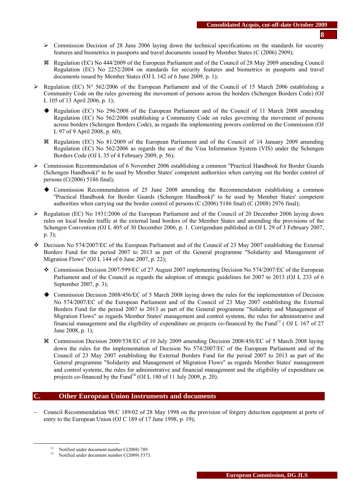- ¾ Commission Decision of 28 June 2006 laying down the technical specifications on the standards for security features and biometrics in passports and travel documents issued by Member States (C (2006) 2909);
- a Regulation (EC) No 444/2009 of the European Parliament and of the Council of 28 May 2009 amending Council Regulation (EC) No 2252/2004 on standards for security features and biometrics in passports and travel documents issued by Member States (OJ L 142 of 6 June 2009, p. 1);
- Equilation (EC) N° 562/2006 of the European Parliament and of the Council of 15 March 2006 establishing a Community Code on the rules governing the movement of persons across the borders (Schengen Borders Code) (OJ L 105 of 13 April 2006, p. 1);
	- Regulation (EC) No 296/2008 of the European Parliament and of the Council of 11 March 2008 amending Regulation (EC) No 562/2006 establishing a Community Code on rules governing the movement of persons across borders (Schengen Borders Code), as regards the implementing powers conferred on the Commission (OJ L 97 of 9 April 2008, p. 60);
	- a Regulation (EC) No 81/2009 of the European Parliament and of the Council of 14 January 2009 amending Regulation (EC) No 562/2006 as regards the use of the Visa Information System (VIS) under the Schengen Borders Code (OJ L 35 of 4 February 2009, p. 56);
- ¾ Commission Recommendation of 6 November 2006 establishing a common "Practical Handbook for Border Guards (Schengen Handbook)" to be used by Member States' competent authorities when carrying out the border control of persons (C(2006) 5186 final);
	- Commission Recommendation of 25 June 2008 amending the Recommendation establishing a common ''Practical Handbook for Border Guards (Schengen Handbook)'' to be used by Member States' competent authorities when carrying out the border control of persons (C (2006) 5186 final) (C (2008) 2976 final);
- $\triangleright$  Regulation (EC) No 1931/2006 of the European Parliament and of the Council of 20 December 2006 laying down rules on local border traffic at the external land borders of the Member States and amending the provisions of the Schengen Convention (OJ L 405 of 30 December 2006, p. 1. Corrigendum published in OJ L 29 of 3 February 2007, p. 3);
- $\div$  Decision No 574/2007/EC of the European Parliament and of the Council of 23 May 2007 establishing the External Borders Fund for the period 2007 to 2013 as part of the General programme "Solidarity and Management of Migration Flows" (OJ L 144 of 6 June 2007, p. 22);
	- Commission Decision 2007/599/EC of 27 August 2007 implementing Decision No 574/2007/EC of the European Parliament and of the Council as regards the adoption of strategic guidelines for 2007 to 2013 (OJ L 233 of 6 September 2007, p. 3);
	- Commission Decision 2008/456/EC of 5 March 2008 laying down the rules for the implementation of Decision No 574/2007/EC of the European Parliament and of the Council of 23 May 2007 establishing the External Borders Fund for the period 2007 to 2013 as part of the General programme "Solidarity and Management of Migration Flows" as regards Member States' management and control systems, the rules for administrative and financial management and the eligibility of expenditure on projects co-financed by the Fund<sup>13</sup> (OJ L 167 of 27 June 2008, p. 1);
	- a Commission Decision 2009/538/EC of 10 July 2009 amending Decision 2008/456/EC of 5 March 2008 laying down the rules for the implementation of Decision No 574/2007/EC of the European Parliament and of the Council of 23 May 2007 establishing the External Borders Fund for the period 2007 to 2013 as part of the General programme "Solidarity and Management of Migration Flows" as regards Member States' management and control systems, the rules for administrative and financial management and the eligibility of expenditure on projects co-financed by the Fund<sup>14</sup> (OJ L 180 of 11 July 2009, p. 20).

#### **C. Other European Union Instruments and documents**

− Council Recommendation 98/C 189/02 of 28 May 1998 on the provision of forgery detection equipment at ports of entry to the European Union (OJ C 189 of 17 June 1998, p. 19);

<sup>&</sup>lt;sup>13</sup> Notified under document number  $C(2008)$  789.

Notified under document number C(2009) 5373.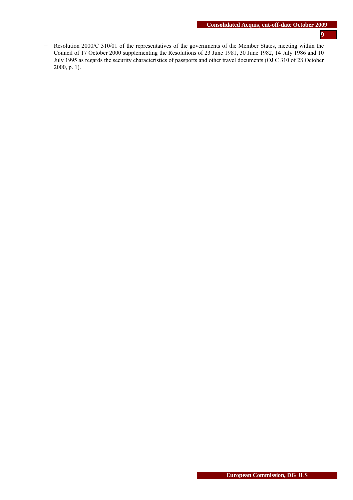− Resolution 2000/C 310/01 of the representatives of the governments of the Member States, meeting within the Council of 17 October 2000 supplementing the Resolutions of 23 June 1981, 30 June 1982, 14 July 1986 and 10 July 1995 as regards the security characteristics of passports and other travel documents (OJ C 310 of 28 October 2000, p. 1).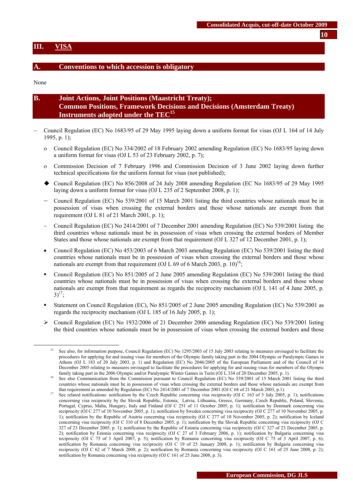#### <span id="page-9-0"></span>**III. VISA**

#### **A. Conventions to which accession is obligatory**

None

| <b>B.</b> | <b>Joint Actions, Joint Positions (Maastricht Treaty);</b>              |
|-----------|-------------------------------------------------------------------------|
|           | (Common Positions, Framework Decisions and Decisions (Amsterdam Treaty) |
|           | Instruments adopted under the TEC <sup>15</sup>                         |

- − Council Regulation (EC) No 1683/95 of 29 May 1995 laying down a uniform format for visas (OJ L 164 of 14 July 1995, p. 1);
	- ο Council Regulation (EC) No 334/2002 of 18 February 2002 amending Regulation (EC) No 1683/95 laying down a uniform format for visas (OJ L 53 of 23 February 2002, p. 7);
	- ο Commission Decision of 7 February 1996 and Commission Decision of 3 June 2002 laying down further technical specifications for the uniform format for visas (not published);
	- Council Regulation (EC) No 856/2008 of 24 July 2008 amending Regulation (EC No 1683/95 of 29 May 1995 laying down a uniform format for visas (OJ L 235 of 2 September 2008, p. 1);
	- − Council Regulation (EC) No 539/2001 of 15 March 2001 listing the third countries whose nationals must be in possession of visas when crossing the external borders and those whose nationals are exempt from that requirement (OJ L 81 of 21 March 2001, p. 1);
	- − Council Regulation (EC) No 2414/2001 of 7 December 2001 amending Regulation (EC) No 539/2001 listing the third countries whose nationals must be in possession of visas when crossing the external borders of Member States and those whose nationals are exempt from that requirement (OJ L 327 of 12 December 2001, p. 1);
	- Council Regulation (EC) No 453/2003 of 6 March 2003 amending Regulation (EC) No 539/2001 listing the third countries whose nationals must be in possession of visas when crossing the external borders and those whose nationals are exempt from that requirement (OJ L 69 of 6 March 2003, p.  $10)^{16}$ ;
	- Council Regulation (EC) No 851/2005 of 2 June 2005 amending Regulation (EC) No 539/2001 listing the third countries whose nationals must be in possession of visas when crossing the external borders and those whose nationals are exempt from that requirement as regards the reciprocity mechanism (OJ L 141 of 4 June 2005, p.  $3)^{17}$ ;
	- Statement on Council Regulation (EC), No 851/2005 of 2 June 2005 amending Regulation (EC) No 539/2001 as regards the reciprocity mechanism (OJ L 185 of 16 July 2005, p. 1);
	- $\triangleright$  Council Regulation (EC) No 1932/2006 of 21 December 2006 amending Regulation (EC) No 539/2001 listing the third countries whose nationals must be in possession of visas when crossing the external borders and those

**10**

 <sup>15</sup> See also, for information purpose, Council Regulation (EC) No 1295/2003 of 15 July 2003 relating to measures envisaged to facilitate the procedures for applying for and issuing visas for members of the Olympic family taking part in the 2004 Olympic or Paralympic Games in Athens (OJ L 183 of 20 July 2003, p. 1) and Regulation (EC) No 2046/2005 of the European Parliament and of the Council of 14 December 2005 relating to measures envisaged to facilitate the procedures for applying for and issuing visas for members of the Olympic family taking part in the 2006 Olympic and/or Paralympic Winter Games in Turin (OJ L 334 of 20 December 2005, p. 1).<br><sup>16</sup> See also Communication from the Commission pursuant to Council Regulation (EC) No 539/2001 of 15 Mar

countries whose nationals must be in possession of visas when crossing the external borders and those whose nationals are exempt from that requirement as amended by Regulation (EC) No 2414/2001 of 7 December 2001 (OJ C 68 of 21 March 2003, p.1).<br>See related notifications: notification by the Czech Republic concerning visa reciprocity (OJ C 163 of 5 July

concerning visa reciprocity by the Slovak Republic, Estonia, Latvia, Lithuania, Greece, Germany, Czech Republic, Poland, Slovenia, Portugal, Cyprus, Malta, Hungary, Italy and Finland (OJ C 251 of 11 October 2005, p. 1); notification by Denmark concerning visa reciprocity (OJ C 277 of 10 November 2005, p. 1); notification by Sweden concerning visa reciprocity (OJ C 277 of 10 November 2005, p. 1); notification by the Republic of Austria concerning visa reciprocity (OJ C 277 of 10 November 2005, p. 2); notification by Iceland concerning visa reciprocity (OJ C 310 of 8 December 2005, p. 1); notification by the Slovak Republic concerning visa reciprocity (OJ C 327 of 23 December 2005, p. 1); notification by the Republic of Estonia concerning visa reciprocity (OJ C 327 of 23 December 2005, p. 2); notification by Estonia concerning visa reciprocity (OJ C 27 of 3 February 2006, p. 1); notification by Bulgaria concerning visa reciprocity (OJ C 75 of 3 April 2007, p. 5); notification by Romania concerning visa reciprocity (OJ C 75 of 3 April 2007, p. 6); notification by Romania concerning visa reciprocity (OJ C 19 of 25 January 2008, p. 1); notification by Bulgaria concerning visa reciprocity (OJ C 62 of 7 March 2008, p. 2); notification by Romania concerning visa reciprocity (OJ C 161 of 25 June 2008, p. 2); notification by Romania concerning visa reciprocity (OJ C 161 of 25 June 2008, p. 3).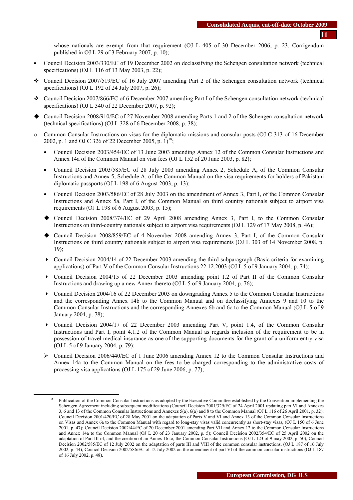whose nationals are exempt from that requirement (OJ L 405 of 30 December 2006, p. 23. Corrigendum published in OJ L 29 of 3 February 2007, p. 10);

- Council Decision 2003/330/EC of 19 December 2002 on declassifying the Schengen consultation network (technical specifications) (OJ L 116 of 13 May 2003, p. 22);
- Council Decision 2007/519/EC of 16 July 2007 amending Part 2 of the Schengen consultation network (technical specifications) (OJ L 192 of 24 July 2007, p. 26);
- Council Decision 2007/866/EC of 6 December 2007 amending Part I of the Schengen consultation network (technical specifications) (OJ L 340 of 22 December 2007, p. 92);
- Council Decision 2008/910/EC of 27 November 2008 amending Parts 1 and 2 of the Schengen consultation network (technical specifications) (OJ L 328 of 6 December 2008, p. 38);
- ο Common Consular Instructions on visas for the diplomatic missions and consular posts (OJ C 313 of 16 December 2002, p. 1 and OJ C 326 of 22 December 2005, p.  $1$ <sup>18</sup>;
	- Council Decision 2003/454/EC of 13 June 2003 amending Annex 12 of the Common Consular Instructions and Annex 14a of the Common Manual on visa fees (OJ L 152 of 20 June 2003, p. 82);
	- Council Decision 2003/585/EC of 28 July 2003 amending Annex 2, Schedule A, of the Common Consular Instructions and Annex 5, Schedule A, of the Common Manual on the visa requirements for holders of Pakistani diplomatic passports (OJ L 198 of 6 August 2003, p. 13);
	- Council Decision 2003/586/EC of 28 July 2003 on the amendment of Annex 3, Part I, of the Common Consular Instructions and Annex 5a, Part I, of the Common Manual on third country nationals subject to airport visa requirements (OJ L 198 of 6 August 2003, p. 15);
	- Council Decision 2008/374/EC of 29 April 2008 amending Annex 3, Part I, to the Common Consular Instructions on third-country nationals subject to airport visa requirements (OJ L 129 of 17 May 2008, p. 46);
	- Council Decision 2008/859/EC of 4 November 2008 amending Annex 3, Part I, of the Common Consular Instructions on third country nationals subject to airport visa requirements (OJ L 303 of 14 November 2008, p. 19);
	- $\triangleright$  Council Decision 2004/14 of 22 December 2003 amending the third subparagraph (Basic criteria for examining applications) of Part V of the Common Consular Instructions 22.12.2003 (OJ L 5 of 9 January 2004, p. 74);
	- Council Decision 2004/15 of 22 December 2003 amending point 1.2 of Part II of the Common Consular Instructions and drawing up a new Annex thereto (OJ L 5 of 9 January 2004, p. 76);
	- Council Decision 2004/16 of 22 December 2003 on downgrading Annex 5 to the Common Consular Instructions and the corresponding Annex 14b to the Common Manual and on declassifying Annexes 9 and 10 to the Common Consular Instructions and the corresponding Annexes 6b and 6c to the Common Manual (OJ L 5 of 9 January 2004, p. 78);
	- Council Decision 2004/17 of 22 December 2003 amending Part V, point 1.4, of the Common Consular Instructions and Part I, point 4.1.2 of the Common Manual as regards inclusion of the requirement to be in possession of travel medical insurance as one of the supporting documents for the grant of a uniform entry visa (OJ L 5 of 9 January 2004, p. 79);
	- ¾ Council Decision 2006/440/EC of 1 June 2006 amending Annex 12 to the Common Consular Instructions and Annex 14a to the Common Manual on the fees to be charged corresponding to the administrative costs of processing visa applications (OJ L 175 of 29 June 2006, p. 77);

 <sup>18</sup> Publication of the Common Consular Instructions as adopted by the Executive Committee established by the Convention implementing the Schengen Agreement including subsequent modifications (Council Decision 2001/329/EC of 24 April 2001 updating part VI and Annexes 3, 6 and 13 of the Common Consular Instructions and Annexes 5(a), 6(a) and 8 to the Common Manual (OJ L 116 of 26 April 2001, p. 32); Council Decision 2001/420/EC of 28 May 2001 on the adaptation of Parts V and VI and Annex 13 of the Common Consular Instructions on Visas and Annex 6a to the Common Manual with regard to long-stay visas valid concurrently as short-stay visas, (OJ L 150 of 6 June 2001, p. 47); Council Decision 2002/44/EC of 20 December 2001 amending Part VII and Annex 12 to the Common Consular Instructions and Annex 14a to the Common Manual (OJ L 20 of 23 January 2002, p. 5); Council Decision 2002/354/EC of 25 April 2002 on the adaptation of Part III of, and the creation of an Annex 16 to, the Common Consular Instructions (OJ L 123 of 9 may 2002, p. 50); Council Decision 2002/585/EC of 12 July 2002 on the adaptation of parts III and VIII of the common consular instructions, (OJ L 187 of 16 July 2002, p. 44); Council Decision 2002/586/EC of 12 July 2002 on the amendment of part VI of the common consular instructions (OJ L 187 of 16 July 2002, p. 48).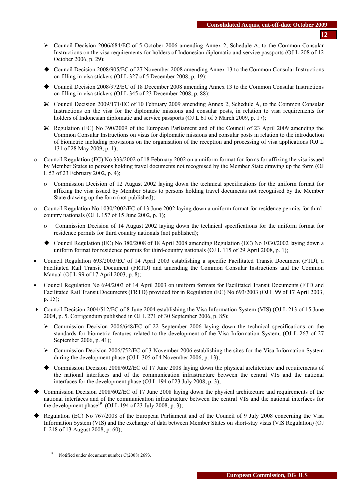- ¾ Council Decision 2006/684/EC of 5 October 2006 amending Annex 2, Schedule A, to the Common Consular Instructions on the visa requirements for holders of Indonesian diplomatic and service passports (OJ L 208 of 12 October 2006, p. 29);
- Council Decision 2008/905/EC of 27 November 2008 amending Annex 13 to the Common Consular Instructions on filling in visa stickers (OJ L 327 of 5 December 2008, p. 19);
- Council Decision 2008/972/EC of 18 December 2008 amending Annex 13 to the Common Consular Instructions on filling in visa stickers (OJ L 345 of 23 December 2008, p. 88);
- a Council Decision 2009/171/EC of 10 February 2009 amending Annex 2, Schedule A, to the Common Consular Instructions on the visa for the diplomatic missions and consular posts, in relation to visa requirements for holders of Indonesian diplomatic and service passports (OJ L 61 of 5 March 2009, p. 17);
- a Regulation (EC) No 390/2009 of the European Parliament and of the Council of 23 April 2009 amending the Common Consular Instructions on visas for diplomatic missions and consular posts in relation to the introduction of biometric including provisions on the organisation of the reception and processing of visa applications (OJ L 131 of 28 May 2009, p. 1);
- ο Council Regulation (EC) No 333/2002 of 18 February 2002 on a uniform format for forms for affixing the visa issued by Member States to persons holding travel documents not recognised by the Member State drawing up the form (OJ L 53 of 23 February 2002, p. 4);
	- ο Commission Decision of 12 August 2002 laying down the technical specifications for the uniform format for affixing the visa issued by Member States to persons holding travel documents not recognised by the Member State drawing up the form (not published);
- ο Council Regulation No 1030/2002/EC of 13 June 2002 laying down a uniform format for residence permits for thirdcountry nationals (OJ L 157 of 15 June 2002, p. 1);
	- ο Commission Decision of 14 August 2002 laying down the technical specifications for the uniform format for residence permits for third country nationals (not published);
	- Council Regulation (EC) No 380/2008 of 18 April 2008 amending Regulation (EC) No 1030/2002 laying down a uniform format for residence permits for third-country nationals (OJ L 115 of 29 April 2008, p. 1);
- Council Regulation 693/2003/EC of 14 April 2003 establishing a specific Facilitated Transit Document (FTD), a Facilitated Rail Transit Document (FRTD) and amending the Common Consular Instructions and the Common Manual (OJ L 99 of 17 April 2003, p. 8);
- Council Regulation No 694/2003 of 14 April 2003 on uniform formats for Facilitated Transit Documents (FTD and Facilitated Rail Transit Documents (FRTD) provided for in Regulation (EC) No 693/2003 (OJ L 99 of 17 April 2003, p. 15);
- Council Decision 2004/512/EC of 8 June 2004 establishing the Visa Information System (VIS) (OJ L 213 of 15 June 2004, p. 5. Corrigendum published in OJ L 271 of 30 September 2006, p. 85);
	- ¾ Commission Decision 2006/648/EC of 22 September 2006 laying down the technical specifications on the standards for biometric features related to the development of the Visa Information System, (OJ L 267 of 27 September 2006, p. 41);
	- $\triangleright$  Commission Decision 2006/752/EC of 3 November 2006 establishing the sites for the Visa Information System during the development phase (OJ L 305 of 4 November 2006, p. 13);
	- Commission Decision 2008/602/EC of 17 June 2008 laying down the physical architecture and requirements of the national interfaces and of the communication infrastructure between the central VIS and the national interfaces for the development phase (OJ L 194 of 23 July 2008, p. 3);
- Commission Decision 2008/602/EC of 17 June 2008 laying down the physical architecture and requirements of the national interfaces and of the communication infrastructure between the central VIS and the national interfaces for the development phase<sup>19</sup> (OJ L 194 of 23 July 2008, p. 3);
- Regulation (EC) No 767/2008 of the European Parliament and of the Council of 9 July 2008 concerning the Visa Information System (VIS) and the exchange of data between Member States on short-stay visas (VIS Regulation) (OJ L 218 of 13 August 2008, p. 60);

<sup>&</sup>lt;sup>19</sup> Notified under document number C(2008) 2693.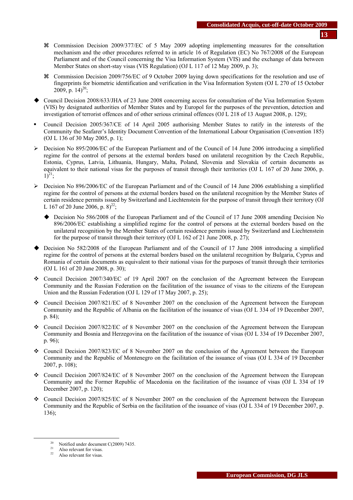- a Commission Decision 2009/377/EC of 5 May 2009 adopting implementing measures for the consultation mechanism and the other procedures referred to in article 16 of Regulation (EC) No 767/2008 of the European Parliament and of the Council concerning the Visa Information System (VIS) and the exchange of data between Member States on short-stay visas (VIS Regulation) (OJ L 117 of 12 May 2009, p. 3);
- a Commission Decision 2009/756/EC of 9 October 2009 laying down specifications for the resolution and use of fingerprints for biometric identification and verification in the Visa Information System (OJ L 270 of 15 October 2009, p.  $14)^{20}$ ;
- Council Decision 2008/633/JHA of 23 June 2008 concerning access for consultation of the Visa Information System (VIS) by designated authorities of Member States and by Europol for the purposes of the prevention, detection and investigation of terrorist offences and of other serious criminal offences (OJ L 218 of 13 August 2008, p. 129);
- Council Decision 2005/367/CE of 14 April 2005 authorising Member States to ratify in the interests of the Community the Seafarer's Identity Document Convention of the International Labour Organisation (Convention 185) (OJ L 136 of 30 May 2005, p. 1);
- $\triangleright$  Decision No 895/2006/EC of the European Parliament and of the Council of 14 June 2006 introducing a simplified regime for the control of persons at the external borders based on unilateral recognition by the Czech Republic, Estonia, Cyprus, Latvia, Lithuania, Hungary, Malta, Poland, Slovenia and Slovakia of certain documents as equivalent to their national visas for the purposes of transit through their territories (OJ L 167 of 20 June 2006, p.  $1)^{21}$ ;
- $\triangleright$  Decision No 896/2006/EC of the European Parliament and of the Council of 14 June 2006 establishing a simplified regime for the control of persons at the external borders based on the unilateral recognition by the Member States of certain residence permits issued by Switzerland and Liechtenstein for the purpose of transit through their territory (OJ L 167 of 20 June 2006, p.  $8)^{22}$ ;
	- Decision No 586/2008 of the European Parliament and of the Council of 17 June 2008 amending Decision No 896/2006/EC establishing a simplified regime for the control of persons at the external borders based on the unilateral recognition by the Member States of certain residence permits issued by Switzerland and Liechtenstein for the purpose of transit through their territory (OJ L 162 of 21 June 2008, p. 27);
- Decision No 582/2008 of the European Parliament and of the Council of 17 June 2008 introducing a simplified regime for the control of persons at the external borders based on the unilateral recognition by Bulgaria, Cyprus and Romania of certain documents as equivalent to their national visas for the purposes of transit through their territories (OJ L 161 of 20 June 2008, p. 30);
- Council Decision 2007/340/EC of 19 April 2007 on the conclusion of the Agreement between the European Community and the Russian Federation on the facilitation of the issuance of visas to the citizens of the European Union and the Russian Federation (OJ L 129 of 17 May 2007, p. 25);
- Council Decision 2007/821/EC of 8 November 2007 on the conclusion of the Agreement between the European Community and the Republic of Albania on the facilitation of the issuance of visas (OJ L 334 of 19 December 2007, p. 84);
- Council Decision 2007/822/EC of 8 November 2007 on the conclusion of the Agreement between the European Community and Bosnia and Herzegovina on the facilitation of the issuance of visas (OJ L 334 of 19 December 2007, p. 96);
- Council Decision 2007/823/EC of 8 November 2007 on the conclusion of the Agreement between the European Community and the Republic of Montenegro on the facilitation of the issuance of visas (OJ L 334 of 19 December 2007, p. 108);
- Council Decision 2007/824/EC of 8 November 2007 on the conclusion of the Agreement between the European Community and the Former Republic of Macedonia on the facilitation of the issuance of visas (OJ L 334 of 19 December 2007, p. 120);
- Council Decision 2007/825/EC of 8 November 2007 on the conclusion of the Agreement between the European Community and the Republic of Serbia on the facilitation of the issuance of visas (OJ L 334 of 19 December 2007, p. 136);

<sup>&</sup>lt;sup>20</sup> Notified under document C(2009) 7435.

 $^{21}$  Also relevant for visas.

Also relevant for visas.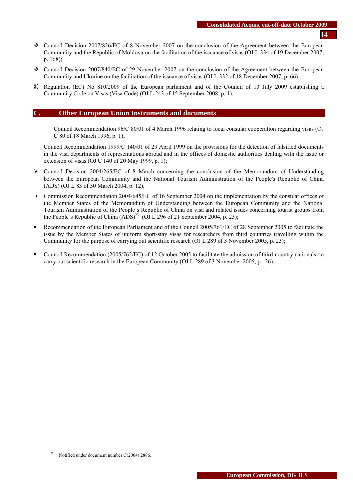- Council Decision 2007/826/EC of 8 November 2007 on the conclusion of the Agreement between the European Community and the Republic of Moldova on the facilitation of the issuance of visas (OJ L 334 of 19 December 2007, p. 168);
- Council Decision 2007/840/EC of 29 November 2007 on the conclusion of the Agreement between the European Community and Ukraine on the facilitation of the issuance of visas (OJ L 332 of 18 December 2007, p. 66);
- a Regulation (EC) No 810/2009 of the European parliament and of the Council of 13 July 2009 establishing a Community Code on Visas (Visa Code) (OJ L 243 of 15 September 2008, p. 1).

#### **C. Other European Union Instruments and documents**

- − Council Recommendation 96/C 80/01 of 4 March 1996 relating to local consular cooperation regarding visas (OJ C 80 of 18 March 1996, p. 1);
- − Council Recommendation 1999/C 140/01 of 29 April 1999 on the provisions for the detection of falsified documents in the visa departments of representations abroad and in the offices of domestic authorities dealing with the issue or extension of visas (OJ C 140 of 20 May 1999, p. 1);
- $\geq$  Council Decision 2004/265/EC of 8 March concerning the conclusion of the Memorandum of Understanding between the European Community and the National Tourism Administration of the People's Republic of China (ADS) (OJ L 83 of 30 March 2004, p. 12);
- Commission Recommendation 2004/645/EC of 16 September 2004 on the implementation by the consular offices of the Member States of the Memorandum of Understanding between the European Community and the National Tourism Administration of the People's Republic of China on visa and related issues concerning tourist groups from the People's Republic of China  $(ADS)^{23}$  (OJ L 296 of 21 September 2004, p. 23);
- Recommendation of the European Parliament and of the Council 2005/761/EC of 28 September 2005 to facilitate the issue by the Member States of uniform short-stay visas for researchers from third countries travelling within the Community for the purpose of carrying out scientific research (OJ L 289 of 3 November 2005, p. 23);
- Council Recommendation (2005/762/EC) of 12 October 2005 to facilitate the admission of third-country nationals to carry out scientific research in the European Community (OJ L 289 of 3 November 2005, p. 26).

<sup>&</sup>lt;sup>23</sup> Notified under document number C(2004) 2886.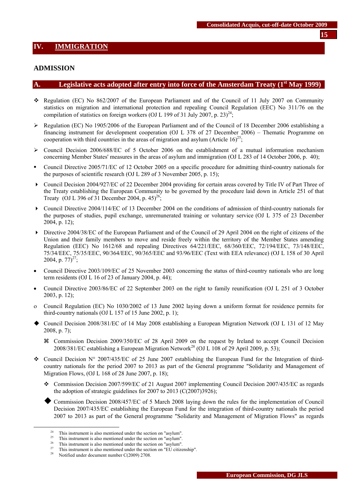#### <span id="page-14-0"></span>**ADMISSION**

#### A. Legislative acts adopted after entry into force of the Amsterdam Treaty (1<sup>st</sup> May 1999)

- \* Regulation (EC) No 862/2007 of the European Parliament and of the Council of 11 July 2007 on Community statistics on migration and international protection and repealing Council Regulation (EEC) No 311/76 on the compilation of statistics on foreign workers (OJ L 199 of 31 July 2007, p. 23)<sup>24</sup>;
- ¾ Regulation (EC) No 1905/2006 of the European Parliament and of the Council of 18 December 2006 establishing a financing instrument for development cooperation (OJ L 378 of 27 December 2006) – Thematic Programme on cooperation with third countries in the areas of migration and asylum (Article  $16)^{25}$ ;
- $\triangleright$  Council Decision 2006/688/EC of 5 October 2006 on the establishment of a mutual information mechanism concerning Member States' measures in the areas of asylum and immigration (OJ L 283 of 14 October 2006, p. 40);
- Council Directive 2005/71/EC of 12 October 2005 on a specific procedure for admitting third-country nationals for the purposes of scientific research (OJ L 289 of 3 November 2005, p. 15);
- Council Decision 2004/927/EC of 22 December 2004 providing for certain areas covered by Title IV of Part Three of the Treaty establishing the European Community to be governed by the procedure laid down in Article 251 of that Treaty (OJ L 396 of 31 December 2004, p. 45)<sup>26</sup>;
- Council Directive 2004/114/EC of 13 December 2004 on the conditions of admission of third-country nationals for the purposes of studies, pupil exchange, unremunerated training or voluntary service (OJ L 375 of 23 December 2004, p. 12);
- Directive 2004/38/EC of the European Parliament and of the Council of 29 April 2004 on the right of citizens of the Union and their family members to move and reside freely within the territory of the Member States amending Regulation (EEC) No 1612/68 and repealing Directives 64/221/EEC, 68/360/EEC, 72/194/EEC, 73/148/EEC, 75/34/EEC, 75/35/EEC, 90/364/EEC, 90/365/EEC and 93/96/EEC (Text with EEA relevance) (OJ L 158 of 30 April 2004, p.  $77)^{27}$ ;
- Council Directive 2003/109/EC of 25 November 2003 concerning the status of third-country nationals who are long term residents (OJ L 16 of 23 of January 2004, p. 44);
- Council Directive 2003/86/EC of 22 September 2003 on the right to family reunification (OJ L 251 of 3 October 2003, p. 12);
- ο Council Regulation (EC) No 1030/2002 of 13 June 2002 laying down a uniform format for residence permits for third-country nationals (OJ L 157 of 15 June 2002, p. 1);
- Council Decision 2008/381/EC of 14 May 2008 establishing a European Migration Network (OJ L 131 of 12 May 2008, p. 7);
	- a Commission Decision 2009/350/EC of 28 April 2009 on the request by Ireland to accept Council Decision 2008/381/EC establishing a European Migration Network<sup>28</sup> (OJ L 108 of 29 April 2009, p. 53);
- Council Decision  $N^{\circ}$  2007/435/EC of 25 June 2007 establishing the European Fund for the Integration of thirdcountry nationals for the period 2007 to 2013 as part of the General programme "Solidarity and Management of Migration Flows, (OJ L 168 of 28 June 2007, p. 18);
	- Commission Decision 2007/599/EC of 21 August 2007 implementing Council Decision 2007/435/EC as regards the adoption of strategic guidelines for 2007 to 2013 (C(2007)3926);
		- Commission Decision 2008/457/EC of 5 March 2008 laying down the rules for the implementation of Council Decision 2007/435/EC establishing the European Fund for the integration of third-country nationals the period 2007 to 2013 as part of the General programme "Solidarity and Management of Migration Flows" as regards

<sup>&</sup>lt;sup>24</sup> This instrument is also mentioned under the section on "asylum".

<sup>&</sup>lt;sup>25</sup> This instrument is also mentioned under the section on "asylum".

This instrument is also mentioned under the section on "asylum".

<sup>&</sup>lt;sup>27</sup> This instrument is also mentioned under the section on "EU citizenship".<br><sup>28</sup> Notified under document number C(2009) 2708.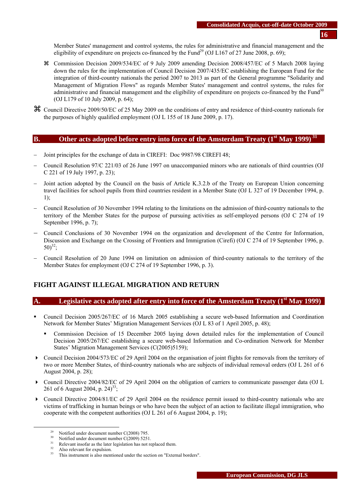Member States' management and control systems, the rules for administrative and financial management and the eligibility of expenditure on projects co-financed by the Fund<sup>29</sup> (OJ L167 of 27 June 2008, p. 69);

- a Commission Decision 2009/534/EC of 9 July 2009 amending Decision 2008/457/EC of 5 March 2008 laying down the rules for the implementation of Council Decision 2007/435/EC establishing the European Fund for the integration of third-country nationals the period 2007 to 2013 as part of the General programme "Solidarity and Management of Migration Flows" as regards Member States' management and control systems, the rules for administrative and financial management and the eligibility of expenditure on projects co-financed by the Fund $30$ (OJ L179 of 10 July 2009, p. 64);
- a Council Directive 2009/50/EC of 25 May 2009 on the conditions of entry and residence of third-country nationals for the purposes of highly qualified employment (OJ L 155 of 18 June 2009, p. 17).

# **B.** Other acts adopted before entry into force of the Amsterdam Treaty (1<sup>st</sup> May 1999)<sup>31</sup>

- Joint principles for the exchange of data in CIREFI: Doc 9987/98 CIREFI 48:
- − Council Resolution 97/C 221/03 of 26 June 1997 on unaccompanied minors who are nationals of third countries (OJ C 221 of 19 July 1997, p. 23);
- − Joint action adopted by the Council on the basis of Article K.3.2.b of the Treaty on European Union concerning travel facilities for school pupils from third countries resident in a Member State (OJ L 327 of 19 December 1994, p. 1);
- − Council Resolution of 30 November 1994 relating to the limitations on the admission of third-country nationals to the territory of the Member States for the purpose of pursuing activities as self-employed persons (OJ C 274 of 19 September 1996, p. 7);
- − Council Conclusions of 30 November 1994 on the organization and development of the Centre for Information, Discussion and Exchange on the Crossing of Frontiers and Immigration (Cirefi) (OJ C 274 of 19 September 1996, p.  $50)^{32}$ ;
- − Council Resolution of 20 June 1994 on limitation on admission of third-country nationals to the territory of the Member States for employment (OJ C 274 of 19 September 1996, p. 3).

# **FIGHT AGAINST ILLEGAL MIGRATION AND RETURN**

## A. Legislative acts adopted after entry into force of the Amsterdam Treaty (1<sup>st</sup> May 1999)

- Council Decision 2005/267/EC of 16 March 2005 establishing a secure web-based Information and Coordination Network for Member States' Migration Management Services (OJ L 83 of 1 April 2005, p. 48);
	- Commission Decision of 15 December 2005 laying down detailed rules for the implementation of Council Decision 2005/267/EC establishing a secure web-based Information and Co-ordination Network for Member States' Migration Management Services (C(2005)5159);
- Council Decision 2004/573/EC of 29 April 2004 on the organisation of joint flights for removals from the territory of two or more Member States, of third-country nationals who are subjects of individual removal orders (OJ L 261 of 6 August 2004, p. 28);
- Council Directive 2004/82/EC of 29 April 2004 on the obligation of carriers to communicate passenger data (OJ L 261 of 6 August 2004, p.  $24$ <sup>33</sup>;
- Council Directive 2004/81/EC of 29 April 2004 on the residence permit issued to third-country nationals who are victims of trafficking in human beings or who have been the subject of an action to facilitate illegal immigration, who cooperate with the competent authorities (OJ L 261 of 6 August 2004, p. 19);

<sup>&</sup>lt;sup>29</sup> Notified under document number C(2008) 795.

<sup>&</sup>lt;sup>30</sup> Notified under document number C(2009) 5251.<br><sup>31</sup> Polarant insofar as the later logislation has not re-

 $31$  Relevant insofar as the later legislation has not replaced them.

 $32$  Also relevant for expulsion.

This instrument is also mentioned under the section on "External borders".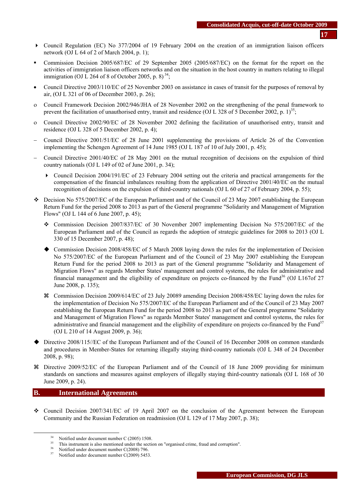- Council Regulation (EC) No 377/2004 of 19 February 2004 on the creation of an immigration liaison officers network (O[J L 64 of 2 of March 2004, p. 1\)](http://europa.eu.int/eur-lex/en/archive/2004/l_06420040302en.html);
- Commission Decision 2005/687/EC of 29 September 2005 (2005/687/EC) on the format for the report on the activities of immigration liaison officers networks and on the situation in the host country in matters relating to illegal immigration (OJ L 264 of 8 of October 2005, p. 8)<sup>34</sup>;
- Council Directive 2003/110/EC of 25 November 2003 on assistance in cases of transit for the purposes of removal by air, (OJ L 321 of 06 of December 2003, p. 26);
- ο Council Framework Decision 2002/946/JHA of 28 November 2002 on the strengthening of the penal framework to prevent the facilitation of unauthorised entry, transit and residence (OJ L 328 of 5 December 2002, p. 1)<sup>35</sup>;
- ο Council Directive 2002/90/EC of 28 November 2002 defining the facilitation of unauthorised entry, transit and residence (OJ L 328 of 5 December 2002, p. 4);
- − Council Directive 2001/51/EC of 28 June 2001 supplementing the provisions of Article 26 of the Convention implementing the Schengen Agreement of 14 June 1985 (OJ L 187 of 10 of July 2001, p. 45);
- − Council Directive 2001/40/EC of 28 May 2001 on the mutual recognition of decisions on the expulsion of third country nationals (OJ L 149 of 02 of June 2001, p. 34);
	- Council Decision 2004/191/EC of 23 February 2004 setting out the criteria and practical arrangements for the compensation of the financial imbalances resulting from the application of Directive 2001/40/EC on the mutual recognition of decisions on the expulsion of third-country nationals (O[J L 60 of 27 of February 2004, p. 55\)](http://europa.eu.int/eur-lex/en/archive/2004/l_06020040227en.html);
- $\div$  Decision No 575/2007/EC of the European Parliament and of the Council of 23 May 2007 establishing the European Return Fund for the period 2008 to 2013 as part of the General programme "Solidarity and Management of Migration Flows" (OJ L 144 of 6 June 2007, p. 45);
	- Commission Decision 2007/837/EC of 30 November 2007 implementing Decision No 575/2007/EC of the European Parliament and of the Council as regards the adoption of strategic guidelines for 2008 to 2013 (OJ L 330 of 15 December 2007, p. 48);
	- Commission Decision 2008/458/EC of 5 March 2008 laying down the rules for the implementation of Decision No 575/2007/EC of the European Parliament and of the Council of 23 May 2007 establishing the European Return Fund for the period 2008 to 2013 as part of the General programme "Solidarity and Management of Migration Flows" as regards Member States' management and control systems, the rules for administrative and financial management and the eligibility of expenditure on projects co-financed by the Fund<sup>36</sup> (OJ L167of 27) June 2008, p. 135);
	- a Commission Decision 2009/614/EC of 23 July 20089 amending Decision 2008/458/EC laying down the rules for the implementation of Decision No 575/2007/EC of the European Parliament and of the Council of 23 May 2007 establishing the European Return Fund for the period 2008 to 2013 as part of the General programme "Solidarity and Management of Migration Flows" as regards Member States' management and control systems, the rules for administrative and financial management and the eligibility of expenditure on projects co-financed by the Fund $37$ (OJ L 210 of 14 August 2009, p. 36);
- Directive 2008/115//EC of the European Parliament and of the Council of 16 December 2008 on common standards and procedures in Member-States for returning illegally staying third-country nationals (OJ L 348 of 24 December 2008, p. 98);
- a Directive 2009/52/EC of the European Parliament and of the Council of 18 June 2009 providing for minimum standards on sanctions and measures against employers of illegally staying third-country nationals (OJ L 168 of 30 June 2009, p. 24).

## **B. International Agreements**

 Council Decision 2007/341/EC of 19 April 2007 on the conclusion of the Agreement between the European Community and the Russian Federation on readmission (OJ L 129 of 17 May 2007, p. 38);

 $34$  Notified under document number C (2005) 1508.

<sup>&</sup>lt;sup>35</sup> This instrument is also mentioned under the section on "organised crime, fraud and corruption".<br><sup>36</sup> Notified under document number C(2008) 796.

Notified under document number C(2009) 5453.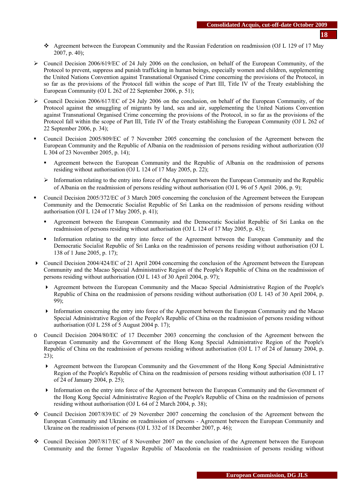- Agreement between the European Community and the Russian Federation on readmission (OJ L 129 of 17 May 2007, p. 40);
- $\geq$  Council Decision 2006/619/EC of 24 July 2006 on the conclusion, on behalf of the European Community, of the Protocol to prevent, suppress and punish trafficking in human beings, especially women and children, supplementing the United Nations Convention against Transnational Organised Crime concerning the provisions of the Protocol, in so far as the provisions of the Protocol fall within the scope of Part III, Title IV of the Treaty establishing the European Community (OJ L 262 of 22 September 2006, p. 51);
- $\triangleright$  Council Decision 2006/617/EC of 24 July 2006 on the conclusion, on behalf of the European Community, of the Protocol against the smuggling of migrants by land, sea and air, supplementing the United Nations Convention against Transnational Organised Crime concerning the provisions of the Protocol, in so far as the provisions of the Protocol fall within the scope of Part III, Title IV of the Treaty establishing the European Community (OJ L 262 of 22 September 2006, p. 34);
- Council Decision 2005/809/EC of 7 November 2005 concerning the conclusion of the Agreement between the European Community and the Republic of Albania on the readmission of persons residing without authorization (OJ L 304 of 23 November 2005, p. 14);
	- Agreement between the European Community and the Republic of Albania on the readmission of persons residing without authorisation (OJ L 124 of 17 May 2005, p. 22);
	- $\geq$  Information relating to the entry into force of the Agreement between the European Community and the Republic of Albania on the readmission of persons residing without authorisation (OJ L 96 of 5 April 2006, p. 9);
- Council Decision 2005/372/EC of 3 March 2005 concerning the conclusion of the Agreement between the European Community and the Democratic Socialist Republic of Sri Lanka on the readmission of persons residing without authorisation (OJ L 124 of 17 May 2005, p. 41);
	- Agreement between the European Community and the Democratic Socialist Republic of Sri Lanka on the readmission of persons residing without authorisation (OJ L 124 of 17 May 2005, p. 43);
	- Information relating to the entry into force of the Agreement between the European Community and the Democratic Socialist Republic of Sri Lanka on the readmission of persons residing without authorisation (OJ L 138 of 1 June 2005, p. 17);
- Council Decision 2004/424/EC of 21 April 2004 concerning the conclusion of the Agreement between the European Community and the Macao Special Administrative Region of the People's Republic of China on the readmission of persons residing without authorisation (OJ L 143 of 30 April 2004, p. 97);
	- Agreement between the European Community and the Macao Special Administrative Region of the People's Republic of China on the readmission of persons residing without authorisation (OJ L 143 of 30 April 2004, p. 99);
	- Information concerning the entry into force of the Agreement between the European Community and the Macao Special Administrative Region of the People's Republic of China on the readmission of persons residing without authorisation (OJ L 258 of 5 August 2004 p. 17);
- o Council Decision 2004/80/EC of 17 December 2003 concerning the conclusion of the Agreement between the European Community and the Government of the Hong Kong Special Administrative Region of the People's Republic of China on the readmission of persons residing without authorisation (OJ L 17 of 24 of January 2004, p. 23);
	- Agreement between the European Community and the Government of the Hong Kong Special Administrative Region of the People's Republic of China on the readmission of persons residing without authorisation (OJ L 17 of 24 of January 2004, p. 25);
	- Information on the entry into force of the Agreement between the European Community and the Government of the Hong Kong Special Administrative Region of the People's Republic of China on the readmission of persons residing without authorisation (OJ L 64 of 2 March 2004, p. 38);
- Council Decision 2007/839/EC of 29 November 2007 concerning the conclusion of the Agreement between the European Community and Ukraine on readmission of persons - Agreement between the European Community and Ukraine on the readmission of persons (OJ L 332 of 18 December 2007, p. 46);
- Council Decision 2007/817/EC of 8 November 2007 on the conclusion of the Agreement between the European Community and the former Yugoslav Republic of Macedonia on the readmission of persons residing without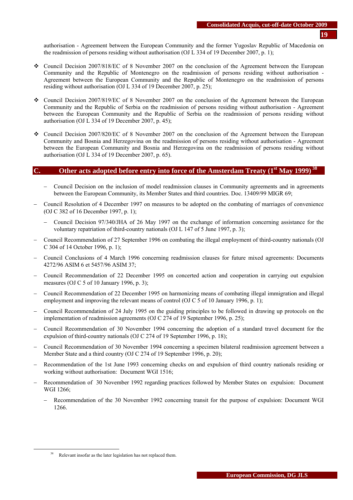authorisation - Agreement between the European Community and the former Yugoslav Republic of Macedonia on the readmission of persons residing without authorisation (OJ L 334 of 19 December 2007, p. 1);

- Council Decision 2007/818/EC of 8 November 2007 on the conclusion of the Agreement between the European Community and the Republic of Montenegro on the readmission of persons residing without authorisation - Agreement between the European Community and the Republic of Montenegro on the readmission of persons residing without authorisation (OJ L 334 of 19 December 2007, p. 25);
- Council Decision 2007/819/EC of 8 November 2007 on the conclusion of the Agreement between the European Community and the Republic of Serbia on the readmission of persons residing without authorisation - Agreement between the European Community and the Republic of Serbia on the readmission of persons residing without authorisation (OJ L 334 of 19 December 2007, p. 45);
- Council Decision 2007/820/EC of 8 November 2007 on the conclusion of the Agreement between the European Community and Bosnia and Herzegovina on the readmission of persons residing without authorisation - Agreement between the European Community and Bosnia and Herzegovina on the readmission of persons residing without authorisation (OJ L 334 of 19 December 2007, p. 65).

# **C. Other acts adopted before entry into force of the Amsterdam Treaty (1st May 1999) 38**

- − Council Decision on the inclusion of model readmission clauses in Community agreements and in agreements between the European Community, its Member States and third countries. Doc. 13409/99 MIGR 69;
- − Council Resolution of 4 December 1997 on measures to be adopted on the combating of marriages of convenience (OJ C 382 of 16 December 1997, p. 1);
	- − Council Decision 97/340/JHA of 26 May 1997 on the exchange of information concerning assistance for the voluntary repatriation of third-country nationals (OJ L 147 of 5 June 1997, p. 3);
- − Council Recommendation of 27 September 1996 on combating the illegal employment of third-country nationals (OJ C 304 of 14 October 1996, p. 1);
- − Council Conclusions of 4 March 1996 concerning readmission clauses for future mixed agreements: Documents 4272/96 ASIM 6 et 5457/96 ASIM 37;
- − Council Recommendation of 22 December 1995 on concerted action and cooperation in carrying out expulsion measures (OJ C 5 of 10 January 1996, p. 3);
- − Council Recommendation of 22 December 1995 on harmonizing means of combating illegal immigration and illegal employment and improving the relevant means of control (OJ C 5 of 10 January 1996, p. 1);
- − Council Recommendation of 24 July 1995 on the guiding principles to be followed in drawing up protocols on the implementation of readmission agreements (OJ C 274 of 19 September 1996, p. 25);
- − Council Recommendation of 30 November 1994 concerning the adoption of a standard travel document for the expulsion of third-country nationals (OJ C 274 of 19 September 1996, p. 18);
- − Council Recommendation of 30 November 1994 concerning a specimen bilateral readmission agreement between a Member State and a third country (OJ C 274 of 19 September 1996, p. 20);
- Recommendation of the 1st June 1993 concerning checks on and expulsion of third country nationals residing or working without authorisation: Document WGI 1516;
- − Recommendation of 30 November 1992 regarding practices followed by Member States on expulsion: Document WGI 1266;
	- Recommendation of the 30 November 1992 concerning transit for the purpose of expulsion: Document WGI 1266.

Relevant insofar as the later legislation has not replaced them.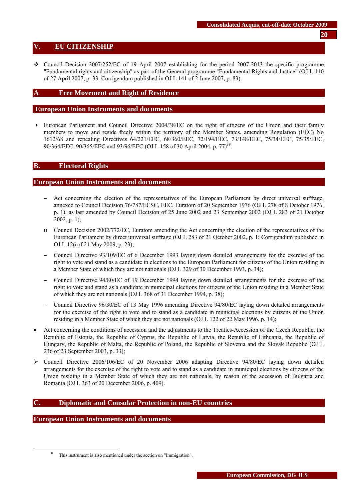# <span id="page-19-0"></span>**V. EU CITIZENSHIP**

• Council Decision 2007/252/EC of 19 April 2007 establishing for the period 2007-2013 the specific programme "Fundamental rights and citizenship" as part of the General programme "Fundamental Rights and Justice" (OJ L 110 of 27 April 2007, p. 33. Corrigendum published in OJ L 141 of 2 June 2007, p. 83).

## **A Free Movement and Right of Residence**

#### **European Union Instruments and documents**

 European Parliament and Council Directive 2004/38/EC on the right of citizens of the Union and their family members to move and reside freely within the territory of the Member States, amending Regulation (EEC) No 1612/68 and repealing Directives 64/221/EEC, 68/360/EEC, 72/194/EEC, 73/148/EEC, 75/34/EEC, 75/35/EEC, 90/364/EEC, 90/365/EEC and 93/96/EEC (OJ L 158 of 30 April 2004, p. 77)<sup>39</sup>.

#### **B. Electoral Rights**

#### **European Union Instruments and documents**

- Act concerning the election of the representatives of the European Parliament by direct universal suffrage, annexed to Council Decision 76/787/ECSC, EEC, Euratom of 20 September 1976 (OJ L 278 of 8 October 1976, p. 1), as last amended by Council Decision of 25 June 2002 and 23 September 2002 (OJ L 283 of 21 October 2002, p. 1);
- o Council Decision 2002/772/EC, Euratom amending the Act concerning the election of the representatives of the European Parliament by direct universal suffrage (OJ L 283 of 21 October 2002, p. 1; Corrigendum published in OJ L 126 of 21 May 2009, p. 23);
- − Council Directive 93/109/EC of 6 December 1993 laying down detailed arrangements for the exercise of the right to vote and stand as a candidate in elections to the European Parliament for citizens of the Union residing in a Member State of which they are not nationals (OJ L 329 of 30 December 1993, p. 34);
- − Council Directive 94/80/EC of 19 December 1994 laying down detailed arrangements for the exercise of the right to vote and stand as a candidate in municipal elections for citizens of the Union residing in a Member State of which they are not nationals (OJ L 368 of 31 December 1994, p. 38);
- − Council Directive 96/30/EC of 13 May 1996 amending Directive 94/80/EC laying down detailed arrangements for the exercise of the right to vote and to stand as a candidate in municipal elections by citizens of the Union residing in a Member State of which they are not nationals (OJ L 122 of 22 May 1996, p. 14);
- Act concerning the conditions of accession and the adjustments to the Treaties-Accession of the Czech Republic, the Republic of Estonia, the Republic of Cyprus, the Republic of Latvia, the Republic of Lithuania, the Republic of Hungary, the Republic of Malta, the Republic of Poland, the Republic of Slovenia and the Slovak Republic (OJ L 236 of 23 September 2003, p. 33);
- $\geq$  Council Directive 2006/106/EC of 20 November 2006 adapting Directive 94/80/EC laying down detailed arrangements for the exercise of the right to vote and to stand as a candidate in municipal elections by citizens of the Union residing in a Member State of which they are not nationals, by reason of the accession of Bulgaria and Romania (OJ L 363 of 20 December 2006, p. 409).

## **C. Diplomatic and Consular Protection in non-EU countries**

## **European Union Instruments and documents**

<sup>&</sup>lt;sup>39</sup> This instrument is also mentioned under the section on "Immigration".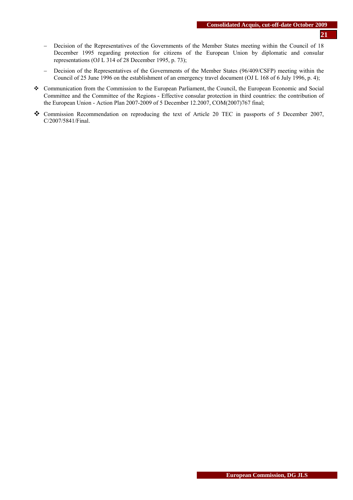- − Decision of the Representatives of the Governments of the Member States meeting within the Council of 18 December 1995 regarding protection for citizens of the European Union by diplomatic and consular representations (OJ L 314 of 28 December 1995, p. 73);
- − Decision of the Representatives of the Governments of the Member States (96/409/CSFP) meeting within the Council of 25 June 1996 on the establishment of an emergency travel document (OJ L 168 of 6 July 1996, p. 4);
- Communication from the Commission to the European Parliament, the Council, the European Economic and Social Committee and the Committee of the Regions - Effective consular protection in third countries: the contribution of the European Union - Action Plan 2007-2009 of 5 December 12.2007, COM(2007)767 final;
- Commission Recommendation on reproducing the text of Article 20 TEC in passports of 5 December 2007, C/2007/5841/Final.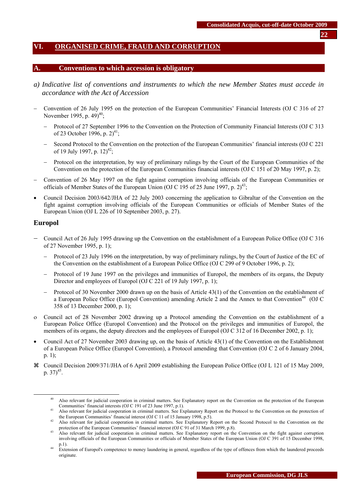# <span id="page-21-0"></span>**VI. ORGANISED CRIME, FRAUD AND CORRUPTION**

# **A. Conventions to which accession is obligatory**

- *a) Indicative list of conventions and instruments to which the new Member States must accede in accordance with the Act of Accession*
- − Convention of 26 July 1995 on the protection of the European Communities' Financial Interests (OJ C 316 of 27 November 1995, p.  $49)^{40}$ ;
	- − Protocol of 27 September 1996 to the Convention on the Protection of Community Financial Interests (OJ C 313 of 23 October 1996, p.  $2)^{41}$ ;
	- − Second Protocol to the Convention on the protection of the European Communities' financial interests (OJ C 221 of 19 July 1997, p.  $12)^{42}$ ;
	- Protocol on the interpretation, by way of preliminary rulings by the Court of the European Communities of the Convention on the protection of the European Communities financial interests (OJ C 151 of 20 May 1997, p. 2);
- − Convention of 26 May 1997 on the fight against corruption involving officials of the European Communities or officials of Member States of the European Union (OJ C 195 of 25 June 1997, p.  $2^{43}$ ;
- Council Decision 2003/642/JHA of 22 July 2003 concerning the application to Gibraltar of the Convention on the fight against corruption involving officials of the European Communities or officials of Member States of the European Union (OJ L 226 of 10 September 2003, p. 27).

#### **Europol**

- − Council Act of 26 July 1995 drawing up the Convention on the establishment of a European Police Office (OJ C 316 of 27 November 1995, p. 1);
	- Protocol of 23 July 1996 on the interpretation, by way of preliminary rulings, by the Court of Justice of the EC of the Convention on the establishment of a European Police Office (OJ C 299 of 9 October 1996, p. 2);
	- − Protocol of 19 June 1997 on the privileges and immunities of Europol, the members of its organs, the Deputy Director and employees of Europol (OJ C 221 of 19 July 1997, p. 1);
	- − Protocol of 30 November 2000 drawn up on the basis of Article 43(1) of the Convention on the establishment of a European Police Office (Europol Convention) amending Article 2 and the Annex to that Convention<sup>44</sup> (OJ C 358 of 13 December 2000, p. 1);
- ο Council act of 28 November 2002 drawing up a Protocol amending the Convention on the establishment of a European Police Office (Europol Convention) and the Protocol on the privileges and immunities of Europol, the members of its organs, the deputy directors and the employees of Europol (OJ C 312 of 16 December 2002, p. 1);
- Council Act of 27 November 2003 drawing up, on the basis of Article 43(1) of the Convention on the Establishment of a European Police Office (Europol Convention), a Protocol amending that Convention (OJ C 2 of 6 January 2004, p. 1);
- a Council Decision 2009/371/JHA of 6 April 2009 establishing the European Police Office (OJ L 121 of 15 May 2009, p.  $37)^{45}$ .

<sup>&</sup>lt;sup>40</sup> Also relevant for judicial cooperation in criminal matters. See Explanatory report on the Convention on the protection of the European Communities' financial interests (OJ C 191 of 23 June 1997, p.1).

Also relevant for judicial cooperation in criminal matters. See Explanatory Report on the Protocol to the Convention on the protection of the European Communities' financial interest (OJ C 11 of 15 January 1998, p.5).

the European Communities' financial interest (OJ C 91 of 15 March 1999, p.5). 42 Also relevant for judicial cooperation in criminal matters. See Explanatory Report on the Second Protocol to the Convention on the protection

Also relevant for judicial cooperation in criminal matters. See Explanatory report on the Convention on the fight against corruption involving officials of the European Communities or officials of Member States of the European Union (OJ C 391 of 15 December 1998, p.1).

p.1). 44 Extension of Europol's competence to money laundering in general, regardless of the type of offences from which the laundered proceeds originate.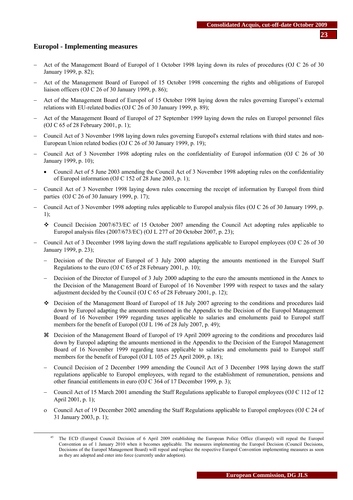## **Europol - Implementing measures**

- − Act of the Management Board of Europol of 1 October 1998 laying down its rules of procedures (OJ C 26 of 30 January 1999, p. 82);
- − Act of the Management Board of Europol of 15 October 1998 concerning the rights and obligations of Europol liaison officers (OJ C 26 of 30 January 1999, p. 86);
- − Act of the Management Board of Europol of 15 October 1998 laying down the rules governing Europol's external relations with EU-related bodies (OJ C 26 of 30 January 1999, p. 89);
- − Act of the Management Board of Europol of 27 September 1999 laying down the rules on Europol personnel files (OJ C 65 of 28 February 2001, p. 1);
- − Council Act of 3 November 1998 laying down rules governing Europol's external relations with third states and non-European Union related bodies (OJ C 26 of 30 January 1999, p. 19);
- − Council Act of 3 November 1998 adopting rules on the confidentiality of Europol information (OJ C 26 of 30 January 1999, p. 10);
	- Council Act of 5 June 2003 amending the Council Act of 3 November 1998 adopting rules on the confidentiality of Europol information (OJ C 152 of 28 June 2003, p. 1);
- − Council Act of 3 November 1998 laying down rules concerning the receipt of information by Europol from third parties (OJ C 26 of 30 January 1999, p. 17);
- − Council Act of 3 November 1998 adopting rules applicable to Europol analysis files (OJ C 26 of 30 January 1999, p. 1);
	- Council Decision 2007/673/EC of 15 October 2007 amending the Council Act adopting rules applicable to Europol analysis files (2007/673/EC) (OJ L 277 of 20 October 2007, p. 23);
- − Council Act of 3 December 1998 laying down the staff regulations applicable to Europol employees (OJ C 26 of 30 January 1999, p. 23);
	- Decision of the Director of Europol of 3 July 2000 adapting the amounts mentioned in the Europol Staff Regulations to the euro (OJ C 65 of 28 February 2001, p. 10);
	- Decision of the Director of Europol of 3 July 2000 adapting to the euro the amounts mentioned in the Annex to the Decision of the Management Board of Europol of 16 November 1999 with respect to taxes and the salary adjustment decided by the Council (OJ C 65 of 28 February 2001, p. 12);
	- Decision of the Management Board of Europol of 18 July 2007 agreeing to the conditions and procedures laid down by Europol adapting the amounts mentioned in the Appendix to the Decision of the Europol Management Board of 16 November 1999 regarding taxes applicable to salaries and emoluments paid to Europol staff members for the benefit of Europol (OJ L 196 of 28 July 2007, p. 49);
	- a Decision of the Management Board of Europol of 19 April 2009 agreeing to the conditions and procedures laid down by Europol adapting the amounts mentioned in the Appendix to the Decision of the Europol Management Board of 16 November 1999 regarding taxes applicable to salaries and emoluments paid to Europol staff members for the benefit of Europol (OJ L 105 of 25 April 2009, p. 18);
	- − Council Decision of 2 December 1999 amending the Council Act of 3 December 1998 laying down the staff regulations applicable to Europol employees, with regard to the establishment of remuneration, pensions and other financial entitlements in euro (OJ C 364 of 17 December 1999, p. 3);
	- − Council Act of 15 March 2001 amending the Staff Regulations applicable to Europol employees (OJ C 112 of 12 April 2001, p. 1);
	- ο Council Act of 19 December 2002 amending the Staff Regulations applicable to Europol employees (OJ C 24 of 31 January 2003, p. 1);

<sup>&</sup>lt;sup>45</sup> The ECD (Europol Council Decision of 6 April 2009 establishing the European Police Office (Europol) will repeal the Europol Convention as of 1 January 2010 when it becomes applicable. The measures implementing the Europol Decision (Council Decisions, Decisions of the Europol Management Board) will repeal and replace the respective Europol Convention implementing measures as soon as they are adopted and enter into force (currently under adoption).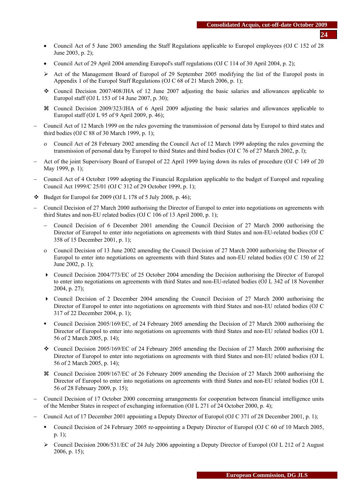- Council Act of 5 June 2003 amending the Staff Regulations applicable to Europol employees (OJ C 152 of 28 June 2003, p. 2);
- Council Act of 29 April 2004 amending Europol's staff regulations (OJ C 114 of 30 April 2004, p. 2);
- ¾ Act of the Management Board of Europol of 29 September 2005 modifying the list of the Europol posts in Appendix 1 of the Europol Staff Regulations (OJ C 68 of 21 March 2006, p. 1);
- Council Decision 2007/408/JHA of 12 June 2007 adjusting the basic salaries and allowances applicable to Europol staff (OJ L 153 of 14 June 2007, p. 30);
- a Council Decision 2009/323/JHA of 6 April 2009 adjusting the basic salaries and allowances applicable to Europol staff (OJ L 95 of 9 April 2009, p. 46);
- − Council Act of 12 March 1999 on the rules governing the transmission of personal data by Europol to third states and third bodies (OJ C 88 of 30 March 1999, p. 1);
	- ο Council Act of 28 February 2002 amending the Council Act of 12 March 1999 adopting the rules governing the transmission of personal data by Europol to third States and third bodies (OJ C 76 of 27 March 2002, p. l);
- − Act of the joint Supervisory Board of Europol of 22 April 1999 laying down its rules of procedure (OJ C 149 of 20 May 1999, p. 1);
- − Council Act of 4 October 1999 adopting the Financial Regulation applicable to the budget of Europol and repealing Council Act 1999/C 25/01 (OJ C 312 of 29 October 1999, p. 1);
- $\bullet$  Budget for Europol for 2009 (OJ L 178 of 5 July 2008, p. 46);
- − Council Decision of 27 March 2000 authorising the Director of Europol to enter into negotiations on agreements with third States and non-EU related bodies (OJ C 106 of 13 April 2000, p. 1);
	- − Council Decision of 6 December 2001 amending the Council Decision of 27 March 2000 authorising the Director of Europol to enter into negotiations on agreements with third States and non-EU-related bodies (OJ C 358 of 15 December 2001, p. 1);
	- ο Council Decision of 13 June 2002 amending the Council Decision of 27 March 2000 authorising the Director of Europol to enter into negotiations on agreements with third States and non-EU related bodies (OJ C 150 of 22 June 2002, p. 1);
	- Council Decision 2004/773/EC of 25 October 2004 amending the Decision authorising the Director of Europol to enter into negotiations on agreements with third States and non-EU-related bodies (OJ L 342 of 18 November 2004, p. 27);
	- Council Decision of 2 December 2004 amending the Council Decision of 27 March 2000 authorising the Director of Europol to enter into negotiations on agreements with third States and non-EU related bodies (OJ C 317 of 22 December 2004, p. 1);
	- Council Decision 2005/169/EC, of 24 February 2005 amending the Decision of 27 March 2000 authorising the Director of Europol to enter into negotiations on agreements with third States and non-EU related bodies (OJ L 56 of 2 March 2005, p. 14);
	- Council Decision 2005/169/EC of 24 February 2005 amending the Decision of 27 March 2000 authorising the Director of Europol to enter into negotiations on agreements with third States and non-EU related bodies (OJ L 56 of 2 March 2005, p. 14);
	- a Council Decision 2009/167/EC of 26 February 2009 amending the Decision of 27 March 2000 authorising the Director of Europol to enter into negotiations on agreements with third States and non-EU related bodies (OJ L 56 of 28 February 2009, p. 15);
- − Council Decision of 17 October 2000 concerning arrangements for cooperation between financial intelligence units of the Member States in respect of exchanging information (OJ L 271 of 24 October 2000, p. 4);
- − Council Act of 17 December 2001 appointing a Deputy Director of Europol (OJ C 371 of 28 December 2001, p. 1);
	- Council Decision of 24 February 2005 re-appointing a Deputy Director of Europol (OJ C 60 of 10 March 2005, p. 1);
	- ¾ Council Decision 2006/531/EC of 24 July 2006 appointing a Deputy Director of Europol (OJ L 212 of 2 August 2006, p. 15);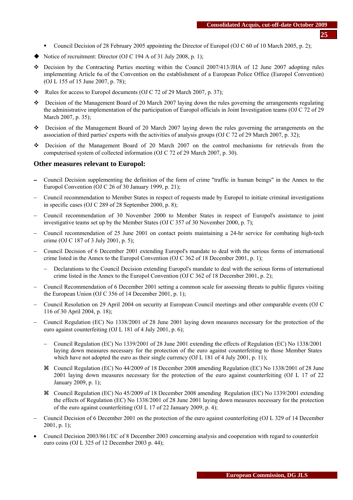- **25**
- Council Decision of 28 February 2005 appointing the Director of Europol (OJ C 60 of 10 March 2005, p. 2);
- $\blacklozenge$  Notice of recruitment: Director (OJ C 194 A of 31 July 2008, p. 1);
- $\div$  Decision by the Contracting Parties meeting within the Council 2007/413/JHA of 12 June 2007 adopting rules implementing Article 6a of the Convention on the establishment of a European Police Office (Europol Convention) (OJ L 155 of 15 June 2007, p. 78);
- Rules for access to Europol documents (OJ C 72 of 29 March 2007, p. 37);
- Decision of the Management Board of 20 March 2007 laying down the rules governing the arrangements regulating the administrative implementation of the participation of Europol officials in Joint Investigation teams (OJ C 72 of 29 March 2007, p. 35);
- Decision of the Management Board of 20 March 2007 laying down the rules governing the arrangements on the association of third parties' experts with the activities of analysis groups (OJ C 72 of 29 March 2007, p. 32);
- Decision of the Management Board of 20 March 2007 on the control mechanisms for retrievals from the computerised system of collected information (OJ C 72 of 29 March 2007, p. 30).

## **Other measures relevant to Europol:**

- − Council Decision supplementing the definition of the form of crime "traffic in human beings" in the Annex to the Europol Convention (OJ C 26 of 30 January 1999, p. 21);
- − Council recommendation to Member States in respect of requests made by Europol to initiate criminal investigations in specific cases (OJ C 289 of 28 September 2000, p. 8);
- − Council recommendation of 30 November 2000 to Member States in respect of Europol's assistance to joint investigative teams set up by the Member States (OJ C 357 of 30 November 2000, p. 7);
- − Council recommendation of 25 June 2001 on contact points maintaining a 24-hr service for combating high-tech crime (OJ C 187 of 3 July 2001, p. 5);
- − Council Decision of 6 December 2001 extending Europol's mandate to deal with the serious forms of international crime listed in the Annex to the Europol Convention (OJ C 362 of 18 December 2001, p. 1);
	- − Declarations to the Council Decision extending Europol's mandate to deal with the serious forms of international crime listed in the Annex to the Europol Convention (OJ C 362 of 18 December 2001, p. 2);
- − Council Recommendation of 6 December 2001 setting a common scale for assessing threats to public figures visiting the European Union (OJ C 356 of 14 December 2001, p. 1);
- − Council Resolution on 29 April 2004 on security at European Council meetings and other comparable events (OJ C 116 of 30 April 2004, p. 18);
- − Council Regulation (EC) No 1338/2001 of 28 June 2001 laying down measures necessary for the protection of the euro against counterfeiting (OJ L 181 of 4 July 2001, p. 6);
	- − Council Regulation (EC) No 1339/2001 of 28 June 2001 extending the effects of Regulation (EC) No 1338/2001 laying down measures necessary for the protection of the euro against counterfeiting to those Member States which have not adopted the euro as their single currency (OJ L 181 of 4 July 2001, p. 11);
	- a Council Regulation (EC) No 44/2009 of 18 December 2008 amending Regulation (EC) No 1338/2001 of 28 June 2001 laying down measures necessary for the protection of the euro against counterfeiting (OJ L 17 of 22 January 2009, p. 1);
	- a Council Regulation (EC) No 45/2009 of 18 December 2008 amending Regulation (EC) No 1339/2001 extending the effects of Regulation (EC) No 1338/2001 of 28 June 2001 laying down measures necessary for the protection of the euro against counterfeiting (OJ L 17 of 22 January 2009, p. 4);
- − Council Decision of 6 December 2001 on the protection of the euro against counterfeiting (OJ L 329 of 14 December 2001, p. 1);
- Council Decision 2003/861/EC of 8 December 2003 concerning analysis and cooperation with regard to counterfeit euro coins (OJ L 325 of 12 December 2003 p. 44);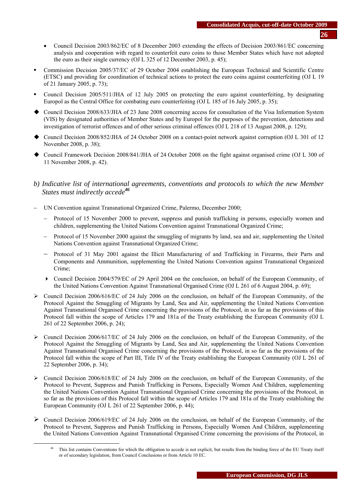- Council Decision 2003/862/EC of 8 December 2003 extending the effects of Decision 2003/861/EC concerning analysis and cooperation with regard to counterfeit euro coins to those Member States which have not adopted the euro as their single currency (OJ L 325 of 12 December 2003, p. 45);
- Commission Decision 2005/37/EC of 29 October 2004 establishing the European Technical and Scientific Centre (ETSC) and providing for coordination of technical actions to protect the euro coins against counterfeiting (OJ L 19 of 21 January 2005, p. 73);
- Council Decision 2005/511/JHA of 12 July 2005 on protecting the euro against counterfeiting, by designating Europol as the Central Office for combating euro counterfeiting (OJ L 185 of 16 July 2005, p. 35);
- Council Decision 2008/633/JHA of 23 June 2008 concerning access for consultation of the Visa Information System (VIS) by designated authorities of Member States and by Europol for the purposes of the prevention, detections and investigation of terrorist offences and of other serious criminal offences (OJ L 218 of 13 August 2008, p. 129);
- Council Decision 2008/852/JHA of 24 October 2008 on a contact-point network against corruption (OJ L 301 of 12 November 2008, p. 38);
- Council Framework Decision 2008/841/JHA of 24 October 2008 on the fight against organised crime (OJ L 300 of 11 November 2008, p. 42).

# *b) Indicative list of international agreements, conventions and protocols to which the new Member States must indirectly accede<sup>46</sup>*

- − UN Convention against Transnational Organized Crime, Palermo, December 2000;
	- − Protocol of 15 November 2000 to prevent, suppress and punish trafficking in persons, especially women and children, supplementing the United Nations Convention against Transnational Organized Crime;
	- Protocol of 15 November 2000 against the smuggling of migrants by land, sea and air, supplementing the United Nations Convention against Transnational Organized Crime;
	- Protocol of 31 May 2001 against the Illicit Manufacturing of and Trafficking in Firearms, their Parts and Components and Ammunition, supplementing the United Nations Convention against Transnational Organized Crime;
	- Council Decision 2004/579/EC of 29 April 2004 on the conclusion, on behalf of the European Community, of the United Nations Convention Against Transnational Organised Crime (OJ L 261 of 6 August 2004, p. 69);
- $\geq$  Council Decision 2006/616/EC of 24 July 2006 on the conclusion, on behalf of the European Community, of the Protocol Against the Smuggling of Migrants by Land, Sea and Air, supplementing the United Nations Convention Against Transnational Organised Crime concerning the provisions of the Protocol, in so far as the provisions of this Protocol fall within the scope of Articles 179 and 181a of the Treaty establishing the European Community (OJ L 261 of 22 September 2006, p. 24);
- $\triangleright$  Council Decision 2006/617/EC of 24 July 2006 on the conclusion, on behalf of the European Community, of the Protocol Against the Smuggling of Migrants by Land, Sea and Air, supplementing the United Nations Convention Against Transnational Organised Crime concerning the provisions of the Protocol, in so far as the provisions of the Protocol fall within the scope of Part III, Title IV of the Treaty establishing the European Community (OJ L 261 of 22 September 2006, p. 34);
- $\triangleright$  Council Decision 2006/618/EC of 24 July 2006 on the conclusion, on behalf of the European Community, of the Protocol to Prevent, Suppress and Punish Trafficking in Persons, Especially Women And Children, supplementing the United Nations Convention Against Transnational Organised Crime concerning the provisions of the Protocol, in so far as the provisions of this Protocol fall within the scope of Articles 179 and 181a of the Treaty establishing the European Community (OJ L 261 of 22 September 2006, p. 44);
- $\triangleright$  Council Decision 2006/619/EC of 24 July 2006 on the conclusion, on behalf of the European Community, of the Protocol to Prevent, Suppress and Punish Trafficking in Persons, Especially Women And Children, supplementing the United Nations Convention Against Transnational Organised Crime concerning the provisions of the Protocol, in

<sup>&</sup>lt;sup>46</sup> This list contains Conventions for which the obligation to accede is not explicit, but results from the binding force of the EU Treaty itself or of secondary legislation, from Council Conclusions or from Article 10 EC.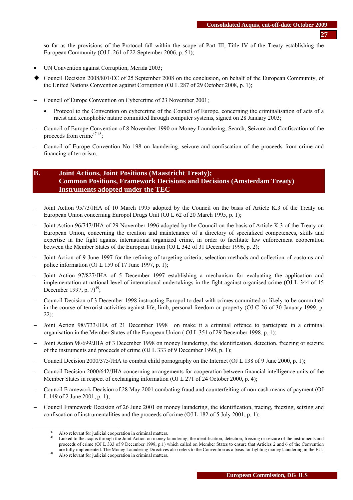so far as the provisions of the Protocol fall within the scope of Part III, Title IV of the Treaty establishing the European Community (OJ L 261 of 22 September 2006, p. 51);

- UN Convention against Corruption, Merida 2003;
- Council Decision 2008/801/EC of 25 September 2008 on the conclusion, on behalf of the European Community, of the United Nations Convention against Corruption (OJ L 287 of 29 October 2008, p. 1);
- − Council of Europe Convention on Cybercrime of 23 November 2001;
	- Protocol to the Convention on cybercrime of the Council of Europe, concerning the criminalisation of acts of a racist and xenophobic nature committed through computer systems, signed on 28 January 2003;
- − Council of Europe Convention of 8 November 1990 on Money Laundering, Search, Seizure and Confiscation of the proceeds from crime $4748$ ;
- − Council of Europe Convention No 198 on laundering, seizure and confiscation of the proceeds from crime and financing of terrorism.

# **B. Joint Actions, Joint Positions (Maastricht Treaty); Common Positions, Framework Decisions and Decisions (Amsterdam Treaty) Instruments adopted under the TEC**

- Joint Action 95/73/JHA of 10 March 1995 adopted by the Council on the basis of Article K.3 of the Treaty on European Union concerning Europol Drugs Unit (OJ L 62 of 20 March 1995, p. 1);
- Joint Action 96/747/JHA of 29 November 1996 adopted by the Council on the basis of Article K.3 of the Treaty on European Union, concerning the creation and maintenance of a directory of specialized competences, skills and expertise in the fight against international organized crime, in order to facilitate law enforcement cooperation between the Member States of the European Union (OJ L 342 of 31 December 1996, p. 2);
- Joint Action of 9 June 1997 for the refining of targeting criteria, selection methods and collection of customs and police information (OJ L 159 of 17 June 1997, p. 1);
- Joint Action 97/827/JHA of 5 December 1997 establishing a mechanism for evaluating the application and implementation at national level of international undertakings in the fight against organised crime (OJ L 344 of 15 December 1997, p.  $7)^{49}$ ;
- − Council Decision of 3 December 1998 instructing Europol to deal with crimes committed or likely to be committed in the course of terrorist activities against life, limb, personal freedom or property (OJ C 26 of 30 January 1999, p. 22);
- Joint Action 98//733/JHA of 21 December 1998 on make it a criminal offence to participate in a criminal organisation in the Member States of the European Union ( OJ L 351 of 29 December 1998, p. 1);
- Joint Action 98/699/JHA of 3 December 1998 on money laundering, the identification, detection, freezing or seizure of the instruments and proceeds of crime (OJ L 333 of 9 December 1998, p. 1);
- − Council Decision 2000/375/JHA to combat child pornography on the Internet (OJ L 138 of 9 June 2000, p. 1);
- − Council Decision 2000/642/JHA concerning arrangements for cooperation between financial intelligence units of the Member States in respect of exchanging information (OJ L 271 of 24 October 2000, p. 4);
- − Council Framework Decision of 28 May 2001 combating fraud and counterfeiting of non-cash means of payment (OJ L 149 of 2 June 2001, p. 1);
- − Council Framework Decision of 26 June 2001 on money laundering, the identification, tracing, freezing, seizing and confiscation of instrumentalities and the proceeds of crime (OJ L 182 of 5 July 2001, p. 1);

Also relevant for judicial cooperation in criminal matters.<br>
48 Linked to the acquis through the Joint Action on money laundering, the identification, detection, freezing or seizure of the instruments and proceeds of crime (OJ L 333 of 9 December 1998, p.1) which called on Member States to ensure that Articles 2 and 6 of the Convention are fully implemented. The Money Laundering Directives also refers to the Convention as a basis for fighting money laundering in the EU.<br><sup>49</sup> Also relevant for judicial cooperation in criminal matters.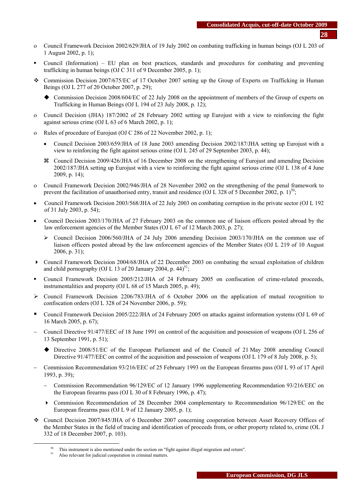- ο Council Framework Decision 2002/629/JHA of 19 July 2002 on combating trafficking in human beings (OJ L 203 of 1 August 2002, p. 1);
- Council (Information) EU plan on best practices, standards and procedures for combating and preventing trafficking in human beings (OJ C 311 of 9 December 2005, p. 1);
- Commission Decision 2007/675/EC of 17 October 2007 setting up the Group of Experts on Trafficking in Human Beings (OJ L 277 of 20 October 2007, p. 29);
	- Commission Decision 2008/604/EC of 22 July 2008 on the appointment of members of the Group of experts on Trafficking in Human Beings (OJ L 194 of 23 July 2008, p. 12);
- ο Council Decision (JHA) 187/2002 of 28 February 2002 setting up Eurojust with a view to reinforcing the fight against serious crime (OJ L 63 of 6 March 2002, p. 1);
- Rules of procedure of Eurojust (OJ C 286 of 22 November 2002, p. 1);
	- Council Decision 2003/659/JHA of 18 June 2003 amending Decision 2002/187/JHA setting up Eurojust with a view to reinforcing the fight against serious crime (OJ L 245 of 29 September 2003, p. 44);
	- a Council Decision 2009/426/JHA of 16 December 2008 on the strengthening of Eurojust and amending Decision 2002/187/JHA setting up Eurojust with a view to reinforcing the fight against serious crime (OJ L 138 of 4 June 2009, p. 14);
- ο Council Framework Decision 2002/946/JHA of 28 November 2002 on the strengthening of the penal framework to prevent the facilitation of unauthorised entry, transit and residence (OJ L 328 of 5 December 2002, p. 1)<sup>50</sup>;
- Council Framework Decision 2003/568/JHA of 22 July 2003 on combating corruption in the private sector (OJ L 192 of 31 July 2003, p. 54);
- Council Decision 2003/170/JHA of 27 February 2003 on the common use of liaison officers posted abroad by the law enforcement agencies of the Member States (OJ L 67 of 12 March 2003, p. 27);
	- $\triangleright$  Council Decision 2006/560/JHA of 24 July 2006 amending Decision 2003/170/JHA on the common use of liaison officers posted abroad by the law enforcement agencies of the Member States (OJ L 219 of 10 August 2006, p. 31);
- Council Framework Decision 2004/68/JHA of 22 December 2003 on combating the sexual exploitation of children and child pornography (OJ L 13 of 20 January 2004, p.  $44$ )<sup>51</sup>;
- Council Framework Decision 2005/212/JHA of 24 February 2005 on confiscation of crime-related proceeds, instrumentalities and property (OJ L 68 of 15 March 2005, p. 49);
- $\geq$  Council Framework Decision 2206/783/JHA of 6 October 2006 on the application of mutual recognition to confiscation orders (OJ L 328 of 24 November 2006, p. 59);
- Council Framework Decision 2005/222/JHA of 24 February 2005 on attacks against information systems (OJ L 69 of 16 March 2005, p. 67);
- − Council Directive 91/477/EEC of 18 June 1991 on control of the acquisition and possession of weapons (OJ L 256 of 13 September 1991, p. 51);
	- Directive 2008/51/EC of the European Parliament and of the Council of 21 May 2008 amending Council Directive 91/477/EEC on control of the acquisition and possession of weapons (OJ L 179 of 8 July 2008, p. 5);
- − Commission Recommendation 93/216/EEC of 25 February 1993 on the European firearms pass (OJ L 93 of 17 April 1993, p. 39);
	- − Commission Recommendation 96/129/EC of 12 January 1996 supplementing Recommendation 93/216/EEC on the European firearms pass (OJ L 30 of 8 February 1996, p. 47);
	- Commission Recommendation of 28 December 2004 complementary to Recommendation 96/129/EC on the European firearms pass (OJ L 9 of 12 January 2005, p. 1);
- Council Decision 2007/845/JHA of 6 December 2007 concerning cooperation between Asset Recovery Offices of the Member States in the field of tracing and identification of proceeds from, or other property related to, crime (OL J 332 of 18 December 2007, p. 103).

<sup>&</sup>lt;sup>50</sup> This instrument is also mentioned under the section on "fight against illegal migration and return".<br><sup>51</sup> Also relevant for judicial cooperation in criminal matters.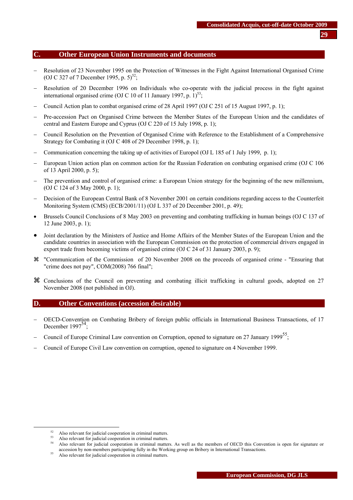#### **C. Other European Union Instruments and documents**

- Resolution of 23 November 1995 on the Protection of Witnesses in the Fight Against International Organised Crime (OJ C 327 of 7 December 1995, p. 5)<sup>52</sup>;
- Resolution of 20 December 1996 on Individuals who co-operate with the judicial process in the fight against international organised crime (OJ C 10 of 11 January 1997, p.  $1$ )<sup>53</sup>;
- − Council Action plan to combat organised crime of 28 April 1997 (OJ C 251 of 15 August 1997, p. 1);
- − Pre-accession Pact on Organised Crime between the Member States of the European Union and the candidates of central and Eastern Europe and Cyprus (OJ C 220 of 15 July 1998, p. 1);
- − Council Resolution on the Prevention of Organised Crime with Reference to the Establishment of a Comprehensive Strategy for Combating it (OJ C 408 of 29 December 1998, p. 1);
- − Communication concerning the taking up of activities of Europol (OJ L 185 of 1 July 1999, p. 1);
- − European Union action plan on common action for the Russian Federation on combating organised crime (OJ C 106 of 13 April 2000, p. 5);
- The prevention and control of organised crime: a European Union strategy for the beginning of the new millennium, (OJ C 124 of 3 May 2000, p. 1);
- − Decision of the European Central Bank of 8 November 2001 on certain conditions regarding access to the Counterfeit Monitoring System (CMS) (ECB/2001/11) (OJ L 337 of 20 December 2001, p. 49);
- Brussels Council Conclusions of 8 May 2003 on preventing and combating trafficking in human beings (OJ C 137 of 12 June 2003, p. 1);
- Joint declaration by the Ministers of Justice and Home Affairs of the Member States of the European Union and the candidate countries in association with the European Commission on the protection of commercial drivers engaged in export trade from becoming victims of organised crime (OJ C 24 of 31 January 2003, p. 9);
- a "Communication of the Commission of 20 November 2008 on the proceeds of organised crime "Ensuring that "crime does not pay", COM(2008) 766 final";
- a Conclusions of the Council on preventing and combating illicit trafficking in cultural goods, adopted on 27 November 2008 (not published in OJ).

## **D. Other Conventions (accession desirable)**

- − OECD-Convention on Combating Bribery of foreign public officials in International Business Transactions, of 17 December 1997<sup>-</sup> ;
- − Council of Europe Criminal Law convention on Corruption, opened to signature on 27 January 1999<sup>55</sup>;
- − Council of Europe Civil Law convention on corruption, opened to signature on 4 November 1999.

<sup>&</sup>lt;sup>52</sup> Also relevant for judicial cooperation in criminal matters.<br><sup>53</sup> Also relevant for judicial cooperation in criminal matters.<br><sup>54</sup> Also relevant for judicial cooperation in criminal matters. As well as the members of accession by non-members participating fully in the Working group on Bribery in International Transactions.<br><sup>55</sup> Also relevant for judicial cooperation in criminal matters.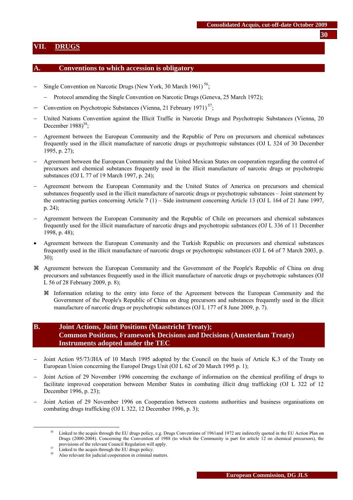## <span id="page-29-0"></span>**VII. DRUGS**

#### **A. Conventions to which accession is obligatory**

- Single Convention on Narcotic Drugs (New York, 30 March 1961)  $56$ ;
	- Protocol amending the Single Convention on Narcotic Drugs (Geneva, 25 March 1972);
- − Convention on Psychotropic Substances (Vienna, 21 February 1971)<sup>57</sup>;
- − United Nations Convention against the Illicit Traffic in Narcotic Drugs and Psychotropic Substances (Vienna, 20 December  $1988$ <sup>58</sup>;
- − Agreement between the European Community and the Republic of Peru on precursors and chemical substances frequently used in the illicit manufacture of narcotic drugs or psychotropic substances (OJ L 324 of 30 December 1995, p. 27);
- − Agreement between the European Community and the United Mexican States on cooperation regarding the control of precursors and chemical substances frequently used in the illicit manufacture of narcotic drugs or psychotropic substances (OJ L 77 of 19 March 1997, p. 24);
- − Agreement between the European Community and the United States of America on precursors and chemical substances frequently used in the illicit manufacture of narcotic drugs or psychotropic substances – Joint statement by the contracting parties concerning Article 7 (1) – Side instrument concerning Article 13 (OJ L 164 of 21 June 1997, p. 24);
- − Agreement between the European Community and the Republic of Chile on precursors and chemical substances frequently used for the illicit manufacture of narcotic drugs and psychotropic substances (OJ L 336 of 11 December 1998, p. 48);
- Agreement between the European Community and the Turkish Republic on precursors and chemical substances frequently used in the illicit manufacture of narcotic drugs or psychotropic substances (OJ L 64 of 7 March 2003, p. 30);
- a Agreement between the European Community and the Government of the People's Republic of China on drug precursors and substances frequently used in the illicit manufacture of narcotic drugs or psychotropic substances (OJ L 56 of 28 February 2009, p. 8);
	- a Information relating to the entry into force of the Agreement between the European Community and the Government of the People's Republic of China on drug precursors and substances frequently used in the illicit manufacture of narcotic drugs or psychotropic substances (OJ L 177 of 8 June 2009, p. 7).

# **B. Joint Actions, Joint Positions (Maastricht Treaty); Common Positions, Framework Decisions and Decisions (Amsterdam Treaty) Instruments adopted under the TEC**

- Joint Action 95/73/JHA of 10 March 1995 adopted by the Council on the basis of Article K.3 of the Treaty on European Union concerning the Europol Drugs Unit (OJ L 62 of 20 March 1995 p. 1);
- − Joint Action of 29 November 1996 concerning the exchange of information on the chemical profiling of drugs to facilitate improved cooperation between Member States in combating illicit drug trafficking (OJ L 322 of 12 December 1996, p. 23);
- Joint Action of 29 November 1996 on Cooperation between customs authorities and business organisations on combating drugs trafficking (OJ L 322, 12 December 1996, p. 3);

**30**

Linked to the acquis through the EU drugs policy, e.g. Drugs Conventions of 1961and 1972 are indirectly quoted in the EU Action Plan on Drugs (2000-2004). Concerning the Convention of 1988 (to which the Community is part for article 12 on chemical precursors), the provisions of the relevant Council Regulation will apply.<br>  $\frac{57}{100}$  Linked to the acquis through the EU drugs policy.

Also relevant for judicial cooperation in criminal matters.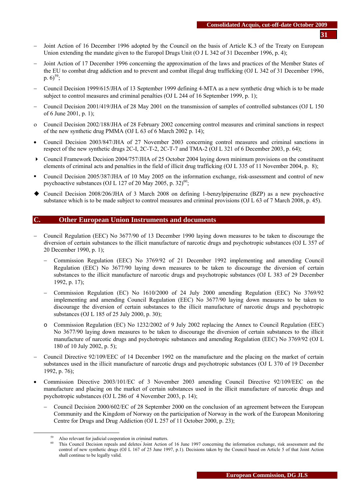- Joint Action of 16 December 1996 adopted by the Council on the basis of Article K.3 of the Treaty on European Union extending the mandate given to the Europol Drugs Unit (O J L 342 of 31 December 1996, p. 4);
- − Joint Action of 17 December 1996 concerning the approximation of the laws and practices of the Member States of the EU to combat drug addiction and to prevent and combat illegal drug trafficking (OJ L 342 of 31 December 1996, p.  $6^{59}$ ;
- − Council Decision 1999/615/JHA of 13 September 1999 defining 4-MTA as a new synthetic drug which is to be made subject to control measures and criminal penalties (OJ L 244 of 16 September 1999, p. 1);
- − Council Decision 2001/419/JHA of 28 May 2001 on the transmission of samples of controlled substances (OJ L 150 of 6 June 2001, p. 1);
- ο Council Decision 2002/188/JHA of 28 February 2002 concerning control measures and criminal sanctions in respect of the new synthetic drug PMMA (OJ L 63 of 6 March 2002 p. 14);
- Council Decision 2003/847/JHA of 27 November 2003 concerning control measures and criminal sanctions in respect of the new synthetic drugs 2C-I, 2C-T-2, 2C-T-7 and TMA-2 (OJ L 321 of 6 December 2003, p. 64);
- Council Framework Decision 2004/757/JHA of 25 October 2004 laying down minimum provisions on the constituent elements of criminal acts and penalties in the field of illicit drug trafficking (OJ L 335 of 11 November 2004, p. 8);
- Council Decision 2005/387/JHA of 10 May 2005 on the information exchange, risk-assessment and control of new psychoactive substances (OJ L 127 of 20 May 2005, p. 32)<sup>60</sup>;
- Council Decision 2008/206/JHA of 3 March 2008 on defining 1-benzylpiperazine (BZP) as a new psychoactive substance which is to be made subject to control measures and criminal provisions (OJ L 63 of 7 March 2008, p. 45).

#### **C. Other European Union Instruments and documents**

- − Council Regulation (EEC) No 3677/90 of 13 December 1990 laying down measures to be taken to discourage the diversion of certain substances to the illicit manufacture of narcotic drugs and psychotropic substances (OJ L 357 of 20 December 1990, p. 1);
	- − Commission Regulation (EEC) No 3769/92 of 21 December 1992 implementing and amending Council Regulation (EEC) No 3677/90 laying down measures to be taken to discourage the diversion of certain substances to the illicit manufacture of narcotic drugs and psychotropic substances (OJ L 383 of 29 December 1992, p. 17);
	- − Commission Regulation (EC) No 1610/2000 of 24 July 2000 amending Regulation (EEC) No 3769/92 implementing and amending Council Regulation (EEC) No 3677/90 laying down measures to be taken to discourage the diversion of certain substances to the illicit manufacture of narcotic drugs and psychotropic substances (OJ L 185 of 25 July 2000, p. 30);
	- o Commission Regulation (EC) No 1232/2002 of 9 July 2002 replacing the Annex to Council Regulation (EEC) No 3677/90 laying down measures to be taken to discourage the diversion of certain substances to the illicit manufacture of narcotic drugs and psychotropic substances and amending Regulation (EEC) No 3769/92 (OJ L 180 of 10 July 2002, p. 5);
- − Council Directive 92/109/EEC of 14 December 1992 on the manufacture and the placing on the market of certain substances used in the illicit manufacture of narcotic drugs and psychotropic substances (OJ L 370 of 19 December 1992, p. 76);
- Commission Directive 2003/101/EC of 3 November 2003 amending Council Directive 92/109/EEC on the manufacture and placing on the market of certain substances used in the illicit manufacture of narcotic drugs and psychotropic substances (OJ L 286 of 4 November 2003, p. 14);
	- − Council Decision 2000/602/EC of 28 September 2000 on the conclusion of an agreement between the European Community and the Kingdom of Norway on the participation of Norway in the work of the European Monitoring Centre for Drugs and Drug Addiction (OJ L 257 of 11 October 2000, p. 23);

<sup>&</sup>lt;sup>59</sup> Also relevant for judicial cooperation in criminal matters.<br><sup>60</sup> This Council Decision repeals and deletes Joint Action of 16 June 1997 concerning the information exchange, risk assessment and the control of new synthetic drugs (OJ L 167 of 25 June 1997, p.1). Decisions taken by the Council based on Article 5 of that Joint Action shall continue to be legally valid.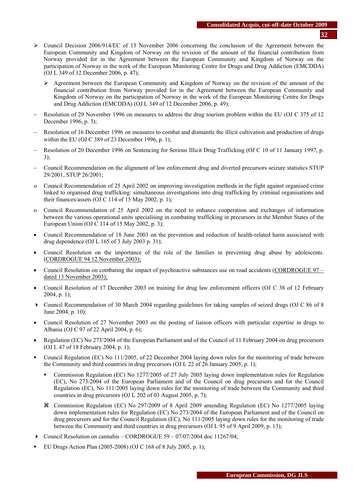- ¾ Council Decision 2006/914/EC of 13 November 2006 concerning the conclusion of the Agreement between the European Community and Kingdom of Norway on the revision of the amount of the financial contribution from Norway provided for in the Agreement between the European Community and Kingdom of Norway on the participation of Norway in the work of the European Monitoring Centre for Drugs and Drug Addiction (EMCDDA) (OJ L 349 of 12 December 2006, p. 47);
	- $\geq$  Agreement between the European Community and Kingdom of Norway on the revision of the amount of the financial contribution from Norway provided for in the Agreement between the European Community and Kingdom of Norway on the participation of Norway in the work of the European Monitoring Centre for Drugs and Drug Addiction (EMCDDA) (OJ L 349 of 12 December 2006, p. 49);
- − Resolution of 29 November 1996 on measures to address the drug tourism problem within the EU (OJ C 375 of 12 December 1996, p. 3);
- Resolution of 16 December 1996 on measures to combat and dismantle the illicit cultivation and production of drugs within the EU (OJ C 389 of 23 December 1996, p. 1);
- − Resolution of 20 December 1996 on Sentencing for Serious Illicit Drug Trafficking (OJ C 10 of 11 January 1997, p. 3);
- − Council Recommendation on the alignment of law enforcement drug and diverted precursors seizure statistics STUP 29/2001, STUP 26/2001;
- ο Council Recommendation of 25 April 2002 on improving investigation methods in the fight against organised crime linked to organised drug trafficking: simultaneous investigations into drug trafficking by criminal organisations and their finances/assets (OJ C 114 of 15 May 2002, p. 1);
- ο Council Recommendation of 25 April 2002 on the need to enhance cooperation and exchanges of information between the various operational units specialising in combating trafficking in precursors in the Member States of the European Union (OJ C 114 of 15 May 2002, p. 3);
- Council Recommendation of 18 June 2003 on the prevention and reduction of health-related harm associated with drug dependence (OJ L 165 of 3 July 2003 p. 31);
- Council Resolution on the importance of the role of the families in preventing drug abuse by adolescents. (CORDROGUE 94 12 November 2003);
- Council Resolution on combating the impact of psychoactive substances use on road accidents (CORDROGUE 97 dated 13 November 2003);
- Council Resolution of 17 December 2003 on training for drug law enforcement officers (OJ C 38 of 12 February 2004, p. 1);
- Council Recommendation of 30 March 2004 regarding guidelines for taking samples of seized drugs (O[J C 86 of 8](http://europa.eu.int/eur-lex/en/archive/2004/c_08620040406en.html)  [June 2004, p. 10\)](http://europa.eu.int/eur-lex/en/archive/2004/c_08620040406en.html);
- Council Resolution of 27 November 2003 on the posting of liaison officers with particular expertise in drugs to Albania (OJ C 97 of 22 April 2004, p. 6);
- Regulation (EC) No 273/2004 of the European Parliament and of the Council of 11 February 2004 on drug precursors (OJ L 47 of 18 February 2004, p. 1);
- Council Regulation (EC) No 111/2005, of 22 December 2004 laying down rules for the monitoring of trade between the Community and third countries in drug precursors (OJ L 22 of 26 January 2005, p. 1);
	- Commission Regulation (EC) No 1277/2005 of 27 July 2005 laying down implementation rules for Regulation (EC), No 273/2004 of the European Parliament and of the Council on drug precursors and for the Council Regulation (EC), No 111/2005 laying down rules for the monitoring of trade between the Community and third countries in drug precursors (OJ L 202 of 03 August 2005, p. 7);
	- a Commission Regulation (EC) No 297/2009 of 8 April 2009 amending Regulation (EC) No 1277/2005 laying down implementation rules for Regulation (EC) No 273/2004 of the European Parliament and of the Council on drug precursors and for the Council Regulation (EC), No 111/2005 laying down rules for the monitoring of trade between the Community and third countries in drug precursors (OJ L 95 of 9 April 2009, p. 13);
- Council Resolution on cannabis CORDROGUE  $59 07/07/2004$  doc 11267/04;
- EU Drugs Action Plan (2005-2008) (OJ C 168 of 8 July 2005, p. 1);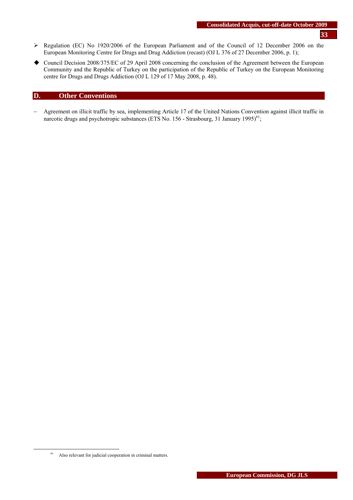- ¾ Regulation (EC) No 1920/2006 of the European Parliament and of the Council of 12 December 2006 on the European Monitoring Centre for Drugs and Drug Addiction (recast) (OJ L 376 of 27 December 2006, p. 1);
- Council Decision 2008/375/EC of 29 April 2008 concerning the conclusion of the Agreement between the European Community and the Republic of Turkey on the participation of the Republic of Turkey on the European Monitoring centre for Drugs and Drugs Addiction (OJ L 129 of 17 May 2008, p. 48).

## **D. Other Conventions**

− Agreement on illicit traffic by sea, implementing Article 17 of the United Nations Convention against illicit traffic in narcotic drugs and psychotropic substances (ETS No. 156 - Strasbourg, 31 January 1995)<sup>61</sup>;

<sup>&</sup>lt;sup>61</sup> Also relevant for judicial cooperation in criminal matters.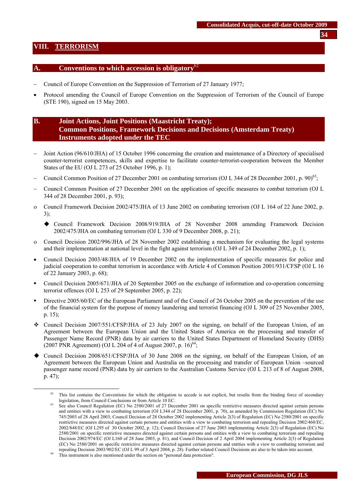## <span id="page-33-0"></span>**VIII. TERRORISM**

#### **A. Conventions to which accession is obligatory**<sup>62</sup>

- − Council of Europe Convention on the Suppression of Terrorism of 27 January 1977;
- Protocol amending the Council of Europe Convention on the Suppression of Terrorism of the Council of Europe (STE 190), signed on 15 May 2003.

# **B. Joint Actions, Joint Positions (Maastricht Treaty); Common Positions, Framework Decisions and Decisions (Amsterdam Treaty) Instruments adopted under the TEC**

- − Joint Action (96/610/JHA) of 15 October 1996 concerning the creation and maintenance of a Directory of specialised counter-terrorist competences, skills and expertise to facilitate counter-terrorist-cooperation between the Member States of the EU (OJ L 273 of 25 October 1996, p. 1);
- − Council Common Position of 27 December 2001 on combating terrorism (OJ L 344 of 28 December 2001, p. 90)63;
- − Council Common Position of 27 December 2001 on the application of specific measures to combat terrorism (OJ L 344 of 28 December 2001, p. 93);
- ο Council Framework Decision 2002/475/JHA of 13 June 2002 on combating terrorism (OJ L 164 of 22 June 2002, p. 3);
	- Council Framework Decision 2008/919/JHA of 28 November 2008 amending Framework Decision 2002/475/JHA on combating terrorism (OJ L 330 of 9 December 2008, p. 21);
- ο Council Decision 2002/996/JHA of 28 November 2002 establishing a mechanism for evaluating the legal systems and their implementation at national level in the fight against terrorism (OJ L 349 of 24 December 2002, p. 1);
- Council Decision 2003/48/JHA of 19 December 2002 on the implementation of specific measures for police and judicial cooperation to combat terrorism in accordance with Article 4 of Common Position 2001/931/CFSP (OJ L 16 of 22 January 2003, p. 68);
- Council Decision 2005/671/JHA of 20 September 2005 on the exchange of information and co-operation concerning terrorist offences (OJ L 253 of 29 September 2005, p. 22);
- Directive 2005/60/EC of the European Parliament and of the Council of 26 October 2005 on the prevention of the use of the financial system for the purpose of money laundering and terrorist financing (OJ L 309 of 25 November 2005, p. 15);
- Council Decision 2007/551/CFSP/JHA of 23 July 2007 on the signing, on behalf of the European Union, of an Agreement between the European Union and the United States of America on the processing and transfer of Passenger Name Record (PNR) data by air carriers to the United States Department of Homeland Security (DHS) (2007 PNR Agreement) (OJ L 204 of 4 of August 2007, p.  $16$ <sup>64</sup>;
- Council Decision 2008/651/CFSP/JHA of 30 June 2008 on the signing, on behalf of the European Union, of an Agreement between the European Union and Australia on the processing and transfer of European Union –sourced passenger name record (PNR) data by air carriers to the Australian Customs Service (OJ L 213 of 8 of August 2008, p. 47);

 $62$  This list contains the Conventions for which the obligation to accede is not explicit, but results from the binding force of secondary legislation, from Council Conclusions or from Article 10 EC.<br>See also Council Regulation (EC) No 2580/2001 of 27 December 2001 on specific restrictive measures directed against certain persons

and entities with a view to combating terrorism (OJ L344 of 28 December 2001, p. 70), as amended by Commission Regulation (EC) No 745/2003 of 28 April 2003; Council Decision of 28 October 2002 implementing Article 2(3) of Regulation (EC) No 2580/2001 on specific restrictive measures directed against certain persons and entities with a view to combating terrorism and repealing Decision 2002/460/EC, 2002/848/EC (OJ L295 of 30 October 2002, p. 12); Council Decision of 27 June 2003 implementing Article 2(3) of Regulation (EC) No 2580/2001 on specific restrictive measures directed against certain persons and entities with a view to combating terrorism and repealing Decision 2002/974/EC (OJ L160 of 28 June 2003, p. 81), and Council Decision of 2 April 2004 implementing Article 2(3) of Regulation (EC) No 2580/2001 on specific restrictive measures directed against certain persons and entities with a view to combating terrorism and repealing Decision 2003/902/EC (OJ L 99 of 3 April 2004, p. 28). Further related Council Decisions are also to be taken into account. 64 This instrument is also mentioned under the section on "personal data protection".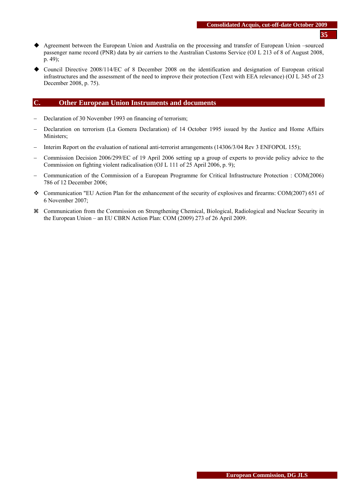- Agreement between the European Union and Australia on the processing and transfer of European Union –sourced passenger name record (PNR) data by air carriers to the Australian Customs Service (OJ L 213 of 8 of August 2008, p. 49);
- Council Directive 2008/114/EC of 8 December 2008 on the identification and designation of European critical infrastructures and the assessment of the need to improve their protection (Text with EEA relevance) (OJ L 345 of 23 December 2008, p. 75).

## **C. Other European Union Instruments and documents**

- − Declaration of 30 November 1993 on financing of terrorism;
- − Declaration on terrorism (La Gomera Declaration) of 14 October 1995 issued by the Justice and Home Affairs Ministers;
- − Interim Report on the evaluation of national anti-terrorist arrangements (14306/3/04 Rev 3 ENFOPOL 155);
- − Commission Decision 2006/299/EC of 19 April 2006 setting up a group of experts to provide policy advice to the Commission on fighting violent radicalisation (OJ L 111 of 25 April 2006, p. 9);
- − Communication of the Commission of a European Programme for Critical Infrastructure Protection : COM(2006) 786 of 12 December 2006;
- Communication "EU Action Plan for the enhancement of the security of explosives and firearms: COM(2007) 651 of 6 November 2007;
- a Communication from the Commission on Strengthening Chemical, Biological, Radiological and Nuclear Security in the European Union – an EU CBRN Action Plan: COM (2009) 273 of 26 April 2009.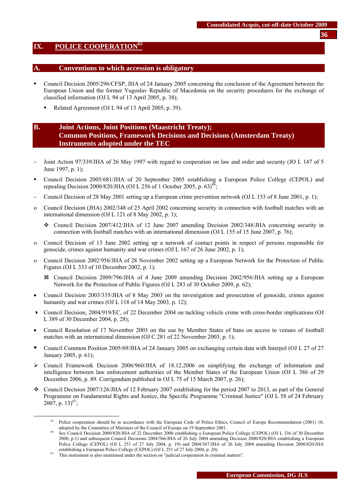## <span id="page-35-0"></span>**IX. POLICE COOPERATION<sup>65</sup>**

#### **A. Conventions to which accession is obligatory**

- Council Decision 2005/296/CFSP, JHA of 24 January 2005 concerning the conclusion of the Agreement between the European Union and the former Yugoslav Republic of Macedonia on the security procedures for the exchange of classified information (OJ L 94 of 13 April 2005, p. 38);
	- Related Agreement (OJ L 94 of 13 April 2005, p. 39).

# **B. Joint Actions, Joint Positions (Maastricht Treaty); Common Positions, Framework Decisions and Decisions (Amsterdam Treaty) Instruments adopted under the TEC**

- Joint Action 97/339/JHA of 26 May 1997 with regard to cooperation on law and order and security (JO L 147 of 5 June 1997, p. 1);
- Council Decision 2005/681/JHA of 20 September 2005 establishing a European Police College (CEPOL) and repealing Decision 2000/820/JHA (OJ L 256 of 1 October 2005, p. 63)<sup>66</sup>;
- − Council Decision of 28 May 2001 setting up a European crime prevention network (OJ L 153 of 8 June 2001, p. 1);
- ο Council Decision (JHA) 2002/348 of 25 April 2002 concerning security in connection with football matches with an international dimension (O[J L 121 of 8 May 2002, p. 1\)](http://europa.eu.int/eur-lex/en/oj/2002/l_12120020508en.html);
	- Council Decision 2007/412/JHA of 12 June 2007 amending Decision 2002/348/JHA concerning security in connection with football matches with an international dimension (O[J L 155 of 15 June 2007, p. 7](http://europa.eu.int/eur-lex/en/oj/2002/l_12120020508en.html)6);
- ο Council Decision of 13 June 2002 setting up a network of contact points in respect of persons responsible for genocide, crimes against humanity and war crimes (OJ L 167 of 26 June 2002, p. 1);
- ο Council Decision 2002/956/JHA of 28 November 2002 setting up a European Network for the Protection of Public Figures (OJ L 333 of 10 December 2002, p. 1);
	- a Council Decision 2009/796/JHA of 4 June 2009 amending Decision 2002/956/JHA setting up a European Network for the Protection of Public Figures (OJ L 283 of 30 October 2009, p. 62);
- Council Decision 2003/335/JHA of 8 May 2003 on the investigation and prosecution of genocide, crimes against humanity and war crimes (OJ L 118 of 14 May 2003, p. 12);
- Council Decision, 2004/919/EC, of 22 December 2004 on tackling vehicle crime with cross-border implications (OJ L 389 of 30 December 2004, p. 28);
- Council Resolution of 17 November 2003 on the use by Member States of bans on access to venues of football matches with an international dimension (OJ C 281 of 22 November 2003, p. 1);
- Council Common Position 2005/69/JHA of 24 January 2005 on exchanging certain data with Interpol (OJ L 27 of 27 January 2005, p. 61);
- $\triangleright$  Council Framework Decision 2006/960/JHA of 18.12.2006 on simplifying the exchange of information and intelligence between law enforcement authorities of the Member States of the European Union (OJ L 386 of 29 December 2006, p. 89. Corrigendum published in OJ L 75 of 15 March 2007, p. 26);
- $\bullet$  Council Decision 2007/126/JHA of 12 February 2007 establishing for the period 2007 to 2013, as part of the General Programme on Fundamental Rights and Justice, the Specific Programme "Criminal Justice" (OJ L 58 of 24 February 2007, p. 13)<sup>67</sup>;

**36**

<sup>&</sup>lt;sup>65</sup> Police cooperation should be in accordance with the European Code of Police Ethics, Council of Europe Recommendation (2001) 10, adopted by the Committee of Ministers of the Council of Europe on 19 September 2001.<br>See Council Decision 2000/820/JHA of 22 December 2000 establishing a European Police College (CEPOL) (OJ L 336 of 30 December

<sup>2000,</sup> p.1) and subsequent Council Decisions 2004/566/JHA of 26 July 2004 amending Decision 2000/820/JHA establishing a European Police College (CEPOL) (OJ L 251 of 27 July 2004, p. 19) and 2004/567/JHA of 26 July 2004 amending Decision 2000/820/JHA

establishing a European Police College (CEPOL) (OJ L 251 of 27 July 2004, p. 20). 67 This instrument is also mentioned under the section on "judicial cooperation in criminal matters".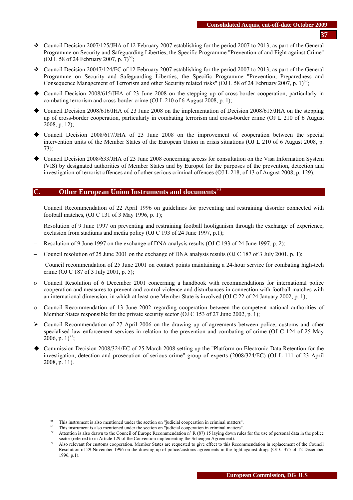- Council Decision 2007/125/JHA of 12 February 2007 establishing for the period 2007 to 2013, as part of the General Programme on Security and Safeguarding Liberties, the Specific Programme "Prevention of and Fight against Crime" (OJ L 58 of 24 February 2007, p.  $7)^{68}$ ;
- Council Decision 20047/124/EC of 12 February 2007 establishing for the period 2007 to 2013, as part of the General Programme on Security and Safeguarding Liberties, the Specific Programme "Prevention, Preparedness and Consequence Management of Terrorism and other Security related risks" (OJ L 58 of 24 February 2007, p. 1)<sup>69</sup>;
- Council Decision 2008/615/JHA of 23 June 2008 on the stepping up of cross-border cooperation, particularly in combating terrorism and cross-border crime (OJ L 210 of 6 August 2008, p. 1);
- Council Decision 2008/616/JHA of 23 June 2008 on the implementation of Decision 2008/615/JHA on the stepping up of cross-border cooperation, particularly in combating terrorism and cross-border crime (OJ L 210 of 6 August 2008, p. 12);
- Council Decision 2008/617/JHA of 23 June 2008 on the improvement of cooperation between the special intervention units of the Member States of the European Union in crisis situations (OJ L 210 of 6 August 2008, p. 73);
- Council Decision 2008/633/JHA of 23 June 2008 concerning access for consultation on the Visa Information System (VIS) by designated authorities of Member States and by Europol for the purposes of the prevention, detection and investigation of terrorist offences and of other serious criminal offences (OJ L 218, of 13 of August 2008, p. 129).

## **C. Other European Union Instruments and documents**<sup>70</sup>

- − Council Recommendation of 22 April 1996 on guidelines for preventing and restraining disorder connected with football matches, (OJ C 131 of 3 May 1996, p. 1);
- Resolution of 9 June 1997 on preventing and restraining football hooliganism through the exchange of experience, exclusion from stadiums and media policy (OJ C 193 of 24 June 1997, p.1);
- Resolution of 9 June 1997 on the exchange of DNA analysis results (OJ C 193 of 24 June 1997, p. 2);
- − Council resolution of 25 June 2001 on the exchange of DNA analysis results (OJ C 187 of 3 July 2001, p. 1);
- − Council recommendation of 25 June 2001 on contact points maintaining a 24-hour service for combating high-tech crime (OJ C 187 of 3 July 2001, p. 5);
- ο Council Resolution of 6 December 2001 concerning a handbook with recommendations for international police cooperation and measures to prevent and control violence and disturbances in connection with football matches with an international dimension, in which at least one Member State is involved (OJ C 22 of 24 January 2002, p. 1);
- ο Council Recommendation of 13 June 2002 regarding cooperation between the competent national authorities of Member States responsible for the private security sector (OJ C 153 of 27 June 2002, p. 1);
- $\triangleright$  Council Recommendation of 27 April 2006 on the drawing up of agreements between police, customs and other specialised law enforcement services in relation to the prevention and combating of crime (OJ C 124 of 25 May 2006, p.  $1)^{71}$ ;
- Commission Decision 2008/324/EC of 25 March 2008 setting up the "Platform on Electronic Data Retention for the investigation, detection and prosecution of serious crime" group of experts (2008/324/EC) (OJ L 111 of 23 April 2008, p. 11).

<sup>&</sup>lt;sup>68</sup> This instrument is also mentioned under the section on "judicial cooperation in criminal matters".<br><sup>69</sup> This instrument is also mentioned under the section on "judicial cooperation in criminal matters".<br><sup>70</sup> Attentio

Also relevant for customs cooperation. Member States are requested to give effect to this Recommendation in replacement of the Council Resolution of 29 November 1996 on the drawing up of police/customs agreements in the fight against drugs (OJ C 375 of 12 December 1996, p.1).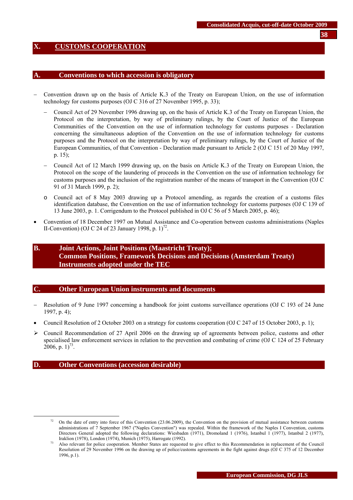## <span id="page-37-0"></span>**X. CUSTOMS COOPERATION**

#### **A. Conventions to which accession is obligatory**

- − Convention drawn up on the basis of Article K.3 of the Treaty on European Union, on the use of information technology for customs purposes (OJ C 316 of 27 November 1995, p. 33);
	- − Council Act of 29 November 1996 drawing up, on the basis of Article K.3 of the Treaty on European Union, the Protocol on the interpretation, by way of preliminary rulings, by the Court of Justice of the European Communities of the Convention on the use of information technology for customs purposes - Declaration concerning the simultaneous adoption of the Convention on the use of information technology for customs purposes and the Protocol on the interpretation by way of preliminary rulings, by the Court of Justice of the European Communities, of that Convention - Declaration made pursuant to Article 2 (OJ C 151 of 20 May 1997, p. 15);
	- − Council Act of 12 March 1999 drawing up, on the basis on Article K.3 of the Treaty on European Union, the Protocol on the scope of the laundering of proceeds in the Convention on the use of information technology for customs purposes and the inclusion of the registration number of the means of transport in the Convention (OJ C 91 of 31 March 1999, p. 2);
	- o Council act of 8 May 2003 drawing up a Protocol amending, as regards the creation of a customs files identification database, the Convention on the use of information technology for customs purposes (OJ C 139 of 13 June 2003, p. 1. Corrigendum to the Protocol published in OJ C 56 of 5 March 2005, p. 46);
- Convention of 18 December 1997 on Mutual Assistance and Co-operation between customs administrations (Naples II-Convention) (OJ C 24 of 23 January 1998, p.  $1$ )<sup>72</sup>.

# **B. Joint Actions, Joint Positions (Maastricht Treaty); Common Positions, Framework Decisions and Decisions (Amsterdam Treaty) Instruments adopted under the TEC**

#### **C. Other European Union instruments and documents**

- Resolution of 9 June 1997 concerning a handbook for joint customs surveillance operations (OJ C 193 of 24 June 1997, p. 4);
- Council Resolution of 2 October 2003 on a strategy for customs cooperation (OJ C 247 of 15 October 2003, p. 1);
- $\triangleright$  Council Recommendation of 27 April 2006 on the drawing up of agreements between police, customs and other specialised law enforcement services in relation to the prevention and combating of crime (OJ C 124 of 25 February 2006, p.  $1)^{73}$ .

#### **D. Other Conventions (accession desirable)**

 $72$  On the date of entry into force of this Convention (23.06.2009), the Convention on the provision of mutual assistance between customs administrations of 7 September 1967 ("Naples Convention") was repealed. Within the framework of the Naples I Convention, customs Directors General adopted the following declarations: Wiesbaden (1971), Dromoland 1 (1976), Istanbul 1 (1977), Istanbul 2 (1977),

Iraklion (1978), London (1974), Munich (1975), Harrogate (1992).<br>Also relevant for police cooperation. Member States are requested to give effect to this Recommendation in replacement of the Council Resolution of 29 November 1996 on the drawing up of police/customs agreements in the fight against drugs (OJ C 375 of 12 December 1996, p.1).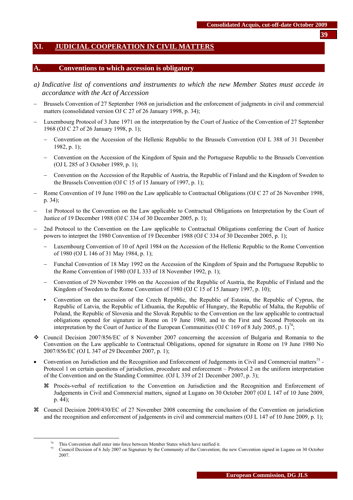# <span id="page-38-0"></span>**XI. JUDICIAL COOPERATION IN CIVIL MATTERS**

#### **A. Conventions to which accession is obligatory**

- *a) Indicative list of conventions and instruments to which the new Member States must accede in accordance with the Act of Accession*
- Brussels Convention of 27 September 1968 on jurisdiction and the enforcement of judgments in civil and commercial matters (consolidated version OJ C 27 of 26 January 1998, p. 34);
- Luxembourg Protocol of 3 June 1971 on the interpretation by the Court of Justice of the Convention of 27 September 1968 (OJ C 27 of 26 January 1998, p. 1);
	- − Convention on the Accession of the Hellenic Republic to the Brussels Convention (OJ L 388 of 31 December 1982, p. 1);
	- − Convention on the Accession of the Kingdom of Spain and the Portuguese Republic to the Brussels Convention (OJ L 285 of 3 October 1989, p. 1);
	- − Convention on the Accession of the Republic of Austria, the Republic of Finland and the Kingdom of Sweden to the Brussels Convention (OJ C 15 of 15 January of 1997, p. 1);
- − Rome Convention of 19 June 1980 on the Law applicable to Contractual Obligations (OJ C 27 of 26 November 1998, p. 34);
- − 1st Protocol to the Convention on the Law applicable to Contractual Obligations on Interpretation by the Court of Justice of 19 December 1988 (OJ C 334 of 30 December 2005, p. 1);
- 2nd Protocol to the Convention on the Law applicable to Contractual Obligations conferring the Court of Justice powers to interpret the 1980 Convention of 19 December 1988 (OJ C 334 of 30 December 2005, p. 1);
	- − Luxembourg Convention of 10 of April 1984 on the Accession of the Hellenic Republic to the Rome Convention of 1980 (OJ L 146 of 31 May 1984, p. 1);
	- − Funchal Convention of 18 May 1992 on the Accession of the Kingdom of Spain and the Portuguese Republic to the Rome Convention of 1980 (OJ L 333 of 18 November 1992, p. 1);
	- − Convention of 29 November 1996 on the Accession of the Republic of Austria, the Republic of Finland and the Kingdom of Sweden to the Rome Convention of 1980 (OJ C 15 of 15 January 1997, p. 10);
	- Convention on the accession of the Czech Republic, the Republic of Estonia, the Republic of Cyprus, the Republic of Latvia, the Republic of Lithuania, the Republic of Hungary, the Republic of Malta, the Republic of Poland, the Republic of Slovenia and the Slovak Republic to the Convention on the law applicable to contractual obligations opened for signature in Rome on 19 June 1980, and to the First and Second Protocols on its interpretation by the Court of Justice of the European Communities (OJ C 169 of 8 July 2005, p. 1)<sup>74</sup>;
- Council Decision 2007/856/EC of 8 November 2007 concerning the accession of Bulgaria and Romania to the Convention on the Law applicable to Contractual Obligations, opened for signature in Rome on 19 June 1980 No 2007/856/EC (OJ L 347 of 29 December 2007, p. 1);
- Convention on Jurisdiction and the Recognition and Enforcement of Judgements in Civil and Commercial matters<sup>75</sup> -Protocol 1 on certain questions of jurisdiction, procedure and enforcement – Protocol 2 on the uniform interpretation of the Convention and on the Standing Committee. (OJ L 339 of 21 December 2007, p. 3);
	- a Procès-verbal of rectification to the Convention on Jurisdiction and the Recognition and Enforcement of Judgements in Civil and Commercial matters, signed at Lugano on 30 October 2007 (OJ L 147 of 10 June 2009, p. 44);
- a Council Decision 2009/430/EC of 27 November 2008 concerning the conclusion of the Convention on jurisdiction and the recognition and enforcement of judgements in civil and commercial matters (OJ L 147 of 10 June 2009, p. 1);

This Convention shall enter into force between Member States which have ratified it.<br>This Council Decision of 6 July 2007 on Signature by the Community of the Convention; the new Convention signed in Lugano on 30 October 2007.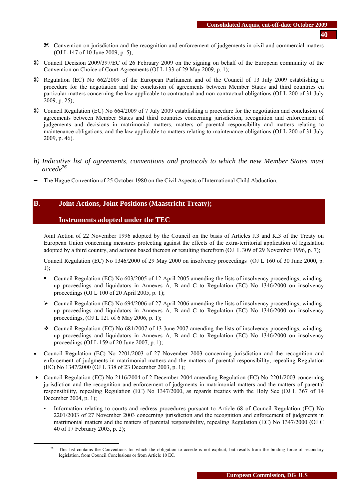- a Convention on jurisdiction and the recognition and enforcement of judgements in civil and commercial matters (OJ L 147 of 10 June 2009, p. 5);
- a Council Decision 2009/397/EC of 26 February 2009 on the signing on behalf of the European community of the Convention on Choice of Court Agreements (OJ L 133 of 29 May 2009, p. 1);
- a Regulation (EC) No 662/2009 of the European Parliament and of the Council of 13 July 2009 establishing a procedure for the negotiation and the conclusion of agreements between Member States and third countries en particular matters concerning the law applicable to contractual and non-contractual obligations (OJ L 200 of 31 July 2009, p. 25);
- a Council Regulation (EC) No 664/2009 of 7 July 2009 establishing a procedure for the negotiation and conclusion of agreements between Member States and third countries concerning jurisdiction, recognition and enforcement of judgements and decisions in matrimonial matters, matters of parental responsibility and matters relating to maintenance obligations, and the law applicable to matters relating to maintenance obligations (OJ L 200 of 31 July 2009, p. 46).
- *b) Indicative list of agreements, conventions and protocols to which the new Member States must accede76*
- The Hague Convention of 25 October 1980 on the Civil Aspects of International Child Abduction.

## **B. Joint Actions, Joint Positions (Maastricht Treaty);**

#### **Instruments adopted under the TEC**

- Joint Action of 22 November 1996 adopted by the Council on the basis of Articles J.3 and K.3 of the Treaty on European Union concerning measures protecting against the effects of the extra-territorial application of legislation adopted by a third country, and actions based thereon or resulting therefrom (OJ L 309 of 29 November 1996, p. 7);
- − Council Regulation (EC) No 1346/2000 of 29 May 2000 on insolvency proceedings (OJ L 160 of 30 June 2000, p. 1);
	- Council Regulation (EC) No 603/2005 of 12 April 2005 amending the lists of insolvency proceedings, windingup proceedings and liquidators in Annexes A, B and C to Regulation (EC) No 1346/2000 on insolvency proceedings (OJ L 100 of 20 April 2005, p. 1);
	- $\triangleright$  Council Regulation (EC) No 694/2006 of 27 April 2006 amending the lists of insolvency proceedings, windingup proceedings and liquidators in Annexes A, B and C to Regulation (EC) No 1346/2000 on insolvency proceedings, (OJ L 121 of 6 May 2006, p. 1);
	- Council Regulation (EC) No  $681/2007$  of 13 June 2007 amending the lists of insolvency proceedings, windingup proceedings and liquidators in Annexes A, B and C to Regulation (EC) No 1346/2000 on insolvency proceedings (OJ L 159 of 20 June 2007, p. 1);
- Council Regulation (EC) No 2201/2003 of 27 November 2003 concerning jurisdiction and the recognition and enforcement of judgments in matrimonial matters and the matters of parental responsibility, repealing Regulation (EC) No 1347/2000 (OJ L 338 of 23 December 2003, p. 1);
- Council Regulation (EC) No 2116/2004 of 2 December 2004 amending Regulation (EC) No 2201/2003 concerning jurisdiction and the recognition and enforcement of judgments in matrimonial matters and the matters of parental responsibility, repealing Regulation (EC) No 1347/2000, as regards treaties with the Holy See (OJ L 367 of 14 December 2004, p. 1);
	- Information relating to courts and redress procedures pursuant to Article 68 of Council Regulation (EC) No 2201/2003 of 27 November 2003 concerning jurisdiction and the recognition and enforcement of judgments in matrimonial matters and the matters of parental responsibility, repealing Regulation (EC) No 1347/2000 (OJ C 40 of 17 February 2005, p. 2);

This list contains the Conventions for which the obligation to accede is not explicit, but results from the binding force of secondary legislation, from Council Conclusions or from Article 10 EC.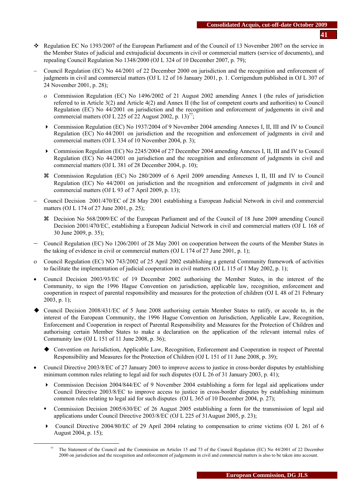- **41**
- Regulation EC No 1393/2007 of the European Parliament and of the Council of 13 November 2007 on the service in the Member States of judicial and extrajudicial documents in civil or commercial matters (service of documents), and repealing Council Regulation No 1348/2000 (OJ L 324 of 10 December 2007, p. 79);
- − Council Regulation (EC) No 44/2001 of 22 December 2000 on jurisdiction and the recognition and enforcement of judgments in civil and commercial matters (OJ L 12 of 16 January 2001, p. 1. Corrigendum published in OJ L 307 of 24 November 2001, p. 28);
	- ο Commission Regulation (EC) No 1496/2002 of 21 August 2002 amending Annex I (the rules of jurisdiction referred to in Article 3(2) and Article 4(2) and Annex II (the list of competent courts and authorities) to Council Regulation (EC) No 44/2001 on jurisdiction and the recognition and enforcement of judgements in civil and commercial matters (OJ L 225 of 22 August 2002, p. 13)<sup>77</sup>;
	- Commission Regulation (EC) No 1937/2004 of 9 November 2004 amending Annexes I, II, III and IV to Council Regulation (EC) No 44/2001 on jurisdiction and the recognition and enforcement of judgments in civil and commercial matters (OJ L 334 of 10 November 2004, p. 3);
	- Commission Regulation (EC) No 2245/2004 of 27 December 2004 amending Annexes I, II, III and IV to Council Regulation (EC) No 44/2001 on jurisdiction and the recognition and enforcement of judgments in civil and commercial matters (OJ L 381 of 28 December 2004, p. 10);
	- a Commission Regulation (EC) No 280/2009 of 6 April 2009 amending Annexes I, II, III and IV to Council Regulation (EC) No 44/2001 on jurisdiction and the recognition and enforcement of judgments in civil and commercial matters (OJ L 93 of 7 April 2009, p. 13);
- − Council Decision 2001/470/EC of 28 May 2001 establishing a European Judicial Network in civil and commercial matters (OJ L 174 of 27 June 2001, p. 25);
	- a Decision No 568/2009/EC of the European Parliament and of the Council of 18 June 2009 amending Council Decision 2001/470/EC, establishing a European Judicial Network in civil and commercial matters (OJ L 168 of 30 June 2009, p. 35);
- − Council Regulation (EC) No 1206/2001 of 28 May 2001 on cooperation between the courts of the Member States in the taking of evidence in civil or commercial matters (OJ L 174 of 27 June 2001, p. 1);
- ο Council Regulation (EC) NO 743/2002 of 25 April 2002 establishing a general Community framework of activities to facilitate the implementation of judicial cooperation in civil matters (OJ L 115 of 1 May 2002, p. 1);
- Council Decision 2003/93/EC of 19 December 2002 authorising the Member States, in the interest of the Community, to sign the 1996 Hague Convention on jurisdiction, applicable law, recognition, enforcement and cooperation in respect of parental responsibility and measures for the protection of children (OJ L 48 of 21 February 2003, p. 1);
- Council Decision 2008/431/EC of 5 June 2008 authorising certain Member States to ratify, or accede to, in the interest of the European Community, the 1996 Hague Convention on Jurisdiction, Applicable Law, Recognition, Enforcement and Cooperation in respect of Parental Responsibility and Measures for the Protection of Children and authorising certain Member States to make a declaration on the application of the relevant internal rules of Community law (OJ L 151 of 11 June 2008, p. 36);
	- Convention on Jurisdiction, Applicable Law, Recognition, Enforcement and Cooperation in respect of Parental Responsibility and Measures for the Protection of Children (OJ L 151 of 11 June 2008, p. 39);
- Council Directive 2003/8/EC of 27 January 2003 to improve access to justice in cross-border disputes by establishing minimum common rules relating to legal aid for such disputes (OJ L 26 of 31 January 2003, p. 41);
	- Commission Decision 2004/844/EC of 9 November 2004 establishing a form for legal aid applications under Council Directive 2003/8/EC to improve access to justice in cross-border disputes by establishing minimum common rules relating to legal aid for such disputes (OJ L 365 of 10 December 2004, p. 27);
	- Commission Decision 2005/630/EC of 26 August 2005 establishing a form for the transmission of legal aid applications under Council Directive 2003/8/EC (OJ L 225 of 31August 2005, p. 23);
	- Council Directive 2004/80/EC of 29 April 2004 relating to compensation to crime victims (OJ L 261 of 6 August 2004, p. 15);

The Statement of the Council and the Commission on Articles 15 and 73 of the Council Regulation (EC) No 44/2001 of 22 December 2000 on jurisdiction and the recognition and enforcement of judgements in civil and commercial matters is also to be taken into account.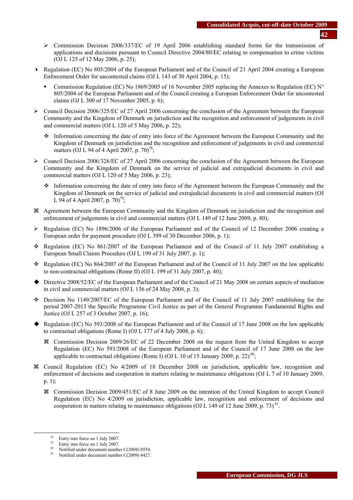- ¾ Commission Decision 2006/337/EC of 19 April 2006 establishing standard forms for the transmission of applications and decisions pursuant to Council Directive 2004/80/EC relating to compensation to crime victims (OJ L 125 of 12 May 2006, p. 25);
- Regulation (EC) No 805/2004 of the European Parliament and of the Council of 21 April 2004 creating a European Enforcement Order for uncontested claims (OJ L 143 of 30 April 2004, p. 15);
	- Commission Regulation (EC) No 1869/2005 of 16 November 2005 replacing the Annexes to Regulation (EC)  $N^{\circ}$ 805/2004 of the European Parliament and of the Council creating a European Enforcement Order for uncontested claims (OJ L 300 of 17 November 2005, p. 6);
- $\triangleright$  Council Decision 2006/325/EC of 27 April 2006 concerning the conclusion of the Agreement between the European Community and the Kingdom of Denmark on jurisdiction and the recognition and enforcement of judgements in civil and commercial matters (OJ L 120 of 5 May 2006, p. 22);
	- \* Information concerning the date of entry into force of the Agreement between the European Community and the Kingdom of Denmark on jurisdiction and the recognition and enforcement of judgements in civil and commercial matters (OJ L 94 of 4 April 2007, p.  $70^{78}$ ;
- ¾ Council Decision 2006/326/EC of 27 April 2006 concerning the conclusion of the Agreement between the European Community and the Kingdom of Denmark on the service of judicial and extrajudicial documents in civil and commercial matters (OJ L 120 of 5 May 2006, p. 23);
	- Information concerning the date of entry into force of the Agreement between the European Community and the Kingdom of Denmark on the service of judicial and extrajudicial documents in civil and commercial matters (OJ L 94 of 4 April 2007, p. 70)<sup>79</sup>;
- a Agreement between the European Community and the Kingdom of Denmark on jurisdiction and the recognition and enforcement of judgements in civil and commercial matters (OJ L 149 of 12 June 2009, p. 80);
- ¾ Regulation (EC) No 1896/2006 of the European Parliament and of the Council of 12 December 2006 creating a European order for payment procedure (OJ L 399 of 30 December 2006, p. 1);
- Regulation (EC) No  $861/2007$  of the European Parliament and of the Council of 11 July 2007 establishing a European Small Claims Procedure (OJ L 199 of 31 July 2007, p. 1);
- Regulation (EC) No  $864/2007$  of the European Parliament and of the Council of 11 July 2007 on the law applicable to non-contractual obligations (Rome II) (OJ L 199 of 31 July 2007, p. 40);
- ◆ Directive 2008/52/EC of the European Parliament and of the Council of 21 May 2008 on certain aspects of mediation in civil and commercial matters (OJ L 136 of 24 May 2008, p. 3);
- $\div$  Decision No 1149/2007/EC of the European Parliament and of the Council of 11 July 2007 establishing for the period 2007-2013 the Specific Programme Civil Justice as part of the General Programme Fundamental Rights and Justice (OJ L 257 of 3 October 2007, p. 16);
- Regulation (EC) No 593/2008 of the European Parliament and of the Council of 17 June 2008 on the law applicable to contractual obligations (Rome I) (OJ L 177 of 4 July 2008, p. 6);
	- a Commission Decision 2009/26/EC of 22 December 2008 on the request from the United Kingdom to accept Regulation (EC) No 593/2008 of the European Parliament and of the Council of 17 June 2008 on the law applicable to contractual obligations (Rome I) (OJ L 10 of 15 January 2009, p. 22) $^{80}$ ;
- a Council Regulation (EC) No 4/2009 of 18 December 2008 on jurisdiction, applicable law, recognition and enforcement of decisions and cooperation in matters relating to maintenance obligations (OJ L 7 of 10 January 2009, p. 1);
	- a Commission Decision 2009/451/EC of 8 June 2009 on the intention of the United Kingdom to accept Council Regulation (EC) No 4/2009 on jurisdiction, applicable law, recognition and enforcement of decisions and cooperation in matters relating to maintenance obligations (OJ L 149 of 12 June 2009, p. 73) $^{81}$ .

 $^{78}$  Entry into force on 1 July 2007.

Entry into force on 1 July 2007.

 $\frac{80}{100}$  Notified under document number C(2008) 8554.

Notified under document number C(2009) 4427.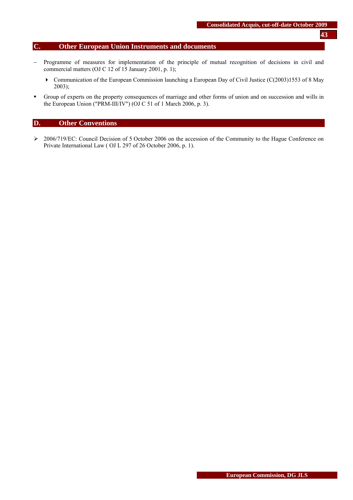# **C. Other European Union Instruments and documents**

- − Programme of measures for implementation of the principle of mutual recognition of decisions in civil and commercial matters (OJ C 12 of 15 January 2001, p. 1);
	- Communication of the European Commission launching a European Day of Civil Justice (C(2003)1553 of 8 May 2003);
- Group of experts on the property consequences of marriage and other forms of union and on succession and wills in the European Union ("PRM-III/IV") (OJ C 51 of 1 March 2006, p. 3).

## **D. Other Conventions**

¾ 2006/719/EC: Council Decision of 5 October 2006 on the accession of the Community to the Hague Conference on Private International Law ( OJ L 297 of 26 October 2006, p. 1).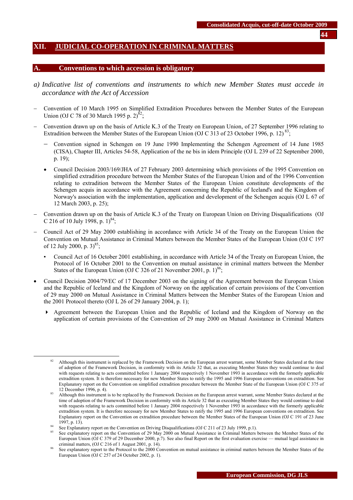## <span id="page-43-0"></span>**XII. JUDICIAL CO-OPERATION IN CRIMINAL MATTERS**

#### **A. Conventions to which accession is obligatory**

- *a) Indicative list of conventions and instruments to which new Member States must accede in accordance with the Act of Accession*
- − Convention of 10 March 1995 on Simplified Extradition Procedures between the Member States of the European Union (OJ C 78 of 30 March 1995 p. 2)<sup>82</sup>;
- − Convention drawn up on the basis of Article K.3 of the Treaty on European Union, of 27 September 1996 relating to Extradition between the Member States of the European Union (OJ C 313 of 23 October 1996, p. 12)<sup>83</sup>;
	- − Convention signed in Schengen on 19 June 1990 Implementing the Schengen Agreement of 14 June 1985 (CISA), Chapter III, Articles 54-58, Application of the ne bis in idem Principle (OJ L 239 of 22 September 2000, p. 19);
	- Council Decision 2003/169/JHA of 27 February 2003 determining which provisions of the 1995 Convention on simplified extradition procedure between the Member States of the European Union and of the 1996 Convention relating to extradition between the Member States of the European Union constitute developments of the Schengen acquis in accordance with the Agreement concerning the Republic of Iceland's and the Kingdom of Norway's association with the implementation, application and development of the Schengen acquis (OJ L 67 of 12 March 2003, p. 25);
- − Convention drawn up on the basis of Article K.3 of the Treaty on European Union on Driving Disqualifications (OJ C 216 of 10 July 1998, p. 1)<sup>84</sup>;
- − Council Act of 29 May 2000 establishing in accordance with Article 34 of the Treaty on the European Union the Convention on Mutual Assistance in Criminal Matters between the Member States of the European Union (OJ C 197 of 12 July 2000, p.  $3)^{85}$ ;
	- Council Act of 16 October 2001 establishing, in accordance with Article 34 of the Treaty on European Union, the Protocol of 16 October 2001 to the Convention on mutual assistance in criminal matters between the Member States of the European Union (OJ C 326 of 21 November 2001, p.  $1)^{86}$ ;
- Council Decision 2004/79/EC of 17 December 2003 on the signing of the Agreement between the European Union and the Republic of Iceland and the Kingdom of Norway on the application of certain provisions of the Convention of 29 may 2000 on Mutual Assistance in Criminal Matters between the Member States of the European Union and the 2001 Protocol thereto (OJ L 26 of 29 January 2004, p. 1);
	- Agreement between the European Union and the Republic of Iceland and the Kingdom of Norway on the application of certain provisions of the Convention of 29 may 2000 on Mutual Assistance in Criminal Matters

**44**

<sup>&</sup>lt;sup>82</sup> Although this instrument is replaced by the Framework Decision on the European arrest warrant, some Member States declared at the time of adoption of the Framework Decision, in conformity with its Article 32 that, as executing Member States they would continue to deal with requests relating to acts committed before 1 January 2004 respectively 1 November 1993 in accordance with the formerly applicable extradition system. It is therefore necessary for new Member States to ratify the 1995 and 1996 European conventions on extradition. See Explanatory report on the Convention on simplified extradition procedure between the Member State of the European Union (OJ C 375 of

<sup>12</sup> December 1996, p. 4).<br>Although this instrument is to be replaced by the Framework Decision on the European arrest warrant, some Member States declared at the time of adoption of the Framework Decision in conformity with its Article 32 that as executing Member States they would continue to deal with requests relating to acts committed before 1 January 2004 respectively 1 November 1993 in accordance with the formerly applicable extradition system. It is therefore necessary for new Member States to ratify the 1995 and 1996 European conventions on extradition. See Explanatory report on the Convention on extradition procedure between the Member States of the European Union (OJ C 191 of 23 June 1997, p. 13).<br>See Explanatory report on the Convention on Driving Disqualifications (OJ C 211 of 23 July 1999, p.1).<br>See explanatory report on the Convention of 29 May 2000 on Mutual Assistance in Criminal Matters between

European Union (OJ C 379 of 29 December 2000, p.7). See also final Report on the first evaluation exercise — mutual legal assistance in criminal matters, (OJ C 216 of 1 August 2001, p. 14).

See explanatory report to the Protocol to the 2000 Convention on mutual assistance in criminal matters between the Member States of the European Union (OJ C 257 of 24 October 2002, p. 1).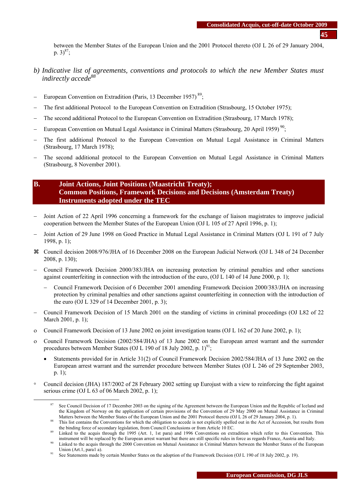between the Member States of the European Union and the 2001 Protocol thereto (OJ L 26 of 29 January 2004, p.  $3)^{87}$ ;

- *b) Indicative list of agreements, conventions and protocols to which the new Member States must indirectly accede88*
- − European Convention on Extradition (Paris, 13 December 1957)<sup>89</sup>;
- The first additional Protocol to the European Convention on Extradition (Strasbourg, 15 October 1975);
- − The second additional Protocol to the European Convention on Extradition (Strasbourg, 17 March 1978);
- − European Convention on Mutual Legal Assistance in Criminal Matters (Strasbourg, 20 April 1959)<sup>90</sup>;
- The first additional Protocol to the European Convention on Mutual Legal Assistance in Criminal Matters (Strasbourg, 17 March 1978);
- The second additional protocol to the European Convention on Mutual Legal Assistance in Criminal Matters (Strasbourg, 8 November 2001).

# **B. Joint Actions, Joint Positions (Maastricht Treaty); Common Positions, Framework Decisions and Decisions (Amsterdam Treaty) Instruments adopted under the TEC**

- − Joint Action of 22 April 1996 concerning a framework for the exchange of liaison magistrates to improve judicial cooperation between the Member States of the European Union (OJ L 105 of 27 April 1996, p. 1);
- − Joint Action of 29 June 1998 on Good Practice in Mutual Legal Assistance in Criminal Matters (OJ L 191 of 7 July 1998, p. 1);
- a Council decision 2008/976/JHA of 16 December 2008 on the European Judicial Network (OJ L 348 of 24 December 2008, p. 130);
- − Council Framework Decision 2000/383/JHA on increasing protection by criminal penalties and other sanctions against counterfeiting in connection with the introduction of the euro, (OJ L 140 of 14 June 2000, p. 1);
	- − Council Framework Decision of 6 December 2001 amending Framework Decision 2000/383/JHA on increasing protection by criminal penalties and other sanctions against counterfeiting in connection with the introduction of the euro (OJ L 329 of 14 December 2001, p. 3);
- − Council Framework Decision of 15 March 2001 on the standing of victims in criminal proceedings (OJ L82 of 22 March 2001, p. 1);
- ο Council Framework Decision of 13 June 2002 on joint investigation teams (OJ L 162 of 20 June 2002, p. 1);
- ο Council Framework Decision (2002/584/JHA) of 13 June 2002 on the European arrest warrant and the surrender procedures between Member States (OJ L 190 of 18 July 2002, p.  $1$ )<sup>91</sup>;
	- Statements provided for in Article 31(2) of Council Framework Decision 2002/584/JHA of 13 June 2002 on the European arrest warrant and the surrender procedure between Member States (OJ L 246 of 29 September 2003, p. 1);
- Council decision (JHA) 187/2002 of 28 February 2002 setting up Eurojust with a view to reinforcing the fight against serious crime (OJ L 63 of 06 March 2002, p. 1);

 <sup>87</sup> See Council Decision of 17 December 2003 on the signing of the Agreement between the European Union and the Republic of Iceland and the Kingdom of Norway on the application of certain provisions of the Convention of 29 May 2000 on Mutual Assistance in Criminal

Matters between the Member States of the European Union and the 2001 Protocol thereto (OJ L 26 of 29 January 2004, p. 1).<br><sup>88</sup> This list contains the Conventions for which the obligation to accede is not explicitly spelled the binding force of secondary legislation, from Council Conclusions or from Article 10 EC.<br>
89 Linked to the acquis through the 1995 (Art. 1, 1st para) and 1996 Conventions on extradition which refer to this Convention. T

instrument will be replaced by the European arrest warrant but there are still specific rules in force as regards France, Austria and Italy.<br><sup>90</sup> Linked to the acquis through the 2000 Convention on Mutual Assistance in Cri

Union (Art.1, para1 a).<br><sup>91</sup> See Statements made by certain Member States on the adoption of the Framework Decision (OJ L 190 of 18 July 2002, p. 19).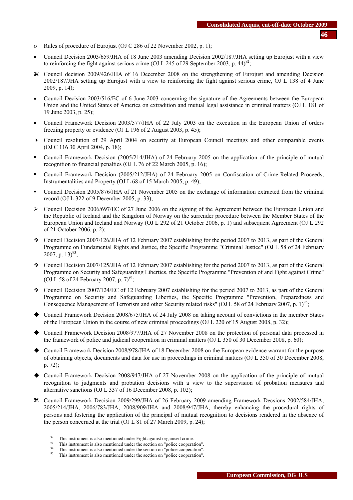- ο Rules of procedure of Eurojust (OJ C 286 of 22 November 2002, p. 1);
- Council Decision 2003/659/JHA of 18 June 2003 amending Decision 2002/187/JHA setting up Eurojust with a view to reinforcing the fight against serious crime (OJ L 245 of 29 September 2003, p. 44)<sup>92</sup>;
- a Council decision 2009/426/JHA of 16 December 2008 on the strengthening of Eurojust and amending Decision 2002/187/JHA setting up Eurojust with a view to reinforcing the fight against serious crime, OJ L 138 of 4 June 2009, p. 14);
- Council Decision 2003/516/EC of 6 June 2003 concerning the signature of the Agreements between the European Union and the United States of America on extradition and mutual legal assistance in criminal matters (OJ L 181 of 19 June 2003, p. 25);
- Council Framework Decision 2003/577/JHA of 22 July 2003 on the execution in the European Union of orders freezing property or evidence (OJ L 196 of 2 August 2003, p. 45);
- Council resolution of 29 April 2004 on security at European Council meetings and other comparable events (OJ C 116 30 April 2004, p. 18);
- Council Framework Decision (2005/214/JHA) of 24 February 2005 on the application of the principle of mutual recognition to financial penalties (OJ L 76 of 22 March 2005, p. 16);
- Council Framework Decision (2005/212/JHA) of 24 February 2005 on Confiscation of Crime-Related Proceeds, Instrumentalities and Property (OJ L 68 of 15 March 2005, p. 49);
- Council Decision 2005/876/JHA of 21 November 2005 on the exchange of information extracted from the criminal record (OJ L 322 of 9 December 2005, p. 33);
- $\triangleright$  Council Decision 2006/697/EC of 27 June 2006 on the signing of the Agreement between the European Union and the Republic of Iceland and the Kingdom of Norway on the surrender procedure between the Member States of the European Union and Iceland and Norway (OJ L 292 of 21 October 2006, p. 1) and subsequent Agreement (OJ L 292 of 21 October 2006, p. 2);
- Council Decision 2007/126/JHA of 12 February 2007 establishing for the period 2007 to 2013, as part of the General Programme on Fundamental Rights and Justice, the Specific Programme "Criminal Justice" (OJ L 58 of 24 February 2007, p. 13)<sup>93</sup>;
- Council Decision 2007/125/JHA of 12 February 2007 establishing for the period 2007 to 2013, as part of the General Programme on Security and Safeguarding Liberties, the Specific Programme "Prevention of and Fight against Crime" (OJ L 58 of 24 February 2007, p.  $7)^{94}$ ;
- Council Decision 2007/124/EC of 12 February 2007 establishing for the period 2007 to 2013, as part of the General Programme on Security and Safeguarding Liberties, the Specific Programme "Prevention, Preparedness and Consequence Management of Terrorism and other Security related risks" (OJ L 58 of 24 February 2007, p. 1)<sup>95</sup>;
- Council Framework Decision 2008/675/JHA of 24 July 2008 on taking account of convictions in the member States of the European Union in the course of new criminal proceedings (OJ L 220 of 15 August 2008, p. 32);
- Council Framework Decision 2008/977/JHA of 27 November 2008 on the protection of personal data processed in the framework of police and judicial cooperation in criminal matters (OJ L 350 of 30 December 2008, p. 60);
- Council Framework Decision 2008/978/JHA of 18 December 2008 on the European evidence warrant for the purpose of obtaining objects, documents and data for use in proceedings in criminal matters (OJ L 350 of 30 December 2008, p. 72);
- Council Framework Decision 2008/947/JHA of 27 November 2008 on the application of the principle of mutual recognition to judgments and probation decisions with a view to the supervision of probation measures and alternative sanctions (OJ L 337 of 16 December 2008, p. 102);
- a Council Framework Decision 2009/299/JHA of 26 February 2009 amending Framework Decsions 2002/584/JHA, 2005/214/JHA, 2006/783/JHA, 2008/909/JHA and 2008/947/JHA, thereby enhancing the procedural rights of persons and fostering the application of the principal of mutual recognition to decisions rendered in the absence of the person concerned at the trial (OJ L 81 of 27 March 2009, p. 24);

<sup>&</sup>lt;sup>92</sup> This instrument is also mentioned under Fight against organised crime.<br><sup>93</sup> This instrument is also mentioned under the section on "police cooperation".<br><sup>94</sup> This instrument is also mentioned under the section on "po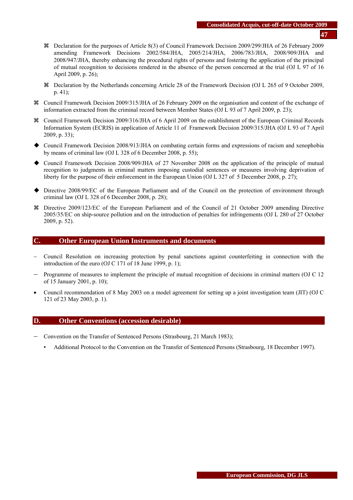- a Declaration for the purposes of Article 8(3) of Council Framework Decision 2009/299/JHA of 26 February 2009 amending Framework Decisions 2002/584/JHA, 2005/214/JHA, 2006/783/JHA, 2008/909/JHA and 2008/947/JHA, thereby enhancing the procedural rights of persons and fostering the application of the principal of mutual recognition to decisions rendered in the absence of the person concerned at the trial (OJ L 97 of 16 April 2009, p. 26);
- a Declaration by the Netherlands concerning Article 28 of the Framework Decision (OJ L 265 of 9 October 2009, p. 41);
- a Council Framework Decision 2009/315/JHA of 26 February 2009 on the organisation and content of the exchange of information extracted from the criminal record between Member States (OJ L 93 of 7 April 2009, p. 23);
- a Council Framework Decision 2009/316/JHA of 6 April 2009 on the establishment of the European Criminal Records Information System (ECRIS) in application of Article 11 of Framework Decision 2009/315/JHA (OJ L 93 of 7 April 2009, p. 33);
- Council Framework Decision 2008/913/JHA on combating certain forms and expressions of racism and xenophobia by means of criminal law (OJ L 328 of 6 December 2008, p. 55);
- Council Framework Decision 2008/909/JHA of 27 November 2008 on the application of the principle of mutual recognition to judgments in criminal matters imposing custodial sentences or measures involving deprivation of liberty for the purpose of their enforcement in the European Union (OJ L 327 of 5 December 2008, p. 27);
- Directive 2008/99/EC of the European Parliament and of the Council on the protection of environment through criminal law (OJ L 328 of 6 December 2008, p. 28);
- a Directive 2009/123/EC of the European Parliament and of the Council of 21 October 2009 amending Directive 2005/35/EC on ship-source pollution and on the introduction of penalties for infringements (OJ L 280 of 27 October 2009, p. 52).

## **C. Other European Union Instruments and documents**

- − Council Resolution on increasing protection by penal sanctions against counterfeiting in connection with the introduction of the euro (OJ C 171 of 18 June 1999, p. 1);
- − Programme of measures to implement the principle of mutual recognition of decisions in criminal matters (OJ C 12 of 15 January 2001, p. 10);
- Council recommendation of 8 May 2003 on a model agreement for setting up a joint investigation team (JIT) (OJ C 121 of 23 May 2003, p. 1).

## **D. Other Conventions (accession desirable)**

- − Convention on the Transfer of Sentenced Persons (Strasbourg, 21 March 1983);
	- Additional Protocol to the Convention on the Transfer of Sentenced Persons (Strasbourg, 18 December 1997).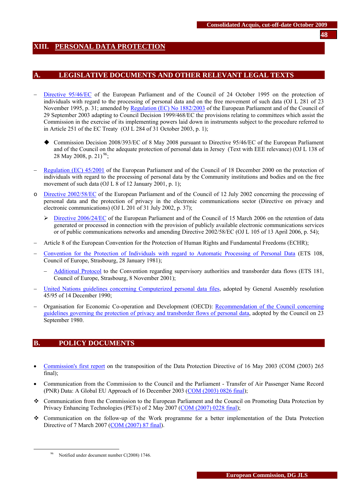# <span id="page-47-0"></span>**XIII. PERSONAL DATA PROTECTION**

## **A. LEGISLATIVE DOCUMENTS AND OTHER RELEVANT LEGAL TEXTS**

- [Directive 95/46/EC](http://eur-lex.europa.eu/LexUriServ/LexUriServ.do?uri=CELEX:31995L0046:EN:HTML) of the European Parliament and of the Council of 24 October 1995 on the protection of individuals with regard to the processing of personal data and on the free movement of such data (OJ L 281 of 23 November 1995, p. 31; amended b[y Regulation \(EC\) No 1882/2003 o](http://eur-lex.europa.eu/LexUriServ/LexUriServ.do?uri=CELEX:32003R1882:EN:HTML)f the European Parliament and of the Council of 29 September 2003 adapting to Council Decision 1999/468/EC the provisions relating to committees which assist the Commission in the exercise of its implementing powers laid down in instruments subject to the procedure referred to in Article 251 of the EC Treaty (OJ L 284 of 31 October 2003, p. 1);
	- Commission Decision 2008/393/EC of 8 May 2008 pursuant to Directive 95/46/EC of the European Parliament and of the Council on the adequate protection of personal data in Jersey (Text with EEE relevance) (OJ L 138 of 28 May 2008, p. 21)<sup>96</sup>;
- [Regulation \(EC\) 45/2001](http://eur-lex.europa.eu/LexUriServ/LexUriServ.do?uri=CELEX:32001R0045:EN:HTML) of the European Parliament and of the Council of 18 December 2000 on the protection of individuals with regard to the processing of personal data by the Community institutions and bodies and on the free movement of such data (OJ L 8 of 12 January 2001, p. 1);
- o [Directive 2002/58/EC](http://eur-lex.europa.eu/LexUriServ/LexUriServ.do?uri=CELEX:32002L0058:EN:HTML) of the European Parliament and of the Council of 12 July 2002 concerning the processing of personal data and the protection of privacy in the electronic communications sector (Directive on privacy and electronic communications) (OJ L 201 of 31 July 2002, p. 37);
	- $\triangleright$  [Directive 2006/24/EC o](http://eur-lex.europa.eu/LexUriServ/LexUriServ.do?uri=OJ:L:2006:105:0054:01:EN:HTML)f the European Parliament and of the Council of 15 March 2006 on the retention of data generated or processed in connection with the provision of publicly available electronic communications services or of public communications networks and amending Directive 2002/58/EC (OJ L 105 of 13 April 2006, p. 54);
- − Article 8 of the European Convention for the Protection of Human Rights and Fundamental Freedoms (ECHR);
- − [Convention for the Protection of Individuals with regard to Automatic Processing of Personal Data](http://conventions.coe.int/Treaty/en/Treaties/Html/108.htm) (ETS 108, Council of Europe, Strasbourg, 28 January 1981);
	- − [Additional Protocol](http://conventions.coe.int/Treaty/en/Treaties/Html/181.htm) to the Convention regarding supervisory authorities and transborder data flows (ETS 181, Council of Europe, Strasbourg, 8 November 2001);
- − [United Nations guidelines concerning Computerized personal data files,](http://www.unhchr.ch/html/menu3/b/71.htm) adopted by General Assembly resolution 45/95 of 14 December 1990;
- − Organisation for Economic Co-operation and Development (OECD)[: Recommendation of the Council concerning](http://www.oecd.org/document/18/0,2340,en_2649_34255_1815186_1_1_1_1,00.html)  [guidelines governing the protection of privacy and transborder flows of personal data,](http://www.oecd.org/document/18/0,2340,en_2649_34255_1815186_1_1_1_1,00.html) adopted by the Council on 23 September 1980.

# **B. POLICY DOCUMENTS**

- [Commission's first report](http://eur-lex.europa.eu/LexUriServ/LexUriServ.do?uri=CELEX:52003DC0265:EN:HTML) on the transposition of the Data Protection Directive of 16 May 2003 (COM (2003) 265 final);
- Communication from the Commission to the Council and the Parliament Transfer of Air Passenger Name Record (PNR) Data: A Global EU Approach of 16 December 2003 [\(COM \(2003\) 0826 final\)](http://eur-lex.europa.eu/LexUriServ/LexUriServ.do?uri=CELEX:52003DC0826:EN:HTML);
- Communication from the Commission to the European Parliament and the Council on Promoting Data Protection by Privacy Enhancing Technologies (PETs) of 2 May 2007 [\(COM \(2007\) 0228 final\)](http://eur-lex.europa.eu/LexUriServ/LexUriServ.do?uri=CELEX:52007DC0228:EN:NOT);
- Communication on the follow-up of the Work programme for a better implementation of the Data Protection Directive of 7 March 2007 [\(COM \(2007\) 87 final\)](http://eur-lex.europa.eu/LexUriServ/site/en/com/2007/com2007_0087en01.pdf).

Notified under document number C(2008) 1746.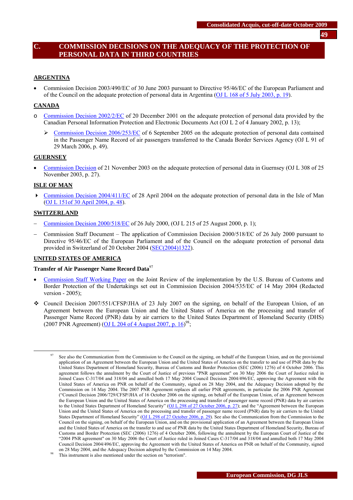# **C. COMMISSION DECISIONS ON THE ADEQUACY OF THE PROTECTION OF PERSONAL DATA IN THIRD COUNTRIES**

#### **ARGENTINA**

• Commission Decision 2003/490/EC of 30 June 2003 pursuant to Directive 95/46/EC of the European Parliament and of the Council on the adequate protection of personal data in Argentina [\(OJ L 168 of 5 July 2003, p. 19\)](http://eur-lex.europa.eu/LexUriServ/site/en/oj/2003/l_168/l_16820030705en00190022.pdf).

#### **CANADA**

- o [Commission Decision 2002/2/EC](http://europa.eu.int/cgi-bin/eur-lex/udl.pl?REQUEST=Seek-Deliver&COLLECTION=lif&SERVICE=all&LANGUAGE=en&DOCID=302D0002) of 20 December 2001 on the adequate protection of personal data provided by the Canadian Personal Information Protection and Electronic Documents Act (OJ L 2 of 4 January 2002, p. 13);
	- ¾ [Commission Decision 2006/253/EC](http://eur-lex.europa.eu/LexUriServ/LexUriServ.do?uri=OJ:L:2006:091:0049:01:EN:HTML) of 6 September 2005 on the adequate protection of personal data contained in the Passenger Name Record of air passengers transferred to the Canada Border Services Agency (OJ L 91 of 29 March 2006, p. 49).

#### **GUERNSEY**

• [Commission Decision o](http://europa.eu.int/smartapi/cgi/sga_doc?smartapi!celexapi!prod!CELEXnumdoc&lg=en&numdoc=32003D0821&model=guichett)f 21 November 2003 on the adequate protection of personal data in Guernsey (OJ L 308 of 25 November 2003, p. 27).

#### **ISLE OF MAN**

 [Commission Decision 2004/411/EC](http://europa.eu.int/eur-lex/lex/Notice.do?val=386873:cs&lang=en&list=386782:cs,386887:cs,386885:cs,386883:cs,386881:cs,386879:cs,386877:cs,386875:cs,386873:cs,386871:cs,&pos=9&page=1&nbl=16&pgs=10&hwords=) of 28 April 2004 on the adequate protection of personal data in the Isle of Man [\(OJ L 151of 30 April 2004, p. 48\)](http://eur-lex.europa.eu/LexUriServ/site/en/oj/2004/l_151/l_15120040430en00480051.pdf).

#### **SWITZERLAND**

- − [Commission Decision 2000/518/EC o](http://europa.eu.int/cgi-bin/eur-lex/udl.pl?REQUEST=Seek-Deliver&COLLECTION=lif&SERVICE=all&LANGUAGE=en&DOCID=300D0518)f 26 July 2000, (OJ L 215 of 25 August 2000, p. 1);
- − Commission Staff Document The application of Commission Decision 2000/518/EC of 26 July 2000 pursuant to Directive 95/46/EC of the European Parliament and of the Council on the adequate protection of personal data provided in Switzerland of 20 October 2004 [\(SEC\(2004\)1322\)](http://ec.europa.eu/justice_home/fsj/privacy/docs/adequacy/sec-2004-1322_en.pdf).

#### **UNITED STATES OF AMERICA**

#### **Transfer of Air Passenger Name Record Data**<sup>97</sup>

- [Commission Staff Working Paper](http://ec.europa.eu/justice_home/fsj/privacy/docs/adequacy/pnr/review_2005.pdf) on the Joint Review of the implementation by the U.S. Bureau of Customs and Border Protection of the Undertakings set out in Commission Decision 2004/535/EC of 14 May 2004 (Redacted version - 2005);
- $\bullet$  Council Decision 2007/551/CFSP/JHA of 23 July 2007 on the signing, on behalf of the European Union, of an Agreement between the European Union and the United States of America on the processing and transfer of Passenger Name Record (PNR) data by air carriers to the United States Department of Homeland Security (DHS) (2007 PNR Agreement) (OJ L 204 of 4 August 2007, p.  $16^{98}$ ;

See also the Communication from the Commission to the Council on the signing, on behalf of the European Union, and on the provisional application of an Agreement between the European Union and the United States of America on the transfer to and use of PNR data by the United States Department of Homeland Security, Bureau of Customs and Border Protection (SEC (2006) 1276) of 4 October 2006. This agreement follows the annulment by the Court of Justice of previous "PNR agreement" on 30 May 2006 the Court of Justice ruled in Joined Cases C-317/04 and 318/04 and annulled both 17 May 2004 Council Decision 2004/496/EC, approving the Agreement with the United States of America on PNR on behalf of the Community, signed on 28 May 2004, and the Adequacy Decision adopted by the Commission on 14 May 2004. The 2007 PNR Agreement replaces all earlier PNR agreements, in particular the 2006 PNR Agreement ("Council Decision 2006/729/CFSP/JHA of 16 October 2006 on the signing, on behalf of the European Union, of an Agreement between the European Union and the United States of America on the processing and transfer of passenger name record (PNR) data by air carriers to the United States Department of Homeland Security" [\(OJ L 298 of 27 October 2006, p. 27\);](http://eur-lex.europa.eu/LexUriServ/site/en/oj/2006/l_298/l_29820061027en00270028.pdf) and the "Agreement between the European Union and the United States of America on the processing and transfer of passenger name record (PNR) data by air carriers to the United States Department of Homeland Security" [\(OJ L 298 of 27 October 2006, p. 29\)](http://eur-lex.europa.eu/LexUriServ/site/en/oj/2006/l_298/l_29820061027en00290031.pdf). See also the Communication from the Commission to the Council on the signing, on behalf of the European Union, and on the provisional application of an Agreement between the European Union and the United States of America on the transfer to and use of PNR data by the United States Department of Homeland Security, Bureau of Customs and Border Protection (SEC (2006) 1276) of 4 October 2006, following the annulment by the European Court of Justice of the "2004 PNR agreement" on 30 May 2006 the Court of Justice ruled in Joined Cases C-317/04 and 318/04 and annulled both 17 May 2004 Council Decision 2004/496/EC, approving the Agreement with the United States of America on PNR on behalf of the Community, signed on 28 May 2004, and the Adequacy Decision adopted by the Commission on 14 May 2004. This instrument is also mentioned under the section on "terrorism".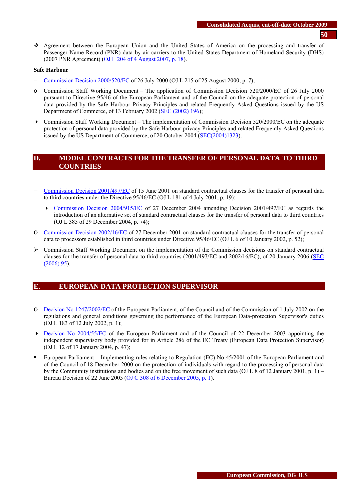- **50**
- Agreement between the European Union and the United States of America on the processing and transfer of Passenger Name Record (PNR) data by air carriers to the United States Department of Homeland Security (DHS) (2007 PNR Agreement) [\(OJ L 204 of 4 August 2007, p. 18\)](http://eur-lex.europa.eu/LexUriServ/LexUriServ.do?uri=OJ:L:2007:204:0018:0025:EN:PDF).

#### **Safe Harbour**

- − [Commission Decision 2000/520/EC o](http://eur-lex.europa.eu/LexUriServ/LexUriServ.do?uri=CELEX:32000D0520:EN:NOT)f 26 July 2000 (OJ L 215 of 25 August 2000, p. 7);
- o Commission Staff Working Document The application of Commission Decision 520/2000/EC of 26 July 2000 pursuant to Directive 95/46 of the European Parliament and of the Council on the adequate protection of personal data provided by the Safe Harbour Privacy Principles and related Frequently Asked Questions issued by the US Department of Commerce, of 13 February 2002 [\(SEC \(2002\) 196\)](http://ec.europa.eu/justice_home/fsj/privacy/docs/adequacy/sec-2002-196/sec-2002-196_en.pdf);
- Commission Staff Working Document The implementation of Commission Decision 520/2000/EC on the adequate protection of personal data provided by the Safe Harbour privacy Principles and related Frequently Asked Questions issued by the US Department of Commerce, of 20 October 2004 [\(SEC\(2004\)1323\)](http://ec.europa.eu/justice_home/fsj/privacy/docs/adequacy/sec-2004-1323_en.pdf).

## **D. MODEL CONTRACTS FOR THE TRANSFER OF PERSONAL DATA TO THIRD COUNTRIES**

- − [Commission Decision 2001/497/EC](http://europa.eu.int/cgi-bin/eur-lex/udl.pl?REQUEST=Seek-Deliver&COLLECTION=lif&SERVICE=all&LANGUAGE=en&DOCID=32001D0497) of 15 June 2001 on standard contractual clauses for the transfer of personal data to third countries under the Directive 95/46/EC (OJ L 181 of 4 July 2001, p. 19);
	- [Commission Decision 2004/915/EC](http://eur-lex.europa.eu/LexUriServ/LexUriServ.do?uri=CELEX:32004D0915:EN:NOT) of 27 December 2004 amending Decision 2001/497/EC as regards the introduction of an alternative set of standard contractual clauses for the transfer of personal data to third countries (OJ L 385 of 29 December 2004, p. 74);
- o [Commission Decision 2002/16/EC o](http://eur-lex.europa.eu/LexUriServ/LexUriServ.do?uri=CELEX:32002D0016:EN:NOT)f 27 December 2001 on standard contractual clauses for the transfer of personal data to processors established in third countries under Directive 95/46/EC (OJ L 6 of 10 January 2002, p. 52);
- ¾ Commission Staff Working Document on the implementation of the Commission decisions on standard contractual clauses for the transfer of personal data to third countries (2001/497/EC and 2002/16/EC), of 20 January 2006 [\(SEC](http://ec.europa.eu/justice_home/fsj/privacy/docs/modelcontracts/sec_2006_95_en.pdf)  [\(2006\) 95\)](http://ec.europa.eu/justice_home/fsj/privacy/docs/modelcontracts/sec_2006_95_en.pdf).

## **E. EUROPEAN DATA PROTECTION SUPERVISOR**

- o [Decision No 1247/2002/EC](http://eur-lex.europa.eu/LexUriServ/LexUriServ.do?uri=CELEX:32002D1247:EN:NOT) of the European Parliament, of the Council and of the Commission of 1 July 2002 on the regulations and general conditions governing the performance of the European Data-protection Supervisor's duties (OJ L 183 of 12 July 2002, p. 1);
- **Decision No 2004/55/EC** of the European Parliament and of the Council of 22 December 2003 appointing the independent supervisory body provided for in Article 286 of the EC Treaty (European Data Protection Supervisor) (OJ L 12 of 17 January 2004, p. 47);
- European Parliament Implementing rules relating to Regulation (EC) No 45/2001 of the European Parliament and of the Council of 18 December 2000 on the protection of individuals with regard to the processing of personal data by the Community institutions and bodies and on the free movement of such data (OJ L 8 of 12 January 2001, p. 1) – Bureau Decision of 22 June 2005 [\(OJ C 308 of 6 December 2005, p. 1\)](http://eur-lex.europa.eu/LexUriServ/site/en/oj/2005/c_308/c_30820051206en00010006.pdf).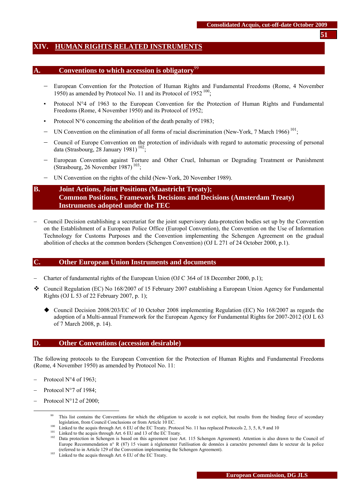# <span id="page-50-0"></span>**XIV. HUMAN RIGHTS RELATED INSTRUMENTS**

## **A. Conventions to which accession is obligatory**

- − European Convention for the Protection of Human Rights and Fundamental Freedoms (Rome, 4 November 1950) as amended by Protocol No. 11 and its Protocol of 1952<sup>100</sup>;
- Protocol N°4 of 1963 to the European Convention for the Protection of Human Rights and Fundamental Freedoms (Rome, 4 November 1950) and its Protocol of 1952;
- Protocol  $N^{\circ}6$  concerning the abolition of the death penalty of 1983;
- − UN Convention on the elimination of all forms of racial discrimination (New-York, 7 March 1966)<sup>101</sup>;
- − Council of Europe Convention on the protection of individuals with regard to automatic processing of personal data (Strasbourg, 28 January 1981)<sup>102</sup>;
- European Convention against Torture and Other Cruel, Inhuman or Degrading Treatment or Punishment (Strasbourg, 26 November 1987)<sup>103</sup>;
- − UN Convention on the rights of the child (New-York, 20 November 1989).

# **B. Joint Actions, Joint Positions (Maastricht Treaty); Common Positions, Framework Decisions and Decisions (Amsterdam Treaty) Instruments adopted under the TEC**

− Council Decision establishing a secretariat for the joint supervisory data-protection bodies set up by the Convention on the Establishment of a European Police Office (Europol Convention), the Convention on the Use of Information Technology for Customs Purposes and the Convention implementing the Schengen Agreement on the gradual abolition of checks at the common borders (Schengen Convention) (OJ L 271 of 24 October 2000, p.1).

# **C. Other European Union Instruments and documents**

- − Charter of fundamental rights of the European Union (OJ C 364 of 18 December 2000, p.1);
- Council Regulation (EC) No 168/2007 of 15 February 2007 establishing a European Union Agency for Fundamental Rights (OJ L 53 of 22 February 2007, p. 1);
	- Council Decision 2008/203/EC of 10 October 2008 implementing Regulation (EC) No 168/2007 as regards the adoption of a Multi-annual Framework for the European Agency for Fundamental Rights for 2007-2012 (OJ L 63 of 7 March 2008, p. 14).

## **D. Other Conventions (accession desirable)**

The following protocols to the European Convention for the Protection of Human Rights and Fundamental Freedoms (Rome, 4 November 1950) as amended by Protocol No. 11:

- Protocol N°4 of 1963;
- Protocol N°7 of 1984;
- Protocol N°12 of 2000;

<sup>&</sup>lt;sup>99</sup> This list contains the Conventions for which the obligation to accede is not explicit, but results from the binding force of secondary

legislation, from Council Conclusions or from Article 10 EC.<br>
<sup>100</sup> Linked to the acquis through Art. 6 EU of the EC Treaty. Protocol No. 11 has replaced Protocols 2, 3, 5, 8, 9 and 10<br>
<sup>101</sup> Linked to the acquis through A Europe Recommendation n° R (87) 15 visant à réglementer l'utilisation de données à caractère personnel dans le secteur de la police (referred to in Article 129 of the Convention implementing the Schengen Agreement). 103 Linked to the acquis through Art. 6 EU of the EC Treaty.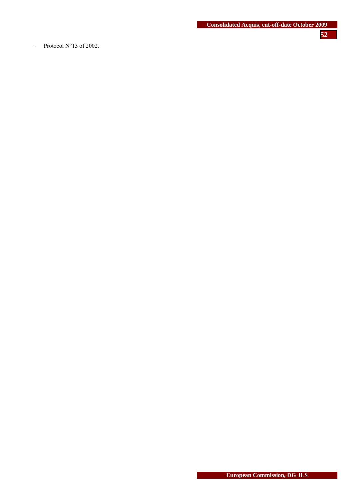− Protocol N°13 of 2002.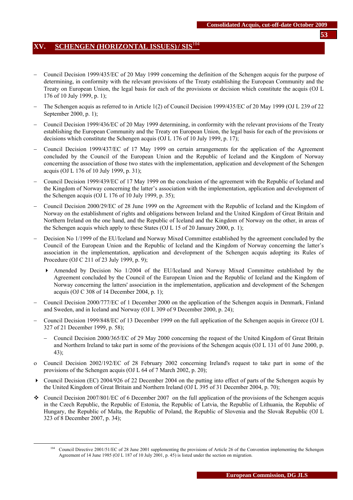# <span id="page-52-0"></span>**XV. SCHENGEN (HORIZONTAL ISSUES)/ SIS**<sup>104</sup>

- − Council Decision 1999/435/EC of 20 May 1999 concerning the definition of the Schengen acquis for the purpose of determining, in conformity with the relevant provisions of the Treaty establishing the European Community and the Treaty on European Union, the legal basis for each of the provisions or decision which constitute the acquis (OJ L 176 of 10 July 1999, p. 1);
- − The Schengen acquis as referred to in Article 1(2) of Council Decision 1999/435/EC of 20 May 1999 (OJ L 239 of 22 September 2000, p. 1);
- − Council Decision 1999/436/EC of 20 May 1999 determining, in conformity with the relevant provisions of the Treaty establishing the European Community and the Treaty on European Union, the legal basis for each of the provisions or decisions which constitute the Schengen acquis (OJ L 176 of 10 July 1999, p. 17);
- − Council Decision 1999/437/EC of 17 May 1999 on certain arrangements for the application of the Agreement concluded by the Council of the European Union and the Republic of Iceland and the Kingdom of Norway concerning the association of those two states with the implementation, application and development of the Schengen acquis (OJ L 176 of 10 July 1999, p. 31);
- − Council Decision 1999/439/EC of 17 May 1999 on the conclusion of the agreement with the Republic of Iceland and the Kingdom of Norway concerning the latter's association with the implementation, application and development of the Schengen acquis (OJ L 176 of 10 July 1999, p. 35);
- − Council Decision 2000/29/EC of 28 June 1999 on the Agreement with the Republic of Iceland and the Kingdom of Norway on the establishment of rights and obligations between Ireland and the United Kingdom of Great Britain and Northern Ireland on the one hand, and the Republic of Iceland and the Kingdom of Norway on the other, in areas of the Schengen acquis which apply to these States (OJ L 15 of 20 January 2000, p. 1);
- Decision No 1/1999 of the EU/Iceland and Norway Mixed Committee established by the agreement concluded by the Council of the European Union and the Republic of Iceland and the Kingdom of Norway concerning the latter's association in the implementation, application and development of the Schengen acquis adopting its Rules of Procedure (OJ C 211 of 23 July 1999, p. 9);
	- Amended by Decision No 1/2004 of the EU/Iceland and Norway Mixed Committee established by the Agreement concluded by the Council of the European Union and the Republic of Iceland and the Kingdom of Norway concerning the latters' association in the implementation, application and development of the Schengen acquis (OJ C 308 of 14 December 2004, p. 1);
- − Council Decision 2000/777/EC of 1 December 2000 on the application of the Schengen acquis in Denmark, Finland and Sweden, and in Iceland and Norway (OJ L 309 of 9 December 2000, p. 24);
- − Council Decision 1999/848/EC of 13 December 1999 on the full application of the Schengen acquis in Greece (OJ L 327 of 21 December 1999, p. 58);
	- − Council Decision 2000/365/EC of 29 May 2000 concerning the request of the United Kingdom of Great Britain and Northern Ireland to take part in some of the provisions of the Schengen acquis (OJ L 131 of 01 June 2000, p. 43);
- ο Council Decision 2002/192/EC of 28 February 2002 concerning Ireland's request to take part in some of the provisions of the Schengen acquis (OJ L 64 of 7 March 2002, p. 20);
- $\triangleright$  Council Decision (EC) 2004/926 of 22 December 2004 on the putting into effect of parts of the Schengen acquis by the United Kingdom of Great Britain and Northern Ireland (OJ L 395 of 31 December 2004, p. 70);
- $\bullet$  Council Decision 2007/801/EC of 6 December 2007 on the full application of the provisions of the Schengen acquis in the Czech Republic, the Republic of Estonia, the Republic of Latvia, the Republic of Lithuania, the Republic of Hungary, the Republic of Malta, the Republic of Poland, the Republic of Slovenia and the Slovak Republic (OJ L 323 of 8 December 2007, p. 34);

<sup>&</sup>lt;sup>104</sup> Council Directive 2001/51/EC of 28 June 2001 supplementing the provisions of Article 26 of the Convention implementing the Schengen Agreement of 14 June 1985 (OJ L 187 of 10 July 2001, p. 45) is listed under the section on migration.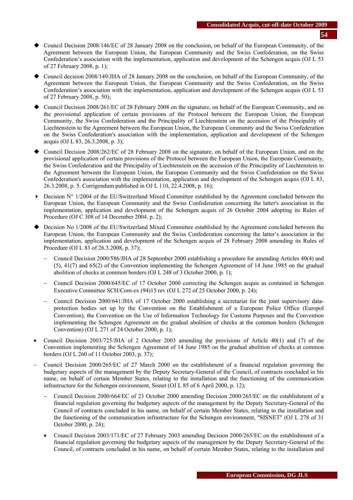- Council Decision 2008/146/EC of 28 January 2008 on the conclusion, on behalf of the European Community, of the Agreement between the European Union, the European Community and the Swiss Confederation, on the Swiss Confederation's association with the implementation, application and development of the Schengen acquis (OJ L 53 of 27 February 2008, p. 1);
- Council decision 2008/149/JHA of 28 January 2008 on the conclusion, on behalf of the European Community, of the Agreement between the European Union, the European Community and the Swiss Confederation, on the Swiss Confederation's association with the implementation, application and development of the Schengen acquis (OJ L 53 of 27 February 2008, p. 50);
- Council Decision 2008/261/EC of 28 February 2008 on the signature, on behalf of the European Community, and on the provisional application of certain provisions of the Protocol between the European Union, the European Community, the Swiss Confederation and the Principality of Liechtenstein on the accession of the Principality of Liechtenstein to the Agreement between the European Union, the European Community and the Swiss Confederation on the Swiss Confederation's association with the implementation, application and development of the Schengen acquis (OJ L 83, 26.3.2008, p. 3);
- Council Decision 2008/262/EC of 28 February 2008 on the signature, on behalf of the European Union, and on the provisional application of certain provisions of the Protocol between the European Union, the European Community, the Swiss Confederation and the Principality of Liechtenstein on the accession of the Principality of Liechtenstein to the Agreement between the European Union, the European Community and the Swiss Confederation on the Swiss Confederation's association with the implementation, application and development of the Schengen acquis (OJ L 83, 26.3.2008, p. 5. Corrigendum published in OJ L 110, 22.4.2008, p. 16);
- $\triangleright$  Decision N° 1/2004 of the EU/Switzerland Mixed Committee established by the Agreement concluded between the European Union, the European Community and the Swiss Confederation concerning the latter's association in the implementation, application and development of the Schengen acquis of 26 October 2004 adopting its Rules of Procedure (OJ C 308 of 14 December 2004, p. 2);
- Decision No 1/2008 of the EU/Switzerland Mixed Committee established by the Agreement concluded between the European Union, the European Community and the Swiss Confederation concerning the latter's association in the implementation, application and development of the Schengen acquis of 28 February 2008 amending its Rules of Procedure (OJ L 83 of 26.3.2008, p. 37);
	- − Council Decision 2000/586/JHA of 28 September 2000 establishing a procedure for amending Articles 40(4) and (5), 41(7) and 65(2) of the Convention implementing the Schengen Agreement of 14 June 1985 on the gradual abolition of checks at common borders (OJ L 248 of 3 October 2000, p. 1);
	- − Council Decision 2000/645/EC of 17 October 2000 correcting the Schengen acquis as contained in Schengen Executive Committee SCH/Com-ex (94)15 rev (OJ L 272 of 25 October 2000, p. 24);
	- − Council Decision 2000/641/JHA of 17 October 2000 establishing a secretariat for the joint supervisory dataprotection bodies set up by the Convention on the Establishment of a European Police Office (Europol Convention), the Convention on the Use of Information Technology for Customs Purposes and the Convention implementing the Schengen Agreement on the gradual abolition of checks at the common borders (Schengen Convention) (OJ L 271 of 24 October 2000, p. 1);
- Council Decision 2003/725/JHA of 2 October 2003 amending the provisions of Article 40(1) and (7) of the Convention implementing the Schengen Agreement of 14 June 1985 on the gradual abolition of checks at common borders (OJ L 260 of 11 October 2003, p. 37);
- − Council Decision 2000/265/EC of 27 March 2000 on the establishment of a financial regulation governing the budgetary aspects of the management by the Deputy Secretary-General of the Council, of contracts concluded in his name, on behalf of certain Member States, relating to the installation and the functioning of the communication infrastructure for the Schengen environment, Sisnet (OJ L 85 of 6 April 2000, p. 12);
	- − Council Decision 2000/664/EC of 23 October 2000 amending Decision 2000/265/EC on the establishment of a financial regulation governing the budgetary aspects of the management by the Deputy Secretary-General of the Council of contracts concluded in his name, on behalf of certain Member States, relating to the installation and the functioning of the communication infrastructure for the Schengen environment, "SISNET" (OJ L 278 of 31 October 2000, p. 24);
	- Council Decision 2003/171/EC of 27 February 2003 amending Decision 2000/265/EC on the establishment of a financial regulation governing the budgetary aspects of the management by the Deputy Secretary-General of the Council, of contracts concluded in his name, on behalf of certain Member States, relating to the installation and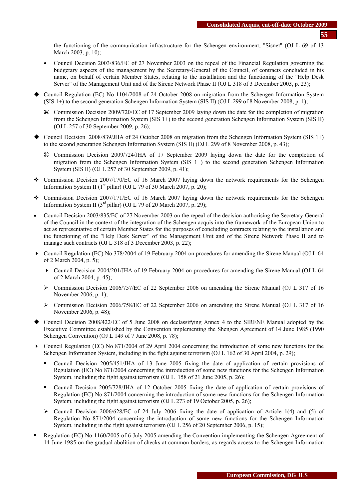the functioning of the communication infrastructure for the Schengen environment, "Sisnet" (OJ L 69 of 13 March 2003, p. 10);

- Council Decision 2003/836/EC of 27 November 2003 on the repeal of the Financial Regulation governing the budgetary aspects of the management by the Secretary-General of the Council, of contracts concluded in his name, on behalf of certain Member States, relating to the installation and the functioning of the "Help Desk Server" of the Management Unit and of the Sirene Network Phase II (OJ L 318 of 3 December 2003, p. 23);
- Council Regulation (EC) No 1104/2008 of 24 October 2008 on migration from the Schengen Information System (SIS 1+) to the second generation Schengen Information System (SIS II) (OJ L 299 of 8 November 2008, p. 1);
	- a Commission Decision 2009/720/EC of 17 September 2009 laying down the date for the completion of migration from the Schengen Information System (SIS 1+) to the second generation Schengen Information System (SIS II) (OJ L 257 of 30 September 2009, p. 26);
- $\blacklozenge$  Council Decision 2008/839/JHA of 24 October 2008 on migration from the Schengen Information System (SIS 1+) to the second generation Schengen Information System (SIS II) (OJ L 299 of 8 November 2008, p. 43);
	- a Commission Decision 2009/724/JHA of 17 September 2009 laying down the date for the completion of migration from the Schengen Information System (SIS  $1+$ ) to the second generation Schengen Information System (SIS II) (OJ L 257 of 30 September 2009, p. 41);
- Commission Decision 2007/170/EC of 16 March 2007 laying down the network requirements for the Schengen Information System II ( $1<sup>st</sup>$  pillar) (OJ L 79 of 30 March 2007, p. 20);
- Commission Decision 2007/171/EC of 16 March 2007 laying down the network requirements for the Schengen Information System II ( $3<sup>rd</sup>$  pillar) (OJ L 79 of 20 March 2007, p. 29);
- Council Decision 2003/835/EC of 27 November 2003 on the repeal of the decision authorising the Secretary-General of the Council in the context of the integration of the Schengen acquis into the framework of the European Union to act as representative of certain Member States for the purposes of concluding contracts relating to the installation and the functioning of the "Help Desk Server" of the Management Unit and of the Sirene Network Phase II and to manage such contracts (OJ L 318 of 3 December 2003, p. 22);
- Council Regulation (EC) No 378/2004 of 19 February 2004 on procedures for amending the Sirene Manual (O[J L 64](http://europa.eu.int/eur-lex/en/archive/2004/l_06420040302en.html)  [of 2 March 2004, p. 5\)](http://europa.eu.int/eur-lex/en/archive/2004/l_06420040302en.html);
	- Council Decision 2004/201/JHA of 19 February 2004 on procedures for amending the Sirene Manual (OJ L 64 of 2 March 2004, p. 45);
	- $\triangleright$  Commission Decision 2006/757/EC of 22 September 2006 on amending the Sirene Manual (OJ L 317 of 16 November 2006, p. 1);
	- $\triangleright$  Commission Decision 2006/758/EC of 22 September 2006 on amending the Sirene Manual (OJ L 317 of 16) November 2006, p. 48);
- Council Decision 2008/422/EC of 5 June 2008 on declassifying Annex 4 to the SIRENE Manual adopted by the Executive Committee established by the Convention implementing the Shengen Agreement of 14 June 1985 (1990 Schengen Convention) (OJ L 149 of 7 June 2008, p. 78);
- Council Regulation (EC) No 871/2004 of 29 April 2004 concerning the introduction of some new functions for the Schengen Information System, including in the fight against terrorism (OJ L 162 of 30 April 2004, p. 29);
	- Council Decision 2005/451/JHA of 13 June 2005 fixing the date of application of certain provisions of Regulation (EC) No 871/2004 concerning the introduction of some new functions for the Schengen Information System, including the fight against terrorism (OJ L 158 of 21 June 2005, p. 26);
	- Council Decision 2005/728/JHA of 12 October 2005 fixing the date of application of certain provisions of Regulation (EC) No 871/2004 concerning the introduction of some new functions for the Schengen Information System, including the fight against terrorism (OJ L 273 of 19 October 2005, p. 26);
	- $\triangleright$  Council Decision 2006/628/EC of 24 July 2006 fixing the date of application of Article 1(4) and (5) of Regulation No 871/2004 concerning the introduction of some new functions for the Schengen Information System, including in the fight against terrorism (OJ L 256 of 20 September 2006, p. 15);
- Regulation (EC) No 1160/2005 of 6 July 2005 amending the Convention implementing the Schengen Agreement of 14 June 1985 on the gradual abolition of checks at common borders, as regards access to the Schengen Information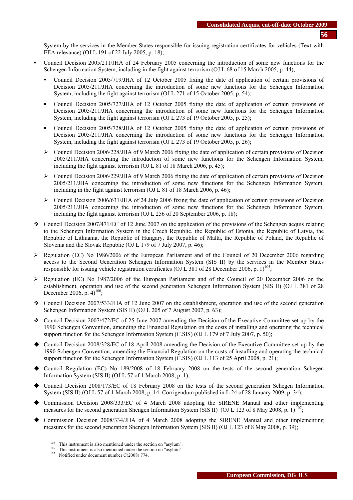System by the services in the Member States responsible for issuing registration certificates for vehicles (Text with EEA relevance) (OJ L 191 of 22 July 2005, p. 18);

- Council Decision 2005/211/JHA of 24 February 2005 concerning the introduction of some new functions for the Schengen Information System, including in the fight against terrorism (OJ L 68 of 15 March 2005, p. 44);
	- Council Decision 2005/719/JHA of 12 October 2005 fixing the date of application of certain provisions of Decision 2005/211/JHA concerning the introduction of some new functions for the Schengen Information System, including the fight against terrorism (OJ L 271 of 15 October 2005, p. 54);
	- Council Decision 2005/727/JHA of 12 October 2005 fixing the date of application of certain provisions of Decision 2005/211/JHA concerning the introduction of some new functions for the Schengen Information System, including the fight against terrorism (OJ L 273 of 19 October 2005, p. 25);
	- Council Decision 2005/728/JHA of 12 October 2005 fixing the date of application of certain provisions of Decision 2005/211/JHA concerning the introduction of some new functions for the Schengen Information System, including the fight against terrorism (OJ L 273 of 19 October 2005, p. 26);
	- $\triangleright$  Council Decision 2006/228/JHA of 9 March 2006 fixing the date of application of certain provisions of Decision 2005/211/JHA concerning the introduction of some new functions for the Schengen Information System, including the fight against terrorism (OJ L 81 of 18 March 2006, p. 45);
	- $\triangleright$  Council Decision 2006/229/JHA of 9 March 2006 fixing the date of application of certain provisions of Decision 2005/211/JHA concerning the introduction of some new functions for the Schengen Information System, including in the fight against terrorism (OJ L 81 of 18 March 2006, p. 46);
	- $\triangleright$  Council Decision 2006/631/JHA of 24 July 2006 fixing the date of application of certain provisions of Decision 2005/211/JHA concerning the introduction of some new functions for the Schengen Information System, including the fight against terrorism (OJ L 256 of 20 September 2006, p. 18);
- Council Decision 2007/471/EC of 12 June 2007 on the application of the provisions of the Schengen acquis relating to the Schengen Information System in the Czech Republic, the Republic of Estonia, the Republic of Latvia, the Republic of Lithuania, the Republic of Hungary, the Republic of Malta, the Republic of Poland, the Republic of Slovenia and the Slovak Republic (OJ L 179 of 7 July 2007, p. 46);
- $\triangleright$  Regulation (EC) No 1986/2006 of the European Parliament and of the Council of 20 December 2006 regarding access to the Second Generation Schengen Information System (SIS II) by the services in the Member States responsible for issuing vehicle registration certificates (OJ L 381 of 28 December 2006, p. 1)<sup>105</sup>;
- ¾ Regulation (EC) No 1987/2006 of the European Parliament and of the Council of 20 December 2006 on the establishment, operation and use of the second generation Schengen Information System (SIS II) (OJ L 381 of 28 December 2006, p.  $4)^{106}$ :
- Council Decision 2007/533/JHA of 12 June 2007 on the establishment, operation and use of the second generation Schengen Information System (SIS II) (OJ L 205 of 7 August 2007, p. 63);
- Council Decision 2007/472/EC of 25 June 2007 amending the Decision of the Executive Committee set up by the 1990 Schengen Convention, amending the Financial Regulation on the costs of installing and operating the technical support function for the Schengen Information System (C.SIS) (OJ L 179 of 7 July 2007, p. 50);
- Council Decision 2008/328/EC of 18 April 2008 amending the Decision of the Executive Committee set up by the 1990 Schengen Convention, amending the Financial Regulation on the costs of installing and operating the technical support function for the Schengen Information System (C.SIS) (OJ L 113 of 25 April 2008, p. 21);
- Council Regulation (EC) No 189/2008 of 18 February 2008 on the tests of the second generation Schegen Information System (SIS II) (OJ L 57 of 1 March 2008, p. 1);
- Council Decision 2008/173/EC of 18 February 2008 on the tests of the second generation Schegen Information System (SIS II) (OJ L 57 of 1 March 2008, p. 14. Corrigendum published in L 24 of 28 January 2009, p. 34);
- Commission Decision 2008/333/EC of 4 March 2008 adopting the SIRENE Manual and other implementing measures for the second generation Shengen Information System (SIS II) (OJ L 123 of 8 May 2008, p. 1)<sup>1</sup>
- Commission Decision 2008/334/JHA of 4 March 2008 adopting the SIRENE Manual and other implementing measures for the second generation Shengen Information System (SIS II) (OJ L 123 of 8 May 2008, p. 39);

<sup>&</sup>lt;sup>105</sup> This instrument is also mentioned under the section on "asylum".<br><sup>106</sup> This instrument is also mentioned under the section on "asylum".<br><sup>107</sup> Notified under document number C(2008) 774.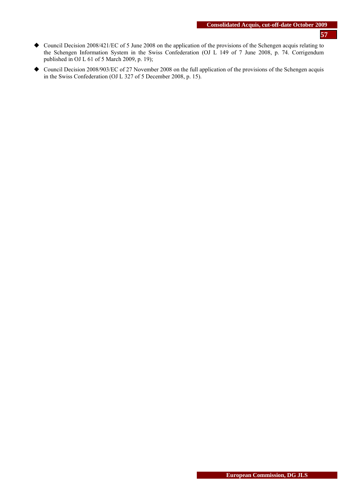- Council Decision 2008/421/EC of 5 June 2008 on the application of the provisions of the Schengen acquis relating to the Schengen Information System in the Swiss Confederation (OJ L 149 of 7 June 2008, p. 74. Corrigendum published in OJ L 61 of 5 March 2009, p. 19);
- ◆ Council Decision 2008/903/EC of 27 November 2008 on the full application of the provisions of the Schengen acquis in the Swiss Confederation (OJ L 327 of 5 December 2008, p. 15).